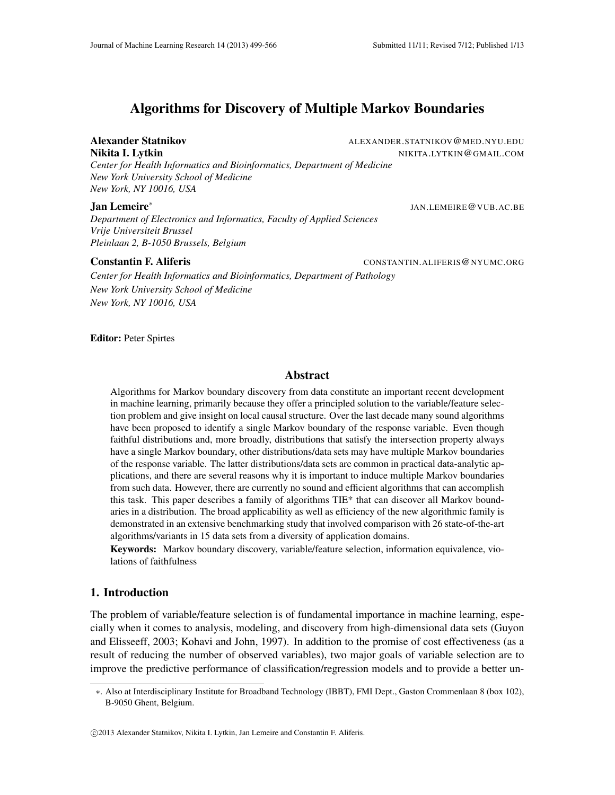# Algorithms for Discovery of Multiple Markov Boundaries

*Center for Health Informatics and Bioinformatics, Department of Medicine New York University School of Medicine New York, NY 10016, USA*

#### Jan Lemeire<sup>∗</sup>

*Department of Electronics and Informatics, Faculty of Applied Sciences Vrije Universiteit Brussel Pleinlaan 2, B-1050 Brussels, Belgium*

#### **Constantin F. Aliferis** CONSTANTIN.ALIFERIS@NYUMC.ORG

*Center for Health Informatics and Bioinformatics, Department of Pathology New York University School of Medicine New York, NY 10016, USA*

Editor: Peter Spirtes

# Abstract

Algorithms for Markov boundary discovery from data constitute an important recent development in machine learning, primarily because they offer a principled solution to the variable/feature selection problem and give insight on local causal structure. Over the last decade many sound algorithms have been proposed to identify a single Markov boundary of the response variable. Even though faithful distributions and, more broadly, distributions that satisfy the intersection property always have a single Markov boundary, other distributions/data sets may have multiple Markov boundaries of the response variable. The latter distributions/data sets are common in practical data-analytic applications, and there are several reasons why it is important to induce multiple Markov boundaries from such data. However, there are currently no sound and efficient algorithms that can accomplish this task. This paper describes a family of algorithms TIE\* that can discover all Markov boundaries in a distribution. The broad applicability as well as efficiency of the new algorithmic family is demonstrated in an extensive benchmarking study that involved comparison with 26 state-of-the-art algorithms/variants in 15 data sets from a diversity of application domains.

Keywords: Markov boundary discovery, variable/feature selection, information equivalence, violations of faithfulness

#### 1. Introduction

The problem of variable/feature selection is of fundamental importance in machine learning, especially when it comes to analysis, modeling, and discovery from high-dimensional data sets (Guyon and Elisseeff, 2003; Kohavi and John, 1997). In addition to the promise of cost effectiveness (as a result of reducing the number of observed variables), two major goals of variable selection are to improve the predictive performance of classification/regression models and to provide a better un-

Alexander Statnikov **ALEXANDER.STATNIKOV @MED.NYU.EDU** Nikita I. Lytkin NIKITA.LYTKIN@GMAIL.COM

JAN.LEMEIRE@VUB.AC.BE

<sup>∗</sup>. Also at Interdisciplinary Institute for Broadband Technology (IBBT), FMI Dept., Gaston Crommenlaan 8 (box 102), B-9050 Ghent, Belgium.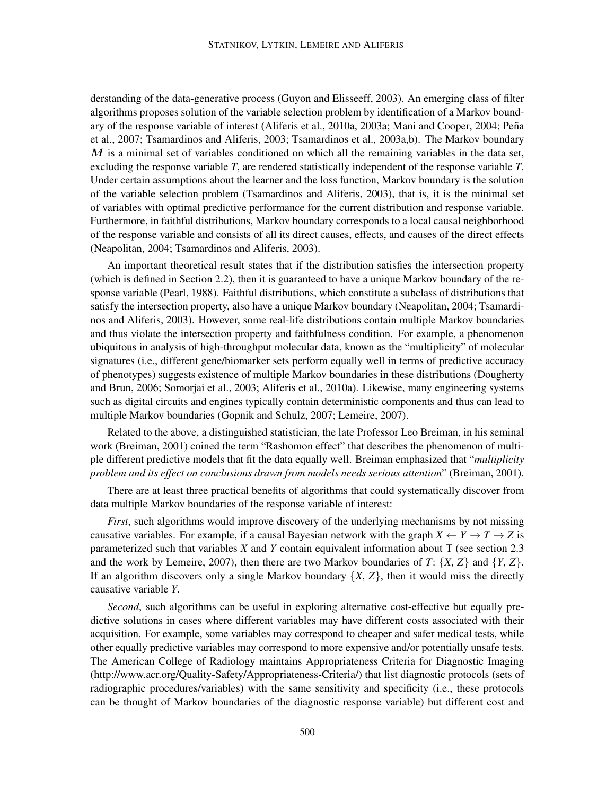derstanding of the data-generative process (Guyon and Elisseeff, 2003). An emerging class of filter algorithms proposes solution of the variable selection problem by identification of a Markov boundary of the response variable of interest (Aliferis et al., 2010a, 2003a; Mani and Cooper, 2004; Peña et al., 2007; Tsamardinos and Aliferis, 2003; Tsamardinos et al., 2003a,b). The Markov boundary  $M$  is a minimal set of variables conditioned on which all the remaining variables in the data set, excluding the response variable *T*, are rendered statistically independent of the response variable *T*. Under certain assumptions about the learner and the loss function, Markov boundary is the solution of the variable selection problem (Tsamardinos and Aliferis, 2003), that is, it is the minimal set of variables with optimal predictive performance for the current distribution and response variable. Furthermore, in faithful distributions, Markov boundary corresponds to a local causal neighborhood of the response variable and consists of all its direct causes, effects, and causes of the direct effects (Neapolitan, 2004; Tsamardinos and Aliferis, 2003).

An important theoretical result states that if the distribution satisfies the intersection property (which is defined in Section 2.2), then it is guaranteed to have a unique Markov boundary of the response variable (Pearl, 1988). Faithful distributions, which constitute a subclass of distributions that satisfy the intersection property, also have a unique Markov boundary (Neapolitan, 2004; Tsamardinos and Aliferis, 2003). However, some real-life distributions contain multiple Markov boundaries and thus violate the intersection property and faithfulness condition. For example, a phenomenon ubiquitous in analysis of high-throughput molecular data, known as the "multiplicity" of molecular signatures (i.e., different gene/biomarker sets perform equally well in terms of predictive accuracy of phenotypes) suggests existence of multiple Markov boundaries in these distributions (Dougherty and Brun, 2006; Somorjai et al., 2003; Aliferis et al., 2010a). Likewise, many engineering systems such as digital circuits and engines typically contain deterministic components and thus can lead to multiple Markov boundaries (Gopnik and Schulz, 2007; Lemeire, 2007).

Related to the above, a distinguished statistician, the late Professor Leo Breiman, in his seminal work (Breiman, 2001) coined the term "Rashomon effect" that describes the phenomenon of multiple different predictive models that fit the data equally well. Breiman emphasized that "*multiplicity problem and its effect on conclusions drawn from models needs serious attention*" (Breiman, 2001).

There are at least three practical benefits of algorithms that could systematically discover from data multiple Markov boundaries of the response variable of interest:

*First*, such algorithms would improve discovery of the underlying mechanisms by not missing causative variables. For example, if a causal Bayesian network with the graph  $X \leftarrow Y \rightarrow T \rightarrow Z$  is parameterized such that variables *X* and *Y* contain equivalent information about T (see section 2.3 and the work by Lemeire, 2007), then there are two Markov boundaries of  $T: \{X, Z\}$  and  $\{Y, Z\}$ . If an algorithm discovers only a single Markov boundary  $\{X, Z\}$ , then it would miss the directly causative variable *Y*.

*Second*, such algorithms can be useful in exploring alternative cost-effective but equally predictive solutions in cases where different variables may have different costs associated with their acquisition. For example, some variables may correspond to cheaper and safer medical tests, while other equally predictive variables may correspond to more expensive and/or potentially unsafe tests. The American College of Radiology maintains Appropriateness Criteria for Diagnostic Imaging (http://www.acr.org/Quality-Safety/Appropriateness-Criteria/) that list diagnostic protocols (sets of radiographic procedures/variables) with the same sensitivity and specificity (i.e., these protocols can be thought of Markov boundaries of the diagnostic response variable) but different cost and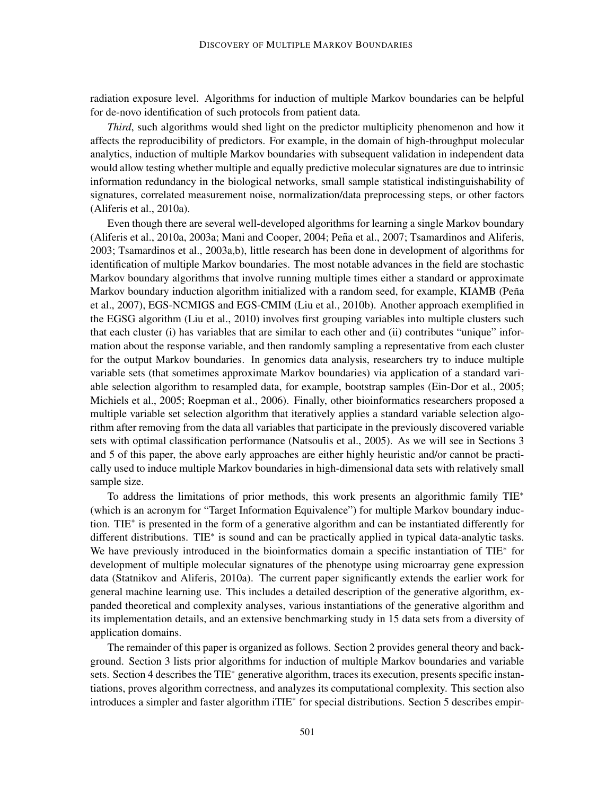radiation exposure level. Algorithms for induction of multiple Markov boundaries can be helpful for de-novo identification of such protocols from patient data.

*Third*, such algorithms would shed light on the predictor multiplicity phenomenon and how it affects the reproducibility of predictors. For example, in the domain of high-throughput molecular analytics, induction of multiple Markov boundaries with subsequent validation in independent data would allow testing whether multiple and equally predictive molecular signatures are due to intrinsic information redundancy in the biological networks, small sample statistical indistinguishability of signatures, correlated measurement noise, normalization/data preprocessing steps, or other factors (Aliferis et al., 2010a).

Even though there are several well-developed algorithms for learning a single Markov boundary (Aliferis et al., 2010a, 2003a; Mani and Cooper, 2004; Peña et al., 2007; Tsamardinos and Aliferis, 2003; Tsamardinos et al., 2003a,b), little research has been done in development of algorithms for identification of multiple Markov boundaries. The most notable advances in the field are stochastic Markov boundary algorithms that involve running multiple times either a standard or approximate Markov boundary induction algorithm initialized with a random seed, for example, KIAMB (Peña et al., 2007), EGS-NCMIGS and EGS-CMIM (Liu et al., 2010b). Another approach exemplified in the EGSG algorithm (Liu et al., 2010) involves first grouping variables into multiple clusters such that each cluster (i) has variables that are similar to each other and (ii) contributes "unique" information about the response variable, and then randomly sampling a representative from each cluster for the output Markov boundaries. In genomics data analysis, researchers try to induce multiple variable sets (that sometimes approximate Markov boundaries) via application of a standard variable selection algorithm to resampled data, for example, bootstrap samples (Ein-Dor et al., 2005; Michiels et al., 2005; Roepman et al., 2006). Finally, other bioinformatics researchers proposed a multiple variable set selection algorithm that iteratively applies a standard variable selection algorithm after removing from the data all variables that participate in the previously discovered variable sets with optimal classification performance (Natsoulis et al., 2005). As we will see in Sections 3 and 5 of this paper, the above early approaches are either highly heuristic and/or cannot be practically used to induce multiple Markov boundaries in high-dimensional data sets with relatively small sample size.

To address the limitations of prior methods, this work presents an algorithmic family TIE<sup>∗</sup> (which is an acronym for "Target Information Equivalence") for multiple Markov boundary induction. TIE<sup>∗</sup> is presented in the form of a generative algorithm and can be instantiated differently for different distributions. TIE<sup>∗</sup> is sound and can be practically applied in typical data-analytic tasks. We have previously introduced in the bioinformatics domain a specific instantiation of TIE<sup>\*</sup> for development of multiple molecular signatures of the phenotype using microarray gene expression data (Statnikov and Aliferis, 2010a). The current paper significantly extends the earlier work for general machine learning use. This includes a detailed description of the generative algorithm, expanded theoretical and complexity analyses, various instantiations of the generative algorithm and its implementation details, and an extensive benchmarking study in 15 data sets from a diversity of application domains.

The remainder of this paper is organized as follows. Section 2 provides general theory and background. Section 3 lists prior algorithms for induction of multiple Markov boundaries and variable sets. Section 4 describes the TIE<sup>∗</sup> generative algorithm, traces its execution, presents specific instantiations, proves algorithm correctness, and analyzes its computational complexity. This section also introduces a simpler and faster algorithm iTIE<sup>∗</sup> for special distributions. Section 5 describes empir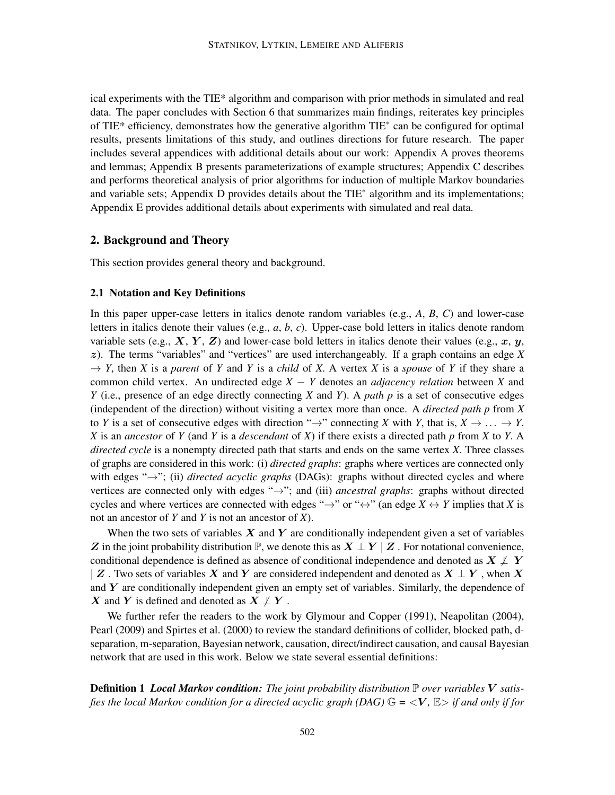ical experiments with the TIE\* algorithm and comparison with prior methods in simulated and real data. The paper concludes with Section 6 that summarizes main findings, reiterates key principles of TIE\* efficiency, demonstrates how the generative algorithm TIE<sup>∗</sup> can be configured for optimal results, presents limitations of this study, and outlines directions for future research. The paper includes several appendices with additional details about our work: Appendix A proves theorems and lemmas; Appendix B presents parameterizations of example structures; Appendix C describes and performs theoretical analysis of prior algorithms for induction of multiple Markov boundaries and variable sets; Appendix D provides details about the TIE<sup>∗</sup> algorithm and its implementations; Appendix E provides additional details about experiments with simulated and real data.

#### 2. Background and Theory

This section provides general theory and background.

#### 2.1 Notation and Key Definitions

In this paper upper-case letters in italics denote random variables (e.g., *A*, *B*, *C*) and lower-case letters in italics denote their values (e.g., *a*, *b*, *c*). Upper-case bold letters in italics denote random variable sets (e.g.,  $X, Y, Z$ ) and lower-case bold letters in italics denote their values (e.g., x, y, z). The terms "variables" and "vertices" are used interchangeably. If a graph contains an edge *X*  $\rightarrow$  *Y*, then *X* is a *parent* of *Y* and *Y* is a *child* of *X*. A vertex *X* is a *spouse* of *Y* if they share a common child vertex. An undirected edge *X* − *Y* denotes an *adjacency relation* between *X* and *Y* (i.e., presence of an edge directly connecting *X* and *Y*). A *path p* is a set of consecutive edges (independent of the direction) without visiting a vertex more than once. A *directed path p* from *X* to *Y* is a set of consecutive edges with direction " $\rightarrow$ " connecting *X* with *Y*, that is,  $X \rightarrow \dots \rightarrow Y$ . *X* is an *ancestor* of *Y* (and *Y* is a *descendant* of *X*) if there exists a directed path *p* from *X* to *Y*. A *directed cycle* is a nonempty directed path that starts and ends on the same vertex *X*. Three classes of graphs are considered in this work: (i) *directed graphs*: graphs where vertices are connected only with edges "→"; (ii) *directed acyclic graphs* (DAGs): graphs without directed cycles and where vertices are connected only with edges "→"; and (iii) *ancestral graphs*: graphs without directed cycles and where vertices are connected with edges " $\rightarrow$ " or " $\leftrightarrow$ " (an edge  $X \leftrightarrow Y$  implies that *X* is not an ancestor of *Y* and *Y* is not an ancestor of *X*).

When the two sets of variables  $X$  and  $Y$  are conditionally independent given a set of variables Z in the joint probability distribution  $\mathbb{P}$ , we denote this as  $X \perp Y \mid Z$ . For notational convenience, conditional dependence is defined as absence of conditional independence and denoted as  $X \not\perp Y$ | Z. Two sets of variables X and Y are considered independent and denoted as  $X \perp Y$ , when X and  $Y$  are conditionally independent given an empty set of variables. Similarly, the dependence of X and Y is defined and denoted as  $X \not\perp Y$ .

We further refer the readers to the work by Glymour and Copper (1991), Neapolitan (2004), Pearl (2009) and Spirtes et al. (2000) to review the standard definitions of collider, blocked path, dseparation, m-separation, Bayesian network, causation, direct/indirect causation, and causal Bayesian network that are used in this work. Below we state several essential definitions:

Definition 1 *Local Markov condition: The joint probability distribution* P *over variables* V *satisfies the local Markov condition for a directed acyclic graph (DAG)*  $\mathbb{G} = \langle V, \mathbb{E} \rangle$  *if and only if for*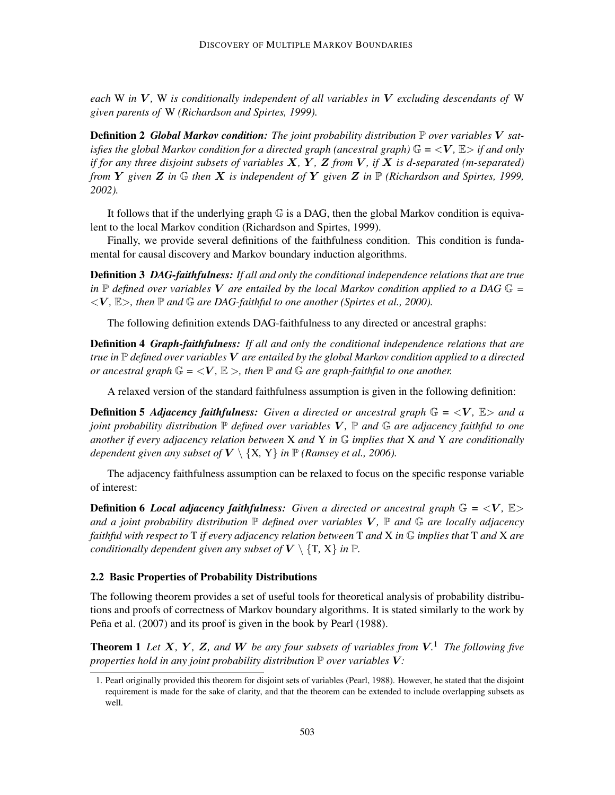*each* W *in* V *,* W *is conditionally independent of all variables in* V *excluding descendants of* W *given parents of* W *(Richardson and Spirtes, 1999).*

Definition 2 *Global Markov condition: The joint probability distribution* P *over variables* V *satisfies the global Markov condition for a directed graph (ancestral graph)*  $\mathbb{G} = \langle V, \mathbb{E} \rangle$  *if and only if for any three disjoint subsets of variables* X*,* Y *,* Z *from* V *, if* X *is d-separated (m-separated) from* Y *given* Z *in* G *then* X *is independent of* Y *given* Z *in* P *(Richardson and Spirtes, 1999, 2002).*

It follows that if the underlying graph G is a DAG, then the global Markov condition is equivalent to the local Markov condition (Richardson and Spirtes, 1999).

Finally, we provide several definitions of the faithfulness condition. This condition is fundamental for causal discovery and Markov boundary induction algorithms.

Definition 3 *DAG-faithfulness: If all and only the conditional independence relations that are true in*  $\mathbb P$  *defined over variables* V *are entailed by the local Markov condition applied to a DAG*  $\mathbb G$  =  $\langle V, \mathbb{E} \rangle$ , then  $\mathbb{P}$  and  $\mathbb{G}$  are DAG-faithful to one another (Spirtes et al., 2000).

The following definition extends DAG-faithfulness to any directed or ancestral graphs:

Definition 4 *Graph-faithfulness: If all and only the conditional independence relations that are true in* P *defined over variables* V *are entailed by the global Markov condition applied to a directed or ancestral graph*  $\mathbb{G} = \langle V, \mathbb{E} \rangle$ , then  $\mathbb{P}$  *and*  $\mathbb{G}$  *are graph-faithful to one another.* 

A relaxed version of the standard faithfulness assumption is given in the following definition:

**Definition 5 Adjacency faithfulness:** Given a directed or ancestral graph  $\mathbb{G} = \langle V, \mathbb{E} \rangle$  and a *joint probability distribution* P *defined over variables* V *,* P *and* G *are adjacency faithful to one another if every adjacency relation between* X *and* Y *in* G *implies that* X *and* Y *are conditionally dependent given any subset of*  $V \setminus \{X, Y\}$  *in*  $\mathbb{P}$  *(Ramsey et al., 2006).* 

The adjacency faithfulness assumption can be relaxed to focus on the specific response variable of interest:

**Definition 6** *Local adjacency faithfulness: Given a directed or ancestral graph* $\mathbb{G} = \langle V, \mathbb{E} \rangle$ *and a joint probability distribution* P *defined over variables* V *,* P *and* G *are locally adjacency faithful with respect to* T *if every adjacency relation between* T *and* X *in* G *implies that* T *and* X *are conditionally dependent given any subset of*  $V \setminus \{T, X\}$  *in*  $\mathbb{P}$ *.* 

#### 2.2 Basic Properties of Probability Distributions

The following theorem provides a set of useful tools for theoretical analysis of probability distributions and proofs of correctness of Markov boundary algorithms. It is stated similarly to the work by Peña et al. (2007) and its proof is given in the book by Pearl (1988).

**Theorem 1** Let  $X$ ,  $Y$ ,  $Z$ , and  $W$  be any four subsets of variables from  $V$ .<sup>1</sup> The following five *properties hold in any joint probability distribution*  $\mathbb P$  *over variables*  $V$ :

<sup>1.</sup> Pearl originally provided this theorem for disjoint sets of variables (Pearl, 1988). However, he stated that the disjoint requirement is made for the sake of clarity, and that the theorem can be extended to include overlapping subsets as well.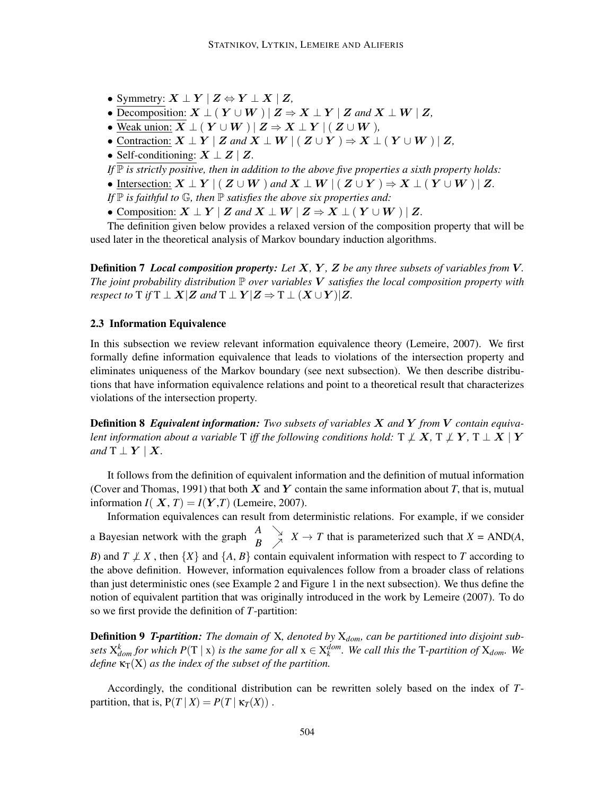- Symmetry:  $X \perp Y \mid Z \Leftrightarrow Y \perp X \mid Z$ ,
- Decomposition:  $X \perp (Y \cup W) | Z \Rightarrow X \perp Y | Z$  and  $X \perp W | Z$ ,
- Weak union:  $\overline{X} \perp (Y \cup W) | Z \Rightarrow X \perp Y | (Z \cup W)$ ,
- Contraction:  $X \perp Y \mid Z$  and  $X \perp W \mid ( Z \cup Y ) \Rightarrow X \perp ( Y \cup W ) \mid Z$ ,
- Self-conditioning:  $X \perp Z \mid Z$ .

*If*  $\mathbb P$  *is strictly positive, then in addition to the above five properties a sixth property holds:* 

- Intersection:  $X \perp Y \mid (Z \cup W)$  *and*  $X \perp W \mid (Z \cup Y) \Rightarrow X \perp (Y \cup W) \mid Z$ .
- *If*  $\mathbb P$  *is faithful to*  $\mathbb G$ *, then*  $\mathbb P$  *satisfies the above six properties and:*
- Composition:  $X \perp Y \mid Z$  and  $X \perp W \mid Z \Rightarrow X \perp (Y \cup W) \mid Z$ .

The definition given below provides a relaxed version of the composition property that will be used later in the theoretical analysis of Markov boundary induction algorithms.

Definition 7 *Local composition property: Let* X*,* Y *,* Z *be any three subsets of variables from* V*. The joint probability distribution*  $\mathbb P$  *over variables*  $V$  *satisfies the local composition property with respect to*  $T$  *if*  $T \perp X | Z$  *and*  $T \perp Y | Z \Rightarrow T \perp (X \cup Y) | Z$ *.* 

#### 2.3 Information Equivalence

so we first provide the definition of *T*-partition:

In this subsection we review relevant information equivalence theory (Lemeire, 2007). We first formally define information equivalence that leads to violations of the intersection property and eliminates uniqueness of the Markov boundary (see next subsection). We then describe distributions that have information equivalence relations and point to a theoretical result that characterizes violations of the intersection property.

Definition 8 *Equivalent information: Two subsets of variables* X *and* Y *from* V *contain equivalent information about a variable* T *iff the following conditions hold:*  $T \not\perp X$ ,  $T \not\perp Y$ ,  $T \perp X \mid Y$ *and*  $T \perp Y \mid X$ .

It follows from the definition of equivalent information and the definition of mutual information (Cover and Thomas, 1991) that both  $X$  and  $Y$  contain the same information about  $T$ , that is, mutual information  $I(X, T) = I(Y, T)$  (Lemeire, 2007).

Information equivalences can result from deterministic relations. For example, if we consider a Bayesian network with the graph  $\begin{array}{c} A \\ B \end{array}$   $\begin{array}{c} \searrow \\ \nearrow \end{array}$  *X*  $\rightarrow$  *T* that is parameterized such that *X* = AND(*A*, *B*) and  $T \nleq X$ , then  $\{X\}$  and  $\{A, B\}$  contain equivalent information with respect to *T* according to the above definition. However, information equivalences follow from a broader class of relations than just deterministic ones (see Example 2 and Figure 1 in the next subsection). We thus define the notion of equivalent partition that was originally introduced in the work by Lemeire (2007). To do

Definition 9 *T-partition: The domain of* X*, denoted by* X*dom, can be partitioned into disjoint subsets*  $X_{dom}^k$  *for which*  $P(T | x)$  *is the same for all*  $x \in X_k^{dom}$ *. We call this the* T-partition of  $X_{dom}$ *. We define*  $\kappa_T(X)$  *as the index of the subset of the partition.* 

Accordingly, the conditional distribution can be rewritten solely based on the index of *T*partition, that is,  $P(T | X) = P(T | \kappa_T(X))$ .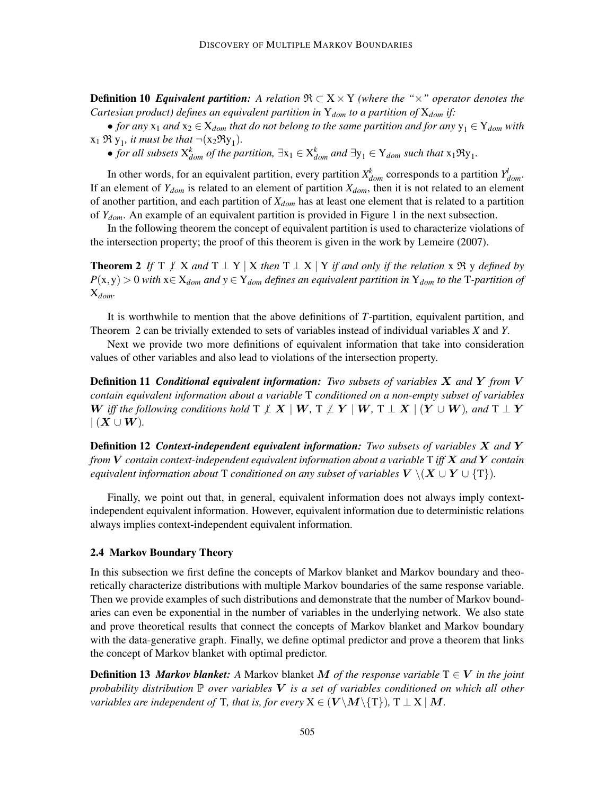**Definition 10** *Equivalent partition:* A relation  $\Re \subset X \times Y$  *(where the "* $\times$ *" operator denotes the Cartesian product) defines an equivalent partition in* Y*dom to a partition of* X*dom if:*

• *for any*  $x_1$  *and*  $x_2 \in X_{dom}$  *that do not belong to the same partition and for any*  $y_1 \in Y_{dom}$  *with*  $x_1 \mathfrak{R} y_1$ *, it must be that*  $\neg(x_2 \mathfrak{R} y_1)$ *.* 

• *for all subsets*  $X_{dom}^k$  *of the partition,*  $\exists x_1 \in X_{dom}^k$  *and*  $\exists y_1 \in Y_{dom}$  *such that*  $x_1 \Re y_1$ *.* 

In other words, for an equivalent partition, every partition  $X_{dom}^k$  corresponds to a partition  $Y_{dom}^l$ . If an element of  $Y_{dom}$  is related to an element of partition  $X_{dom}$ , then it is not related to an element of another partition, and each partition of *Xdom* has at least one element that is related to a partition of *Ydom*. An example of an equivalent partition is provided in Figure 1 in the next subsection.

In the following theorem the concept of equivalent partition is used to characterize violations of the intersection property; the proof of this theorem is given in the work by Lemeire (2007).

**Theorem 2** If  $T \not\perp X$  and  $T \perp Y \mid X$  then  $T \perp X \mid Y$  if and only if the relation x  $\Re y$  defined by  $P(x, y) > 0$  *with*  $x \in X_{dom}$  *and*  $y \in Y_{dom}$  *defines an equivalent partition in*  $Y_{dom}$  *to the* T*-partition of* X*dom.*

It is worthwhile to mention that the above definitions of *T*-partition, equivalent partition, and Theorem 2 can be trivially extended to sets of variables instead of individual variables *X* and *Y*.

Next we provide two more definitions of equivalent information that take into consideration values of other variables and also lead to violations of the intersection property.

Definition 11 *Conditional equivalent information: Two subsets of variables* X *and* Y *from* V *contain equivalent information about a variable* T *conditioned on a non-empty subset of variables* W iff the following conditions hold  $\Gamma \not\perp X \mid W, \Gamma \not\perp Y \mid W, \Gamma \perp X \mid (Y \cup W)$ , and  $\Gamma \perp Y$  $\mid (X \cup W)$ .

Definition 12 *Context-independent equivalent information: Two subsets of variables* X *and* Y *from* V *contain context-independent equivalent information about a variable* T *iff* X *and* Y *contain equivalent information about* T *conditioned on any subset of variables*  $V \setminus (X \cup Y \cup \{T\})$ *.* 

Finally, we point out that, in general, equivalent information does not always imply contextindependent equivalent information. However, equivalent information due to deterministic relations always implies context-independent equivalent information.

#### 2.4 Markov Boundary Theory

In this subsection we first define the concepts of Markov blanket and Markov boundary and theoretically characterize distributions with multiple Markov boundaries of the same response variable. Then we provide examples of such distributions and demonstrate that the number of Markov boundaries can even be exponential in the number of variables in the underlying network. We also state and prove theoretical results that connect the concepts of Markov blanket and Markov boundary with the data-generative graph. Finally, we define optimal predictor and prove a theorem that links the concept of Markov blanket with optimal predictor.

**Definition 13** *Markov blanket:* A Markov blanket M of the response variable  $T \in V$  in the joint *probability distribution* P *over variables* V *is a set of variables conditioned on which all other variables are independent of* T*, that is, for every*  $X \in (V \setminus M \setminus \{T\})$ ,  $T \perp X \mid M$ .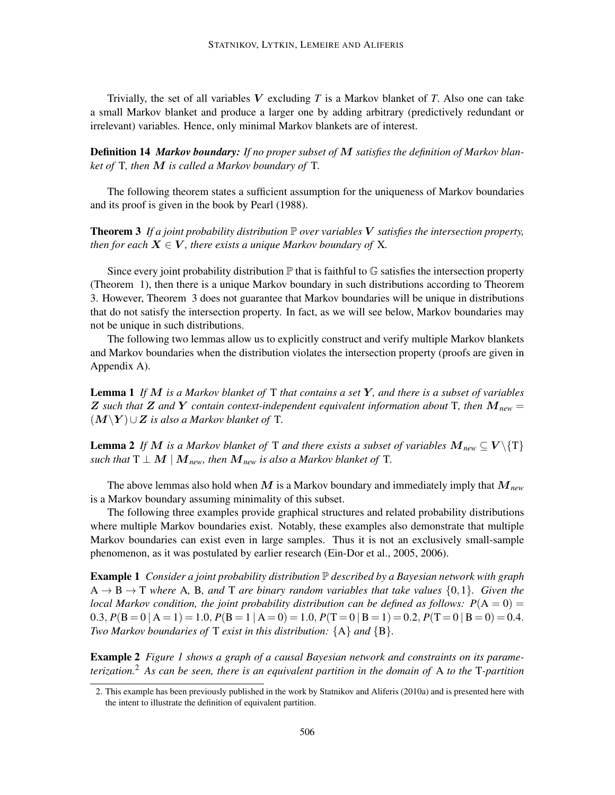Trivially, the set of all variables V excluding *T* is a Markov blanket of *T*. Also one can take a small Markov blanket and produce a larger one by adding arbitrary (predictively redundant or irrelevant) variables. Hence, only minimal Markov blankets are of interest.

Definition 14 *Markov boundary: If no proper subset of* M *satisfies the definition of Markov blanket of* T*, then* M *is called a Markov boundary of* T*.*

The following theorem states a sufficient assumption for the uniqueness of Markov boundaries and its proof is given in the book by Pearl (1988).

**Theorem 3** If a joint probability distribution  $\mathbb P$  over variables V satisfies the intersection property, *then for each*  $X \in V$ *, there exists a unique Markov boundary of* X*.* 

Since every joint probability distribution  $\mathbb P$  that is faithful to  $\mathbb G$  satisfies the intersection property (Theorem 1), then there is a unique Markov boundary in such distributions according to Theorem 3. However, Theorem 3 does not guarantee that Markov boundaries will be unique in distributions that do not satisfy the intersection property. In fact, as we will see below, Markov boundaries may not be unique in such distributions.

The following two lemmas allow us to explicitly construct and verify multiple Markov blankets and Markov boundaries when the distribution violates the intersection property (proofs are given in Appendix A).

Lemma 1 *If* M *is a Markov blanket of* T *that contains a set* Y*, and there is a subset of variables* Z such that Z and Y contain context-independent equivalent information about T, then  $M_{\text{new}} =$ (M\Y )∪Z *is also a Markov blanket of* T*.*

**Lemma 2** *If* M *is a Markov blanket of* T *and there exists a subset of variables*  $M_{new} \subseteq V \setminus \{T\}$ *such that*  $T \perp M \mid M_{new}$ *, then*  $M_{new}$  *is also a Markov blanket of*  $T$ *.* 

The above lemmas also hold when M is a Markov boundary and immediately imply that M*new* is a Markov boundary assuming minimality of this subset.

The following three examples provide graphical structures and related probability distributions where multiple Markov boundaries exist. Notably, these examples also demonstrate that multiple Markov boundaries can exist even in large samples. Thus it is not an exclusively small-sample phenomenon, as it was postulated by earlier research (Ein-Dor et al., 2005, 2006).

Example 1 *Consider a joint probability distribution* P *described by a Bayesian network with graph*  $A \rightarrow B \rightarrow T$  *where* A, B, and T are binary random variables that take values  $\{0,1\}$ . Given the *local Markov condition, the joint probability distribution can be defined as follows:*  $P(A = 0) =$ 0.3,  $P(B = 0 | A = 1) = 1.0$ ,  $P(B = 1 | A = 0) = 1.0$ ,  $P(T = 0 | B = 1) = 0.2$ ,  $P(T = 0 | B = 0) = 0.4$ . *Two Markov boundaries of* T *exist in this distribution:* {A} *and* {B}*.*

Example 2 *Figure 1 shows a graph of a causal Bayesian network and constraints on its parameterization.*<sup>2</sup> *As can be seen, there is an equivalent partition in the domain of* A *to the* T*-partition*

<sup>2.</sup> This example has been previously published in the work by Statnikov and Aliferis (2010a) and is presented here with the intent to illustrate the definition of equivalent partition.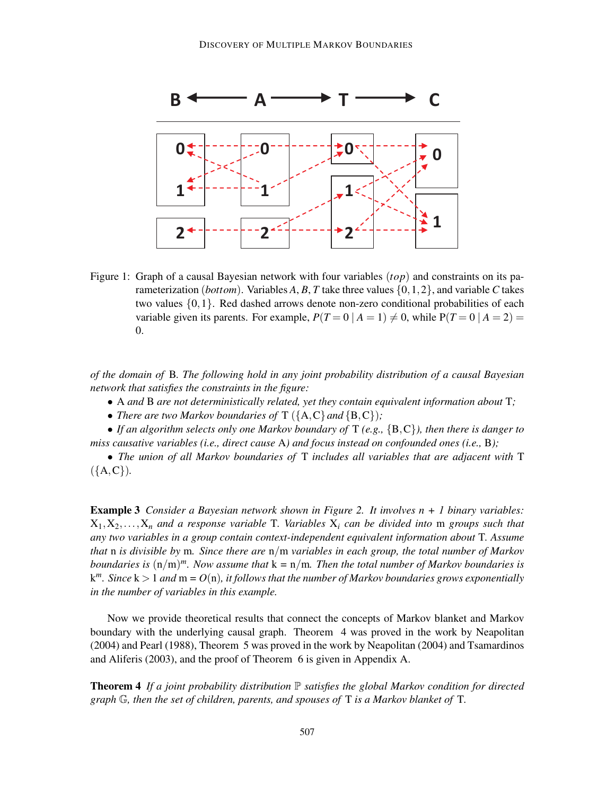

Figure 1: Graph of a causal Bayesian network with four variables (*top*) and constraints on its parameterization (*bottom*). Variables  $A$ ,  $B$ ,  $T$  take three values  $\{0, 1, 2\}$ , and variable  $C$  takes two values {0,1}. Red dashed arrows denote non-zero conditional probabilities of each variable given its parents. For example,  $P(T=0 | A=1) \neq 0$ , while  $P(T=0 | A=2)$ 0.

*of the domain of* B*. The following hold in any joint probability distribution of a causal Bayesian network that satisfies the constraints in the figure:*

- A *and* B *are not deterministically related, yet they contain equivalent information about* T*;*
- *There are two Markov boundaries of*  $T(\{A, C\}$  *and*  $\{B, C\})$ *;*

• *If an algorithm selects only one Markov boundary of* T *(e.g.,* {B,C}*), then there is danger to miss causative variables (i.e., direct cause* A*) and focus instead on confounded ones (i.e.,* B*);*

• *The union of all Markov boundaries of* T *includes all variables that are adjacent with* T  $({A, C})$ *.* 

Example 3 *Consider a Bayesian network shown in Figure 2. It involves n + 1 binary variables:*  $X_1, X_2, \ldots, X_n$  *and a response variable* T. *Variables*  $X_i$  *can be divided into* m *groups such that any two variables in a group contain context-independent equivalent information about* T*. Assume that* n *is divisible by* m*. Since there are* n/m *variables in each group, the total number of Markov boundaries is* (n/m) *<sup>m</sup>. Now assume that* k *=* n/m*. Then the total number of Markov boundaries is* k *m . Since* k > 1 *and* m *= O*(n)*, it follows that the number of Markov boundaries grows exponentially in the number of variables in this example.*

Now we provide theoretical results that connect the concepts of Markov blanket and Markov boundary with the underlying causal graph. Theorem 4 was proved in the work by Neapolitan (2004) and Pearl (1988), Theorem 5 was proved in the work by Neapolitan (2004) and Tsamardinos and Aliferis (2003), and the proof of Theorem 6 is given in Appendix A.

**Theorem 4** If a joint probability distribution  $\mathbb P$  satisfies the global Markov condition for directed *graph* G*, then the set of children, parents, and spouses of* T *is a Markov blanket of* T*.*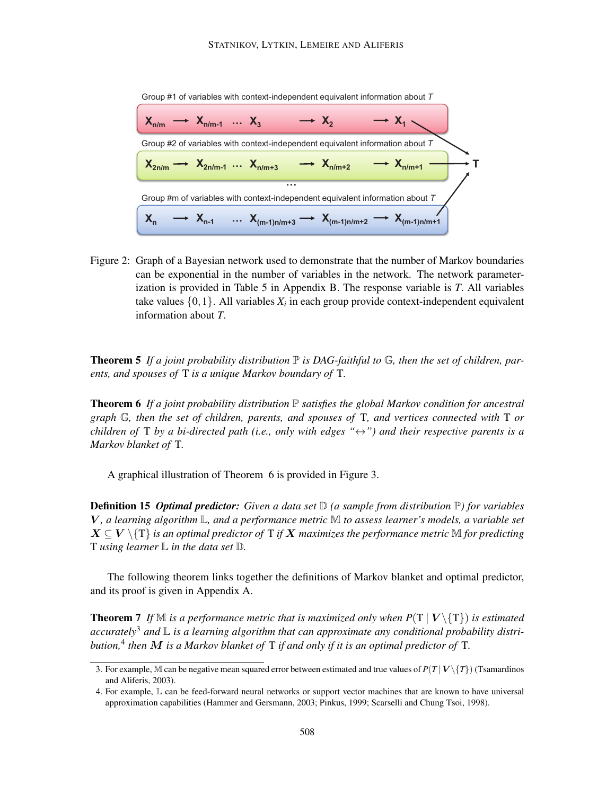

Figure 2: Graph of a Bayesian network used to demonstrate that the number of Markov boundaries can be exponential in the number of variables in the network. The network parameterization is provided in Table 5 in Appendix B. The response variable is *T*. All variables take values  $\{0,1\}.$  All variables  $X_i$  in each group provide context-independent equivalent information about *T*.

**Theorem 5** If a joint probability distribution  $\mathbb P$  is DAG-faithful to  $\mathbb G$ , then the set of children, par*ents, and spouses of* T *is a unique Markov boundary of* T*.*

Theorem 6 *If a joint probability distribution* P *satisfies the global Markov condition for ancestral graph* G*, then the set of children, parents, and spouses of* T*, and vertices connected with* T *or children of* T *by a bi-directed path (i.e., only with edges "*↔*") and their respective parents is a Markov blanket of* T*.*

A graphical illustration of Theorem 6 is provided in Figure 3.

Definition 15 *Optimal predictor: Given a data set* D *(a sample from distribution* P*) for variables* V *, a learning algorithm* L*, and a performance metric* M *to assess learner's models, a variable set*  $X \subseteq V \setminus {\{T\}}$  *is an optimal predictor of* T *if* X *maximizes the performance metric*  $\mathbb{M}$  *for predicting* T *using learner* L *in the data set* D*.*

The following theorem links together the definitions of Markov blanket and optimal predictor, and its proof is given in Appendix A.

**Theorem 7** If M is a performance metric that is maximized only when  $P(T | V \setminus \{T\})$  is estimated *accurately*<sup>3</sup> *and* L *is a learning algorithm that can approximate any conditional probability distribution,*<sup>4</sup> *then* M *is a Markov blanket of* T *if and only if it is an optimal predictor of* T*.*

<sup>3.</sup> For example, M can be negative mean squared error between estimated and true values of  $P(T | V \setminus \{T\})$  (Tsamardinos and Aliferis, 2003).

<sup>4.</sup> For example, L can be feed-forward neural networks or support vector machines that are known to have universal approximation capabilities (Hammer and Gersmann, 2003; Pinkus, 1999; Scarselli and Chung Tsoi, 1998).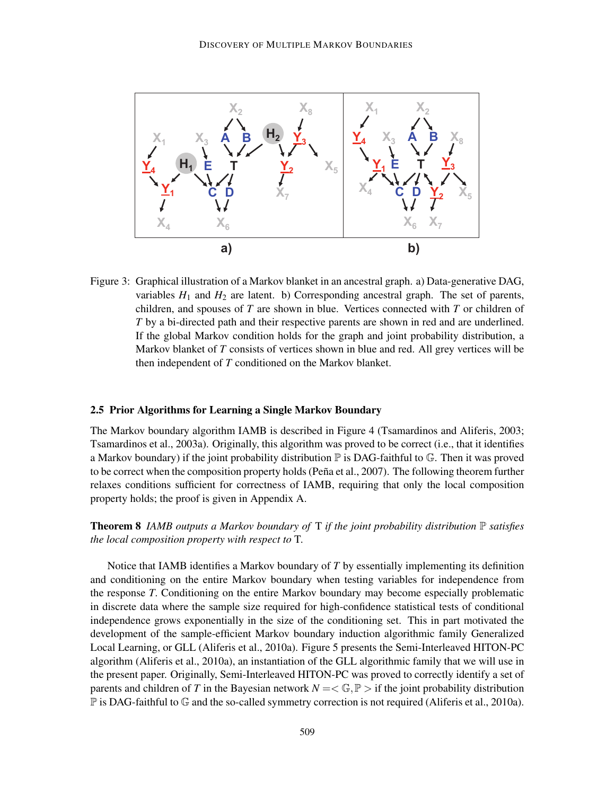

Figure 3: Graphical illustration of a Markov blanket in an ancestral graph. a) Data-generative DAG, variables  $H_1$  and  $H_2$  are latent. b) Corresponding ancestral graph. The set of parents, children, and spouses of *T* are shown in blue. Vertices connected with *T* or children of *T* by a bi-directed path and their respective parents are shown in red and are underlined. If the global Markov condition holds for the graph and joint probability distribution, a Markov blanket of *T* consists of vertices shown in blue and red. All grey vertices will be then independent of *T* conditioned on the Markov blanket.

#### 2.5 Prior Algorithms for Learning a Single Markov Boundary

The Markov boundary algorithm IAMB is described in Figure 4 (Tsamardinos and Aliferis, 2003; Tsamardinos et al., 2003a). Originally, this algorithm was proved to be correct (i.e., that it identifies a Markov boundary) if the joint probability distribution  $\mathbb P$  is DAG-faithful to  $\mathbb G$ . Then it was proved to be correct when the composition property holds (Peña et al., 2007). The following theorem further relaxes conditions sufficient for correctness of IAMB, requiring that only the local composition property holds; the proof is given in Appendix A.

**Theorem 8** *IAMB outputs a Markov boundary of*  $T$  *if the joint probability distribution*  $\mathbb P$  *satisfies the local composition property with respect to* T*.*

Notice that IAMB identifies a Markov boundary of *T* by essentially implementing its definition and conditioning on the entire Markov boundary when testing variables for independence from the response *T*. Conditioning on the entire Markov boundary may become especially problematic in discrete data where the sample size required for high-confidence statistical tests of conditional independence grows exponentially in the size of the conditioning set. This in part motivated the development of the sample-efficient Markov boundary induction algorithmic family Generalized Local Learning, or GLL (Aliferis et al., 2010a). Figure 5 presents the Semi-Interleaved HITON-PC algorithm (Aliferis et al., 2010a), an instantiation of the GLL algorithmic family that we will use in the present paper. Originally, Semi-Interleaved HITON-PC was proved to correctly identify a set of parents and children of *T* in the Bayesian network  $N = \langle \mathbb{G}, \mathbb{P} \rangle$  if the joint probability distribution  $\mathbb P$  is DAG-faithful to  $\mathbb G$  and the so-called symmetry correction is not required (Aliferis et al., 2010a).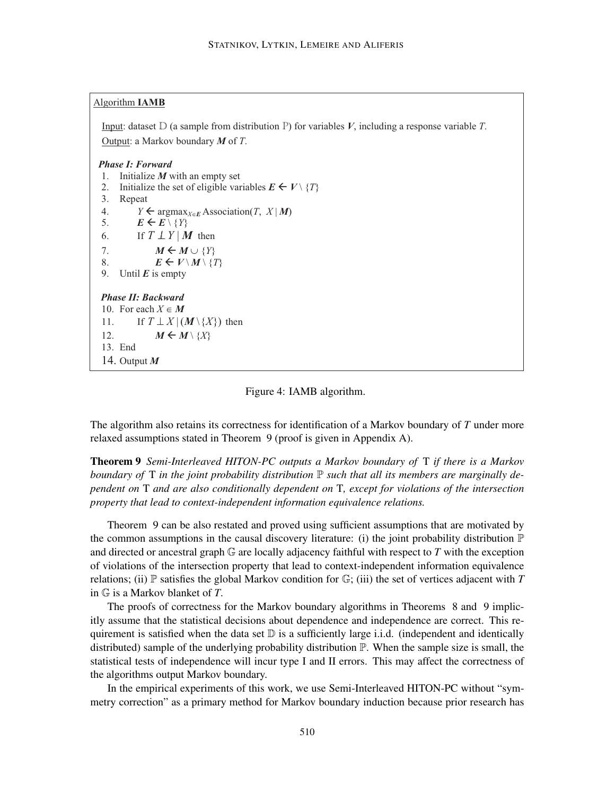#### Algorithm **IAMB**

Input: dataset D (a sample from distribution P) for variables *V*, including a response variable *T*. Output: a Markov boundary *M* of *T*.

#### *Phase I: Forward*

- 1. Initialize *M* with an empty set
- 2. Initialize the set of eligible variables  $E \leftarrow V \setminus \{T\}$
- 3. Repeat
- 4.  $Y \leftarrow \argmax_{X \in E} \text{Association}(T, X | M)$ <br>5.  $E \leftarrow E \setminus \{Y\}$
- $E \leftarrow E \setminus \{Y\}$
- 6. If  $T \perp Y \mid M$  then
- 7.  $M \leftarrow M \cup \{Y\}$
- 8.  $E \leftarrow V \setminus M \setminus \{T\}$
- 9. Until  $E$  is empty

#### *Phase II: Backward*

10. For each  $X \in M$ 11. If  $T \perp X | (\mathbf{M} \setminus \{X\})$  then 12.  $M \leftarrow M \setminus \{X\}$ 13. End 14. Output *M*

#### Figure 4: IAMB algorithm.

The algorithm also retains its correctness for identification of a Markov boundary of *T* under more relaxed assumptions stated in Theorem 9 (proof is given in Appendix A).

Theorem 9 *Semi-Interleaved HITON-PC outputs a Markov boundary of* T *if there is a Markov boundary of* T *in the joint probability distribution* P *such that all its members are marginally dependent on* T *and are also conditionally dependent on* T*, except for violations of the intersection property that lead to context-independent information equivalence relations.*

the common assumptions in the causal discovery literature: (i) the joint probability distribution P Theorem 9 can be also restated and proved using sufficient assumptions that are motivated by and directed or ancestral graph G are locally adjacency faithful with respect to *T* with the exception of violations of the intersection property that lead to context-independent information equivalence relations; (ii)  $\mathbb P$  satisfies the global Markov condition for  $\mathbb G$ ; (iii) the set of vertices adjacent with *T* in  $\mathbb{G}$  is a Markov blanket of *T*.

The proofs of correctness for the Markov boundary algorithms in Theorems 8 and 9 implicitly assume that the statistical decisions about dependence and independence are correct. This requirement is satisfied when the data set  $D$  is a sufficiently large i.i.d. (independent and identically distributed) sample of the underlying probability distribution  $\mathbb{P}$ . When the sample size is small, the statistical tests of independence will incur type I and II errors. This may affect the correctness of the algorithms output Markov boundary.

In the empirical experiments of this work, we use Semi-Interleaved HITON-PC without "symmetry correction" as a primary method for Markov boundary induction because prior research has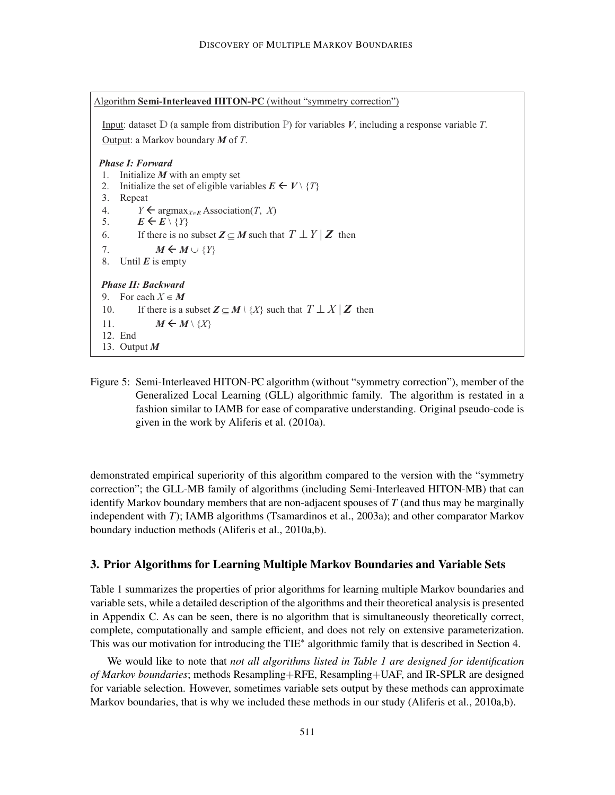```
Algorithm Semi-Interleaved HITON-PC (without "symmetry correction")
Input: dataset D (a sample from distribution P) for variables V, including a response variable T. 
Output: a Markov boundary M of T. 
Phase I: Forward 
1. Initialize M with an empty set 
2. Initialize the set of eligible variables E \leftarrow V \setminus \{T\}3. Repeat 
4. Y \leftarrow argmax<sub>X\inE</sub> Association(T, X)
5. E \leftarrow E \setminus \{Y\}6. If there is no subset Z \subseteq M such that T \perp Y | Z then
7. M \leftarrow M \cup \{Y\}8. Until E is empty 
 Phase II: Backward 
9. For each X \in M10. If there is a subset \mathbf{Z} \subseteq M \setminus \{X\} such that T \perp X | Z then
11. M \leftarrow M \setminus \{X\}12. End 
 13. Output M
```
Figure 5: Semi-Interleaved HITON-PC algorithm (without "symmetry correction"), member of the Generalized Local Learning (GLL) algorithmic family. The algorithm is restated in a fashion similar to IAMB for ease of comparative understanding. Original pseudo-code is given in the work by Aliferis et al. (2010a).

demonstrated empirical superiority of this algorithm compared to the version with the "symmetry correction"; the GLL-MB family of algorithms (including Semi-Interleaved HITON-MB) that can identify Markov boundary members that are non-adjacent spouses of *T* (and thus may be marginally independent with *T*); IAMB algorithms (Tsamardinos et al., 2003a); and other comparator Markov boundary induction methods (Aliferis et al., 2010a,b).

#### 3. Prior Algorithms for Learning Multiple Markov Boundaries and Variable Sets

Table 1 summarizes the properties of prior algorithms for learning multiple Markov boundaries and variable sets, while a detailed description of the algorithms and their theoretical analysis is presented in Appendix C. As can be seen, there is no algorithm that is simultaneously theoretically correct, complete, computationally and sample efficient, and does not rely on extensive parameterization. This was our motivation for introducing the TIE<sup>\*</sup> algorithmic family that is described in Section 4.

We would like to note that *not all algorithms listed in Table 1 are designed for identification of Markov boundaries*; methods Resampling+RFE, Resampling+UAF, and IR-SPLR are designed for variable selection. However, sometimes variable sets output by these methods can approximate Markov boundaries, that is why we included these methods in our study (Aliferis et al., 2010a,b).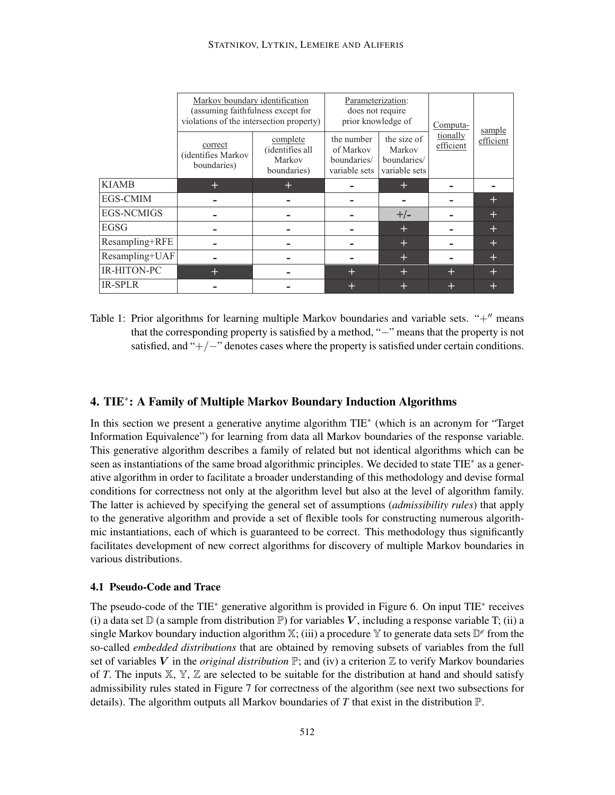|                   | Markov boundary identification<br>(assuming faithfulness except for<br>violations of the intersection property) |                                                      | Parameterization:<br>does not require<br>prior knowledge of |                                                       | Computa-              | sample    |
|-------------------|-----------------------------------------------------------------------------------------------------------------|------------------------------------------------------|-------------------------------------------------------------|-------------------------------------------------------|-----------------------|-----------|
|                   | correct<br>(identifies Markov<br>boundaries)                                                                    | complete<br>(identifies all<br>Markov<br>boundaries) | the number<br>of Markov<br>boundaries/<br>variable sets     | the size of<br>Markov<br>boundaries/<br>variable sets | tionally<br>efficient | efficient |
| <b>KIAMB</b>      | $\pm$                                                                                                           | $\pm$                                                |                                                             | $\pm$                                                 |                       |           |
| <b>EGS-CMIM</b>   |                                                                                                                 |                                                      |                                                             |                                                       |                       | $\pm$     |
| <b>EGS-NCMIGS</b> |                                                                                                                 |                                                      |                                                             | $+/-$                                                 |                       | $\pm$     |
| <b>EGSG</b>       |                                                                                                                 |                                                      |                                                             | $\pm$                                                 |                       | $\pm$     |
| Resampling+RFE    |                                                                                                                 |                                                      |                                                             | $+$                                                   |                       | $+$       |
| Resampling+UAF    |                                                                                                                 |                                                      |                                                             | $\pm$                                                 |                       | $\pm$     |
| IR-HITON-PC       | $\pm$                                                                                                           |                                                      | $\pm$                                                       | $\pm$                                                 | $\pm$                 | $\pm$     |
| <b>IR-SPLR</b>    |                                                                                                                 |                                                      | ÷                                                           | $\pm$                                                 | $\pm$                 | $\pm$     |

Table 1: Prior algorithms for learning multiple Markov boundaries and variable sets. "+" means that the corresponding property is satisfied by a method, "−" means that the property is not satisfied, and " $+/-$ " denotes cases where the property is satisfied under certain conditions.

# 4. TIE<sup>∗</sup> : A Family of Multiple Markov Boundary Induction Algorithms

In this section we present a generative anytime algorithm TIE<sup>∗</sup> (which is an acronym for "Target Information Equivalence") for learning from data all Markov boundaries of the response variable. This generative algorithm describes a family of related but not identical algorithms which can be seen as instantiations of the same broad algorithmic principles. We decided to state TIE<sup>\*</sup> as a generative algorithm in order to facilitate a broader understanding of this methodology and devise formal conditions for correctness not only at the algorithm level but also at the level of algorithm family. The latter is achieved by specifying the general set of assumptions (*admissibility rules*) that apply to the generative algorithm and provide a set of flexible tools for constructing numerous algorithmic instantiations, each of which is guaranteed to be correct. This methodology thus significantly facilitates development of new correct algorithms for discovery of multiple Markov boundaries in various distributions.

#### 4.1 Pseudo-Code and Trace

The pseudo-code of the TIE<sup>\*</sup> generative algorithm is provided in Figure 6. On input TIE<sup>\*</sup> receives (i) a data set  $\mathbb D$  (a sample from distribution  $\mathbb P$ ) for variables V, including a response variable T; (ii) a single Markov boundary induction algorithm X; (iii) a procedure Y to generate data sets D *e* from the so-called *embedded distributions* that are obtained by removing subsets of variables from the full set of variables V in the *original distribution*  $\mathbb{P}$ ; and (iv) a criterion  $\mathbb{Z}$  to verify Markov boundaries of *T*. The inputs  $X, Y, Z$  are selected to be suitable for the distribution at hand and should satisfy admissibility rules stated in Figure 7 for correctness of the algorithm (see next two subsections for details). The algorithm outputs all Markov boundaries of T that exist in the distribution  $\mathbb{P}$ .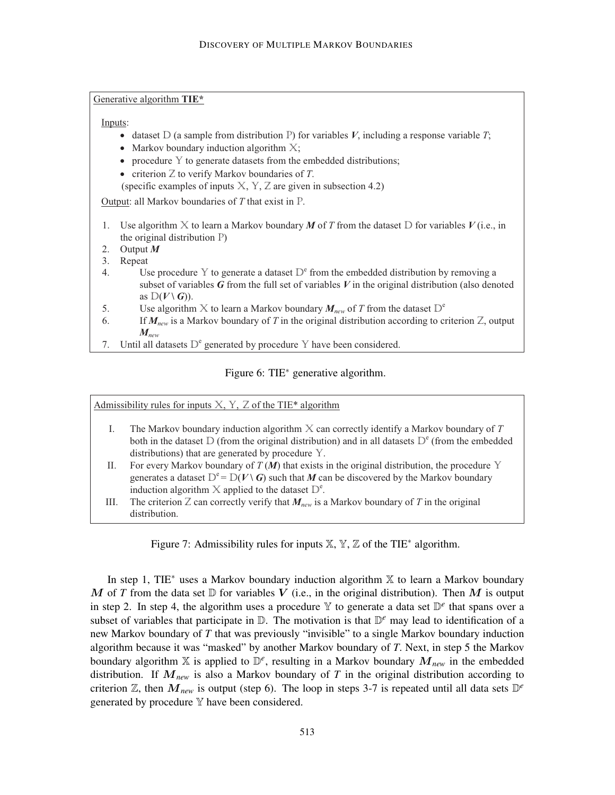Generative algorithm **TIE\***

Inputs:

- dataset  $D$  (a sample from distribution P) for variables *V*, including a response variable *T*;
- Markov boundary induction algorithm  $X$ ;
- procedure  $Y$  to generate datasets from the embedded distributions;
- · criterion Z to verify Markov boundaries of *T*.

(specific examples of inputs  $X, Y, Z$  are given in subsection 4.2)

Output: all Markov boundaries of *T* that exist in P.

- 1. Use algorithm X to learn a Markov boundary *M* of *T* from the dataset D for variables *V* (i.e., in the original distribution P)
- 2. Output *M*
- 3. Repeat
- 4. Use procedure Y to generate a dataset  $D^e$  from the embedded distribution by removing a subset of variables *G* from the full set of variables *V* in the original distribution (also denoted as  $D(V \setminus G)$ .
- 5. Use algorithm X to learn a Markov boundary  $M_{new}$  of T from the dataset  $D^e$
- 6. If *Mnew* is a Markov boundary of *T* in the original distribution according to criterion Z, output *Mnew*
- 7. Until all datasets  $D^e$  generated by procedure Y have been considered.

#### Figure 6: TIE<sup>∗</sup> generative algorithm.

Admissibility rules for inputs  $X, Y, Z$  of the TIE\* algorithm

- I. The Markov boundary induction algorithm X can correctly identify a Markov boundary of *T* both in the dataset  $D$  (from the original distribution) and in all datasets  $D<sup>e</sup>$  (from the embedded distributions) that are generated by procedure Y.
- II. For every Markov boundary of  $T(M)$  that exists in the original distribution, the procedure Y generates a dataset  $D^e = D(V \setminus G)$  such that *M* can be discovered by the Markov boundary induction algorithm  $X$  applied to the dataset  $D^e$ .
- III. The criterion  $Z$  can correctly verify that  $M_{new}$  is a Markov boundary of  $T$  in the original distribution.

Figure 7: Admissibility rules for inputs  $X, Y, Z$  of the TIE<sup>\*</sup> algorithm.

In step 1, TIE<sup>∗</sup> uses a Markov boundary induction algorithm X to learn a Markov boundary M of T from the data set  $D$  for variables V (i.e., in the original distribution). Then M is output in step 2. In step 4, the algorithm uses a procedure  $\mathbb Y$  to generate a data set  $\mathbb D^e$  that spans over a subset of variables that participate in  $D$ . The motivation is that  $D<sup>e</sup>$  may lead to identification of a new Markov boundary of *T* that was previously "invisible" to a single Markov boundary induction algorithm because it was "masked" by another Markov boundary of *T*. Next, in step 5 the Markov boundary algorithm  $X$  is applied to  $\mathbb{D}^e$ , resulting in a Markov boundary  $M_{new}$  in the embedded distribution. If M*new* is also a Markov boundary of *T* in the original distribution according to criterion  $\mathbb{Z}$ , then  $M_{new}$  is output (step 6). The loop in steps 3-7 is repeated until all data sets  $\mathbb{D}^e$ generated by procedure Y have been considered.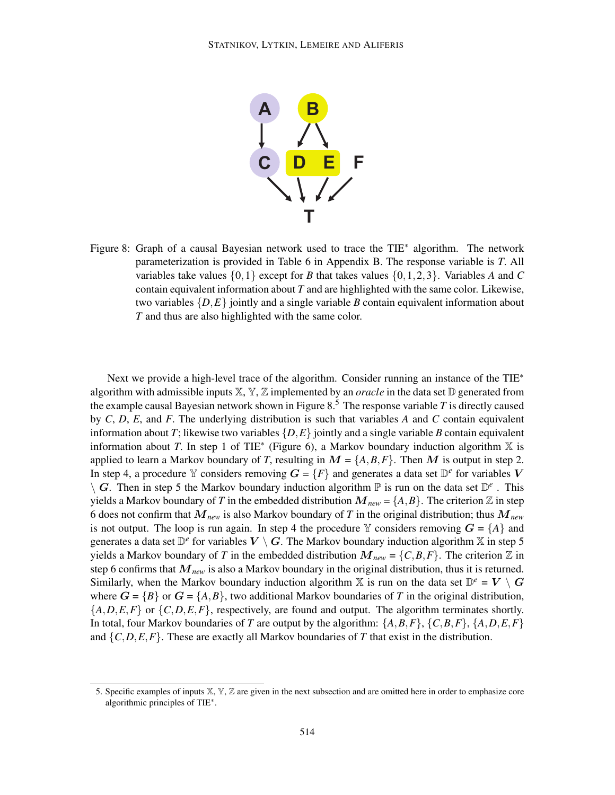

Figure 8: Graph of a causal Bayesian network used to trace the TIE<sup>∗</sup> algorithm. The network parameterization is provided in Table 6 in Appendix B. The response variable is *T*. All variables take values  $\{0,1\}$  except for *B* that takes values  $\{0,1,2,3\}$ . Variables *A* and *C* contain equivalent information about *T* and are highlighted with the same color. Likewise, two variables  $\{D,E\}$  jointly and a single variable *B* contain equivalent information about *T* and thus are also highlighted with the same color.

Next we provide a high-level trace of the algorithm. Consider running an instance of the TIE<sup>∗</sup> algorithm with admissible inputs  $X, Y, Z$  implemented by an *oracle* in the data set  $D$  generated from the example causal Bayesian network shown in Figure  $8<sup>5</sup>$ . The response variable *T* is directly caused by *C*, *D*, *E*, and *F*. The underlying distribution is such that variables *A* and *C* contain equivalent information about *T*; likewise two variables  $\{D, E\}$  jointly and a single variable *B* contain equivalent information about *T*. In step 1 of TIE<sup>\*</sup> (Figure 6), a Markov boundary induction algorithm  $X$  is applied to learn a Markov boundary of *T*, resulting in  $M = \{A, B, F\}$ . Then M is output in step 2. In step 4, a procedure Y considers removing  $G = \{F\}$  and generates a data set  $\mathbb{D}^e$  for variables V  $\setminus G$ . Then in step 5 the Markov boundary induction algorithm  $\mathbb P$  is run on the data set  $\mathbb D^e$ . This yields a Markov boundary of *T* in the embedded distribution  $M_{new} = \{A, B\}$ . The criterion Z in step 6 does not confirm that M*new* is also Markov boundary of *T* in the original distribution; thus M*new* is not output. The loop is run again. In step 4 the procedure Y considers removing  $G = \{A\}$  and generates a data set  $\mathbb{D}^e$  for variables  $V \setminus G$ . The Markov boundary induction algorithm X in step 5 yields a Markov boundary of *T* in the embedded distribution  $M_{new} = \{C, B, F\}$ . The criterion  $\mathbb Z$  in step 6 confirms that  $M_{new}$  is also a Markov boundary in the original distribution, thus it is returned. Similarly, when the Markov boundary induction algorithm X is run on the data set  $\mathbb{D}^e = V \setminus G$ where  $G = \{B\}$  or  $G = \{A, B\}$ , two additional Markov boundaries of *T* in the original distribution, {*A*,*D*,*E*,*F*} or {*C*,*D*,*E*,*F*}, respectively, are found and output. The algorithm terminates shortly. In total, four Markov boundaries of *T* are output by the algorithm:  $\{A, B, F\}$ ,  $\{C, B, F\}$ ,  $\{A, D, E, F\}$ and  $\{C, D, E, F\}$ . These are exactly all Markov boundaries of *T* that exist in the distribution.

<sup>5.</sup> Specific examples of inputs X, Y, Z are given in the next subsection and are omitted here in order to emphasize core algorithmic principles of TIE<sup>∗</sup> .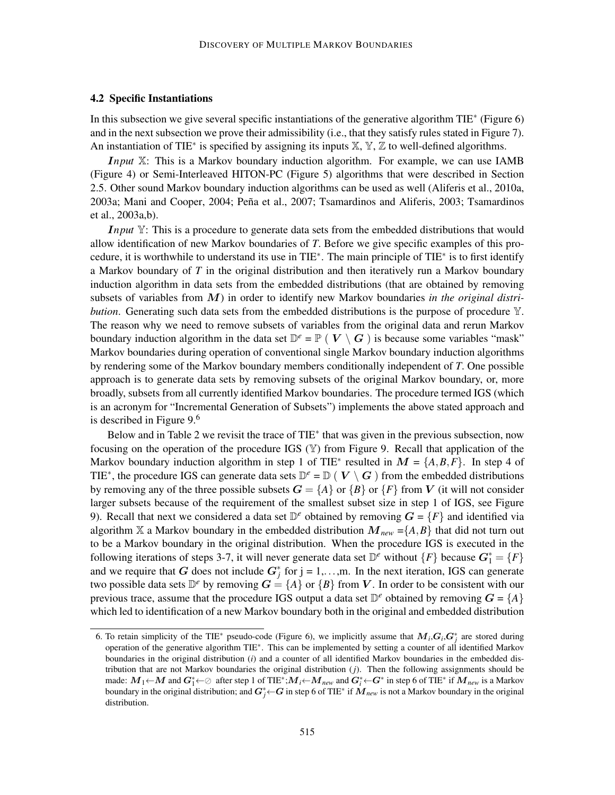#### 4.2 Specific Instantiations

In this subsection we give several specific instantiations of the generative algorithm TIE<sup>\*</sup> (Figure 6) and in the next subsection we prove their admissibility (i.e., that they satisfy rules stated in Figure 7). An instantiation of TIE<sup>\*</sup> is specified by assigning its inputs X, Y, Z to well-defined algorithms.

I*nput* X: This is a Markov boundary induction algorithm. For example, we can use IAMB (Figure 4) or Semi-Interleaved HITON-PC (Figure 5) algorithms that were described in Section 2.5. Other sound Markov boundary induction algorithms can be used as well (Aliferis et al., 2010a, 2003a; Mani and Cooper, 2004; Peña et al., 2007; Tsamardinos and Aliferis, 2003; Tsamardinos et al., 2003a,b).

*Input* Y: This is a procedure to generate data sets from the embedded distributions that would allow identification of new Markov boundaries of *T*. Before we give specific examples of this procedure, it is worthwhile to understand its use in TIE<sup>\*</sup>. The main principle of TIE<sup>\*</sup> is to first identify a Markov boundary of *T* in the original distribution and then iteratively run a Markov boundary induction algorithm in data sets from the embedded distributions (that are obtained by removing subsets of variables from M) in order to identify new Markov boundaries *in the original distribution*. Generating such data sets from the embedded distributions is the purpose of procedure  $\mathbb{Y}$ . The reason why we need to remove subsets of variables from the original data and rerun Markov boundary induction algorithm in the data set  $\mathbb{D}^e = \mathbb{P}$  ( $V \setminus G$ ) is because some variables "mask" Markov boundaries during operation of conventional single Markov boundary induction algorithms by rendering some of the Markov boundary members conditionally independent of *T*. One possible approach is to generate data sets by removing subsets of the original Markov boundary, or, more broadly, subsets from all currently identified Markov boundaries. The procedure termed IGS (which is an acronym for "Incremental Generation of Subsets") implements the above stated approach and is described in Figure 9.<sup>6</sup>

Below and in Table 2 we revisit the trace of TIE<sup>\*</sup> that was given in the previous subsection, now focusing on the operation of the procedure IGS (Y) from Figure 9. Recall that application of the Markov boundary induction algorithm in step 1 of TIE<sup>\*</sup> resulted in  $M = \{A, B, F\}$ . In step 4 of TIE<sup>\*</sup>, the procedure IGS can generate data sets  $\mathbb{D}^e = \mathbb{D}$  ( $V \setminus G$ ) from the embedded distributions by removing any of the three possible subsets  $G = \{A\}$  or  $\{B\}$  or  $\{F\}$  from V (it will not consider larger subsets because of the requirement of the smallest subset size in step 1 of IGS, see Figure 9). Recall that next we considered a data set  $\mathbb{D}^e$  obtained by removing  $G = \{F\}$  and identified via algorithm X a Markov boundary in the embedded distribution  $M_{new} = \{A, B\}$  that did not turn out to be a Markov boundary in the original distribution. When the procedure IGS is executed in the following iterations of steps 3-7, it will never generate data set  $\mathbb{D}^e$  without  $\{F\}$  because  $G_1^* = \{F\}$ and we require that G does not include  $G_j^*$  for  $j = 1, \ldots, m$ . In the next iteration, IGS can generate two possible data sets  $\mathbb{D}^e$  by removing  $G = \{A\}$  or  $\{B\}$  from V. In order to be consistent with our previous trace, assume that the procedure IGS output a data set  $\mathbb{D}^e$  obtained by removing  $G = \{A\}$ which led to identification of a new Markov boundary both in the original and embedded distribution

<sup>6.</sup> To retain simplicity of the TIE<sup>\*</sup> pseudo-code (Figure 6), we implicitly assume that  $M_i$ ,  $G_i$ ,  $G_j^*$  are stored during operation of the generative algorithm TIE<sup>∗</sup> . This can be implemented by setting a counter of all identified Markov boundaries in the original distribution (*i*) and a counter of all identified Markov boundaries in the embedded distribution that are not Markov boundaries the original distribution (*j*). Then the following assignments should be made:  $M_1$ ← *M* and  $G_1^*$ ←⊘ after step 1 of TIE<sup>\*</sup>; $M_i$ ←  $M_{new}$  and  $G_i^*$ ←  $G^*$  in step 6 of TIE<sup>\*</sup> if  $M_{new}$  is a Markov boundary in the original distribution; and  $G^*_j$ ← $G$  in step 6 of TIE\* if  $\dot{M}_{new}$  is not a Markov boundary in the original distribution.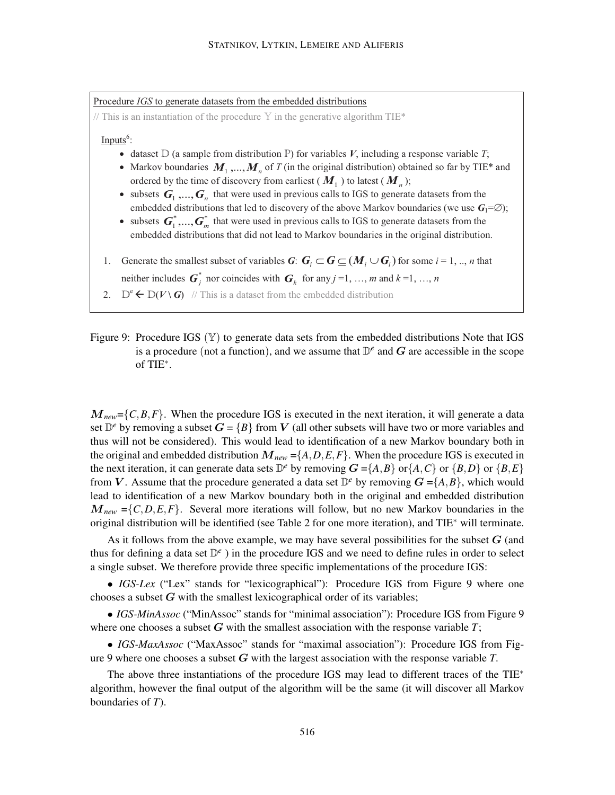Procedure *IGS* to generate datasets from the embedded distributions // This is an instantiation of the procedure Y in the generative algorithm TIE\*  $Inputs<sup>6</sup>$ : • dataset  $D$  (a sample from distribution  $P$ ) for variables  $V$ , including a response variable  $T$ ; • Markov boundaries  $M_1, ..., M_n$  of T (in the original distribution) obtained so far by TIE\* and ordered by the time of discovery from earliest ( $M_1$ ) to latest ( $M_n$ ); • subsets  $G_1, ..., G_n$  that were used in previous calls to IGS to generate datasets from the embedded distributions that led to discovery of the above Markov boundaries (we use  $G_1 = \emptyset$ ); • subsets  $\mathbf{G}_1^*$ ,...,  $\mathbf{G}_m^*$  that were used in previous calls to IGS to generate datasets from the embedded distributions that did not lead to Markov boundaries in the original distribution. 1. Generate the smallest subset of variables *G*:  $G_i \subset G \subseteq (M_i \cup G_i)$  for some *i* = 1, .., *n* that neither includes  $\mathbf{G}_j^*$  nor coincides with  $\mathbf{G}_k$  for any  $j = 1, ..., m$  and  $k = 1, ..., n$ 

- 2.  $D^e \leftarrow D(V \setminus G)$  // This is a dataset from the embedded distribution
- Figure 9: Procedure IGS  $(\mathbb{Y})$  to generate data sets from the embedded distributions Note that IGS is a procedure (not a function), and we assume that  $\mathbb{D}^e$  and G are accessible in the scope of TIE<sup>∗</sup> .

 $M_{new} = \{C, B, F\}$ . When the procedure IGS is executed in the next iteration, it will generate a data set  $\mathbb{D}^e$  by removing a subset  $G = \{B\}$  from V (all other subsets will have two or more variables and thus will not be considered). This would lead to identification of a new Markov boundary both in the original and embedded distribution  $M_{new} = \{A, D, E, F\}$ . When the procedure IGS is executed in the next iteration, it can generate data sets  $D^e$  by removing  $G = \{A, B\}$  or  $\{A, C\}$  or  $\{B, D\}$  or  $\{B, E\}$ from V. Assume that the procedure generated a data set  $\mathbb{D}^e$  by removing  $G = \{A, B\}$ , which would lead to identification of a new Markov boundary both in the original and embedded distribution  $M_{new} = \{C, D, E, F\}$ . Several more iterations will follow, but no new Markov boundaries in the original distribution will be identified (see Table 2 for one more iteration), and TIE<sup>∗</sup> will terminate.

As it follows from the above example, we may have several possibilities for the subset  $G$  (and thus for defining a data set D *e* ) in the procedure IGS and we need to define rules in order to select a single subset. We therefore provide three specific implementations of the procedure IGS:

• *IGS-Lex* ("Lex" stands for "lexicographical"): Procedure IGS from Figure 9 where one chooses a subset  $G$  with the smallest lexicographical order of its variables;

• *IGS-MinAssoc* ("MinAssoc" stands for "minimal association"): Procedure IGS from Figure 9 where one chooses a subset  $G$  with the smallest association with the response variable  $T$ ;

• *IGS-MaxAssoc* ("MaxAssoc" stands for "maximal association"): Procedure IGS from Figure 9 where one chooses a subset G with the largest association with the response variable *T*.

The above three instantiations of the procedure IGS may lead to different traces of the TIE<sup>\*</sup> algorithm, however the final output of the algorithm will be the same (it will discover all Markov boundaries of *T*).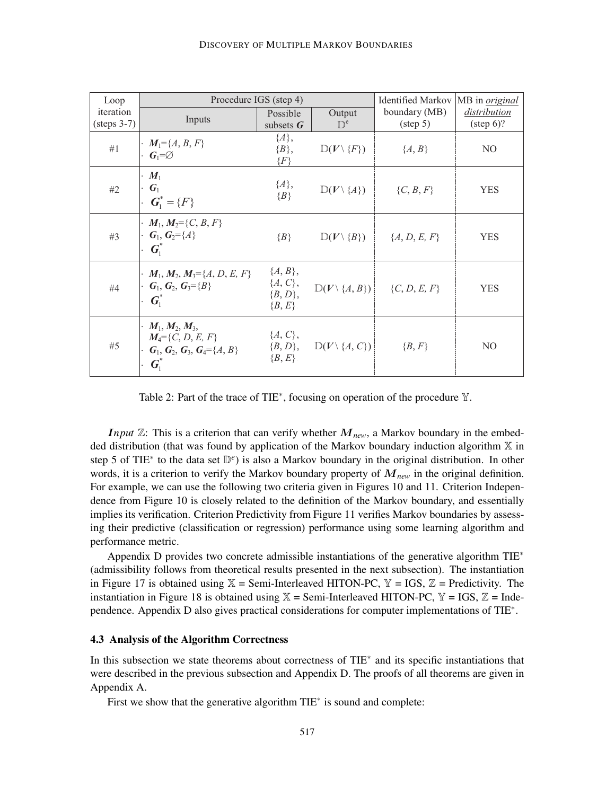| Loop                               | Procedure IGS (step 4)                                                                                                                           |                                                    |                                           | <b>Identified Markov</b>                   | MB in <i>original</i>               |
|------------------------------------|--------------------------------------------------------------------------------------------------------------------------------------------------|----------------------------------------------------|-------------------------------------------|--------------------------------------------|-------------------------------------|
| iteration<br>$(\text{steps } 3-7)$ | Inputs                                                                                                                                           | Possible<br>subsets $\boldsymbol{G}$               | Output<br>$\mathbb{D}^e$                  | boundary (MB)<br>$(\text{step } 5)$        | distribution<br>$(\text{step } 6)?$ |
| #1                                 | $\cdot M_1 = \{A, B, F\}$<br>$\cdot G_1 = \emptyset$                                                                                             | ${A},$<br>$\{B\},\$<br>$\{F\}$                     | $D(V \setminus \{F\})$                    | ${A, B}$                                   | N <sub>O</sub>                      |
| #2                                 | $\cdot$ $M_1$<br>$\cdot$ $G_1$<br>$\cdot$ $\boldsymbol{G}_{1}^* = \{F\}$                                                                         | $\{A\},\$<br>$\{B\}$                               | $D(V \setminus \{A\})$                    | $\{C, B, F\}$                              | <b>YES</b>                          |
| #3                                 | $\cdot M_1, M_2 = \{C, B, F\}$<br>$\cdot$ G <sub>1</sub> , G <sub>2</sub> ={A}<br>$G_i^*$                                                        | $\{B\}$                                            | $D(V \setminus \{B\})$                    | $\{A, D, E, F\}$                           | <b>YES</b>                          |
| #4                                 | $\cdot M_1, M_2, M_3 = \{A, D, E, F\}$<br>$\cdot$ G <sub>1</sub> , G <sub>2</sub> , G <sub>3</sub> ={B}<br>$G_{1}^*$                             | ${A, B},$<br>$\{A, C\},\$<br>${B, D},$<br>${B, E}$ |                                           | $D(V \setminus \{A, B\})$ $\{C, D, E, F\}$ | <b>YES</b>                          |
| #5                                 | $\cdot M_1, M_2, M_3,$<br>$M_4 = \{C, D, E, F\}$<br>$\cdot$ G <sub>1</sub> , G <sub>2</sub> , G <sub>3</sub> , G <sub>4</sub> ={A, B}<br>$G_i^*$ | $\{A, C\},\$<br>$\{B, E\}$                         | $\{B, D\}, \quad D(V \setminus \{A, C\})$ | $\{B, F\}$                                 | N <sub>O</sub>                      |

Table 2: Part of the trace of TIE<sup>\*</sup>, focusing on operation of the procedure **Y**.

*Input*  $\mathbb{Z}$ : This is a criterion that can verify whether  $M_{new}$ , a Markov boundary in the embedded distribution (that was found by application of the Markov boundary induction algorithm  $X$  in step 5 of TIE<sup>\*</sup> to the data set D<sup>e</sup>) is also a Markov boundary in the original distribution. In other words, it is a criterion to verify the Markov boundary property of M*new* in the original definition. For example, we can use the following two criteria given in Figures 10 and 11. Criterion Independence from Figure 10 is closely related to the definition of the Markov boundary, and essentially implies its verification. Criterion Predictivity from Figure 11 verifies Markov boundaries by assessing their predictive (classification or regression) performance using some learning algorithm and performance metric.

Appendix D provides two concrete admissible instantiations of the generative algorithm TIE<sup>∗</sup> (admissibility follows from theoretical results presented in the next subsection). The instantiation in Figure 17 is obtained using  $X =$  Semi-Interleaved HITON-PC,  $Y = IGS$ ,  $Z =$  Predictivity. The instantiation in Figure 18 is obtained using  $X =$  Semi-Interleaved HITON-PC,  $Y =$  IGS,  $Z =$  Independence. Appendix D also gives practical considerations for computer implementations of TIE<sup>∗</sup>.

#### 4.3 Analysis of the Algorithm Correctness

In this subsection we state theorems about correctness of TIE<sup>∗</sup> and its specific instantiations that were described in the previous subsection and Appendix D. The proofs of all theorems are given in Appendix A.

First we show that the generative algorithm TIE<sup>∗</sup> is sound and complete: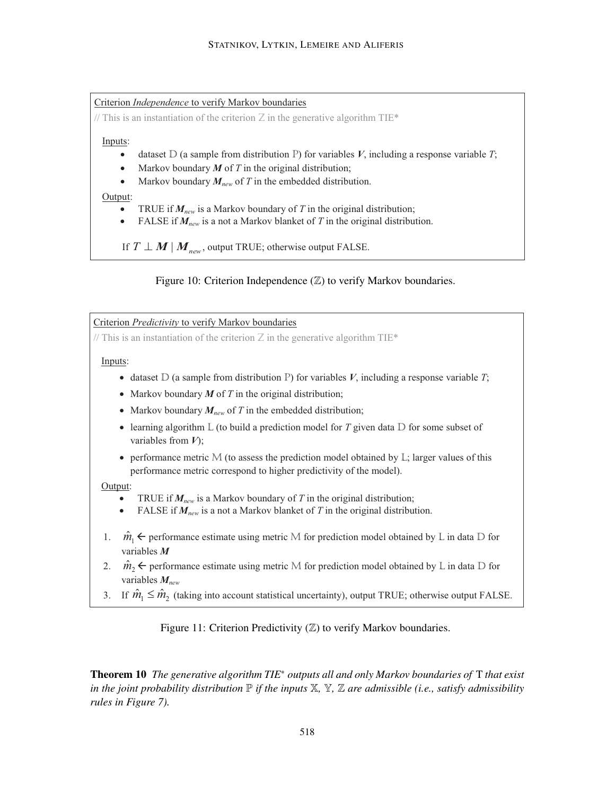Criterion *Independence* to verify Markov boundaries

// This is an instantiation of the criterion  $Z$  in the generative algorithm TIE\*

Inputs:

- dataset  $D$  (a sample from distribution P) for variables  $V$ , including a response variable  $T$ ;
- Markov boundary  $M$  of  $T$  in the original distribution;
- Markov boundary  $M_{new}$  of  $T$  in the embedded distribution.

#### Output:

- TRUE if  $M_{new}$  is a Markov boundary of *T* in the original distribution;
- FALSE if  $M_{new}$  is a not a Markov blanket of *T* in the original distribution.

If  $T \perp M \mid M_{new}$ , output TRUE; otherwise output FALSE.

Figure 10: Criterion Independence  $(\mathbb{Z})$  to verify Markov boundaries.

1.  $\hat{m}_1 \leftarrow$  performance estimate using metric M for prediction model obtained by L in data D for Criterion *Predictivity* to verify Markov boundaries // This is an instantiation of the criterion  $Z$  in the generative algorithm TIE\* Inputs: • dataset  $D$  (a sample from distribution P) for variables *V*, including a response variable *T*; • Markov boundary *M* of *T* in the original distribution; • Markov boundary  $M_{new}$  of *T* in the embedded distribution; • learning algorithm L (to build a prediction model for *T* given data D for some subset of variables from *V*); · performance metric M (to assess the prediction model obtained by L; larger values of this performance metric correspond to higher predictivity of the model). Output: TRUE if  $M_{new}$  is a Markov boundary of T in the original distribution; FALSE if  $M_{new}$  is a not a Markov blanket of *T* in the original distribution. variables *M*

- 2.  $\hat{m}_2 \leftarrow$  performance estimate using metric M for prediction model obtained by L in data D for variables *Mnew*
- 3. If  $\hat{m}_1 \leq \hat{m}_2$  (taking into account statistical uncertainty), output TRUE; otherwise output FALSE.

Figure 11: Criterion Predictivity  $(\mathbb{Z})$  to verify Markov boundaries.

Theorem 10 *The generative algorithm TIE*<sup>∗</sup> *outputs all and only Markov boundaries of* T *that exist in the joint probability distribution*  $\mathbb P$  *if the inputs*  $\mathbb X$ ,  $\mathbb Y$ ,  $\mathbb Z$  *are admissible (i.e., satisfy admissibility rules in Figure 7).*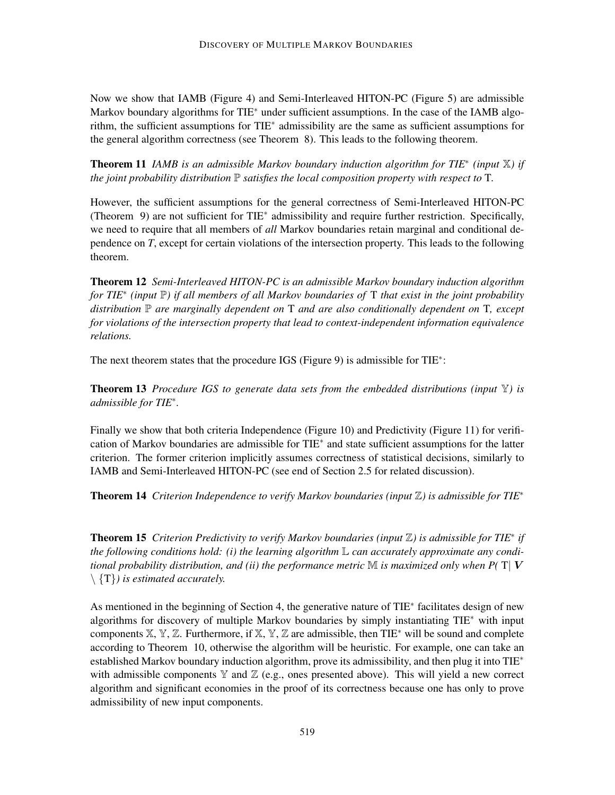Now we show that IAMB (Figure 4) and Semi-Interleaved HITON-PC (Figure 5) are admissible Markov boundary algorithms for TIE<sup>\*</sup> under sufficient assumptions. In the case of the IAMB algorithm, the sufficient assumptions for TIE<sup>∗</sup> admissibility are the same as sufficient assumptions for the general algorithm correctness (see Theorem 8). This leads to the following theorem.

Theorem 11 *IAMB is an admissible Markov boundary induction algorithm for TIE*<sup>∗</sup> *(input* X*) if the joint probability distribution* P *satisfies the local composition property with respect to* T*.*

However, the sufficient assumptions for the general correctness of Semi-Interleaved HITON-PC (Theorem 9) are not sufficient for TIE<sup>∗</sup> admissibility and require further restriction. Specifically, we need to require that all members of *all* Markov boundaries retain marginal and conditional dependence on *T*, except for certain violations of the intersection property. This leads to the following theorem.

Theorem 12 *Semi-Interleaved HITON-PC is an admissible Markov boundary induction algorithm for TIE*<sup>∗</sup> *(input* P*) if all members of all Markov boundaries of* T *that exist in the joint probability distribution* P *are marginally dependent on* T *and are also conditionally dependent on* T*, except for violations of the intersection property that lead to context-independent information equivalence relations.*

The next theorem states that the procedure IGS (Figure 9) is admissible for TIE<sup>\*</sup>:

Theorem 13 *Procedure IGS to generate data sets from the embedded distributions (input* Y*) is admissible for TIE*<sup>∗</sup> *.*

Finally we show that both criteria Independence (Figure 10) and Predictivity (Figure 11) for verification of Markov boundaries are admissible for TIE<sup>\*</sup> and state sufficient assumptions for the latter criterion. The former criterion implicitly assumes correctness of statistical decisions, similarly to IAMB and Semi-Interleaved HITON-PC (see end of Section 2.5 for related discussion).

Theorem 14 *Criterion Independence to verify Markov boundaries (input* Z*) is admissible for TIE*<sup>∗</sup>

Theorem 15 *Criterion Predictivity to verify Markov boundaries (input* Z*) is admissible for TIE*<sup>∗</sup> *if the following conditions hold: (i) the learning algorithm* L *can accurately approximate any conditional probability distribution, and (ii) the performance metric*  $\mathbb M$  *is maximized only when P(* T|  $V$ \ {T}*) is estimated accurately.*

As mentioned in the beginning of Section 4, the generative nature of TIE<sup>\*</sup> facilitates design of new algorithms for discovery of multiple Markov boundaries by simply instantiating TIE<sup>\*</sup> with input components  $X, Y, Z$ . Furthermore, if  $X, Y, Z$  are admissible, then TIE<sup>\*</sup> will be sound and complete according to Theorem 10, otherwise the algorithm will be heuristic. For example, one can take an established Markov boundary induction algorithm, prove its admissibility, and then plug it into TIE<sup>∗</sup> with admissible components  $\mathbb Y$  and  $\mathbb Z$  (e.g., ones presented above). This will yield a new correct algorithm and significant economies in the proof of its correctness because one has only to prove admissibility of new input components.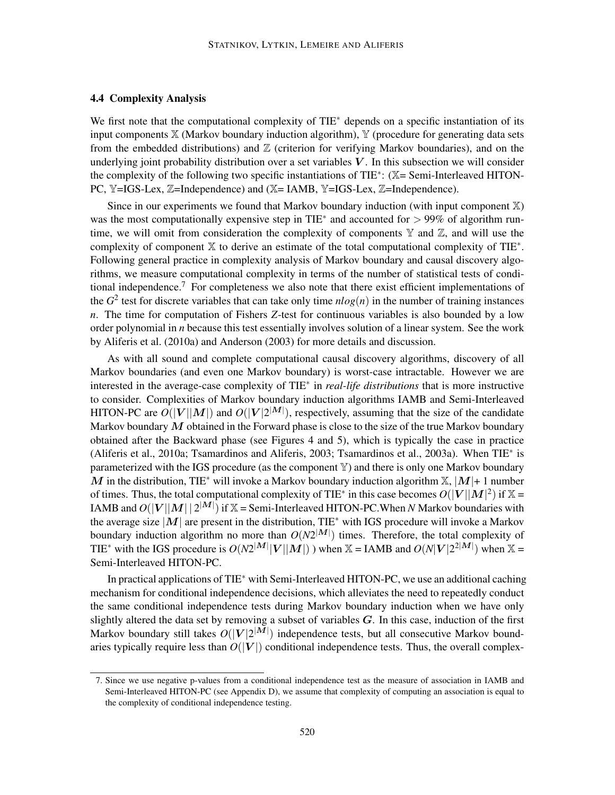#### 4.4 Complexity Analysis

We first note that the computational complexity of TIE<sup>∗</sup> depends on a specific instantiation of its input components  $X$  (Markov boundary induction algorithm),  $Y$  (procedure for generating data sets from the embedded distributions) and  $\mathbb Z$  (criterion for verifying Markov boundaries), and on the underlying joint probability distribution over a set variables  $V$ . In this subsection we will consider the complexity of the following two specific instantiations of TIE<sup>\*</sup>: (X= Semi-Interleaved HITON-PC, Y=IGS-Lex, Z=Independence) and (X=IAMB, Y=IGS-Lex, Z=Independence).

Since in our experiments we found that Markov boundary induction (with input component  $X$ ) was the most computationally expensive step in TIE<sup>\*</sup> and accounted for  $> 99\%$  of algorithm runtime, we will omit from consideration the complexity of components  $\mathbb Y$  and  $\mathbb Z$ , and will use the complexity of component X to derive an estimate of the total computational complexity of TIE<sup>∗</sup> . Following general practice in complexity analysis of Markov boundary and causal discovery algorithms, we measure computational complexity in terms of the number of statistical tests of conditional independence.<sup>7</sup> For completeness we also note that there exist efficient implementations of the  $G^2$  test for discrete variables that can take only time  $nlog(n)$  in the number of training instances *n*. The time for computation of Fishers *Z*-test for continuous variables is also bounded by a low order polynomial in *n* because this test essentially involves solution of a linear system. See the work by Aliferis et al. (2010a) and Anderson (2003) for more details and discussion.

As with all sound and complete computational causal discovery algorithms, discovery of all Markov boundaries (and even one Markov boundary) is worst-case intractable. However we are interested in the average-case complexity of TIE<sup>∗</sup> in *real-life distributions* that is more instructive to consider. Complexities of Markov boundary induction algorithms IAMB and Semi-Interleaved HITON-PC are  $\tilde{O}(|V||M|)$  and  $O(|V|2^{|M|})$ , respectively, assuming that the size of the candidate Markov boundary  $M$  obtained in the Forward phase is close to the size of the true Markov boundary obtained after the Backward phase (see Figures 4 and 5), which is typically the case in practice (Aliferis et al., 2010a; Tsamardinos and Aliferis, 2003; Tsamardinos et al., 2003a). When TIE<sup>∗</sup> is parameterized with the IGS procedure (as the component  $\mathbb{Y}$ ) and there is only one Markov boundary M in the distribution, TIE<sup>\*</sup> will invoke a Markov boundary induction algorithm  $X$ ,  $|M|+ 1$  number of times. Thus, the total computational complexity of TIE<sup>\*</sup> in this case becomes  $O(|V||M|^2)$  if  $\mathbb{X} =$ IAMB and  $O(|V||M||2^{|M|})$  if  $\mathbb{X}$  = Semi-Interleaved HITON-PC. When *N* Markov boundaries with the average size  $|M|$  are present in the distribution, TIE<sup>\*</sup> with IGS procedure will invoke a Markov boundary induction algorithm no more than  $O(N2^{|M|})$  times. Therefore, the total complexity of TIE<sup>\*</sup> with the IGS procedure is  $O(N2^{|M|}|V||M|)$  ) when  $\mathbb{X} = IAMB$  and  $O(N|V|2^{|M|})$  when  $\mathbb{X} =$ Semi-Interleaved HITON-PC.

In practical applications of TIE<sup>∗</sup> with Semi-Interleaved HITON-PC, we use an additional caching mechanism for conditional independence decisions, which alleviates the need to repeatedly conduct the same conditional independence tests during Markov boundary induction when we have only slightly altered the data set by removing a subset of variables  $G$ . In this case, induction of the first Markov boundary still takes  $O(|V|2^{|M|})$  independence tests, but all consecutive Markov boundaries typically require less than  $O(|V|)$  conditional independence tests. Thus, the overall complex-

<sup>7.</sup> Since we use negative p-values from a conditional independence test as the measure of association in IAMB and Semi-Interleaved HITON-PC (see Appendix D), we assume that complexity of computing an association is equal to the complexity of conditional independence testing.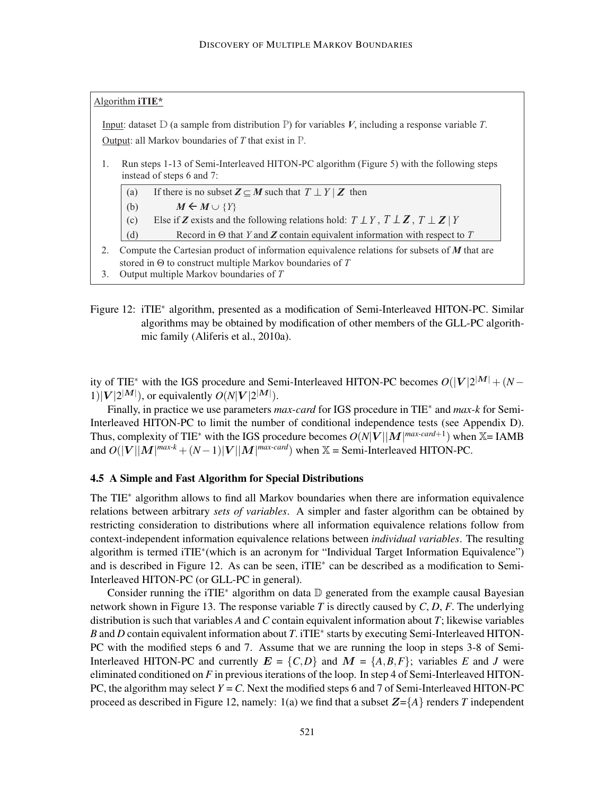#### Algorithm **iTIE\***

Input: dataset D (a sample from distribution P) for variables *V*, including a response variable *T*. Output: all Markov boundaries of *T* that exist in P.

- 1. Run steps 1-13 of Semi-Interleaved HITON-PC algorithm (Figure 5) with the following steps instead of steps 6 and 7:
	- (a) If there is no subset  $\mathbf{Z} \subseteq M$  such that  $T \perp Y | Z$  then
	- (b)  $M \leftarrow M \cup \{Y\}$
	- (c) Else if **Z** exists and the following relations hold:  $T \perp Y$ ,  $T \perp Z$ ,  $T \perp Z$  | *Y*

(d) Record in Q that *Y* and *Z* contain equivalent information with respect to *T* 

- 2. Compute the Cartesian product of information equivalence relations for subsets of *M* that are stored in Q to construct multiple Markov boundaries of *T*
- 3. Output multiple Markov boundaries of *T*
- Figure 12: iTIE<sup>\*</sup> algorithm, presented as a modification of Semi-Interleaved HITON-PC. Similar algorithms may be obtained by modification of other members of the GLL-PC algorithmic family (Aliferis et al., 2010a).

ity of TIE<sup>\*</sup> with the IGS procedure and Semi-Interleaved HITON-PC becomes  $O(|V|2^{|M|} + (N 1)|V|2^{|M|}$ , or equivalently  $O(N|V|2^{|M|})$ .

Finally, in practice we use parameters *max-card* for IGS procedure in TIE<sup>∗</sup> and *max-k* for Semi-Interleaved HITON-PC to limit the number of conditional independence tests (see Appendix D). Thus, complexity of TIE<sup>\*</sup> with the IGS procedure becomes  $O(N|V||M|^{max\text{-}card+1})$  when  $\mathbb{X}$ = IAMB and  $O(|V||M|^{max-k} + (N-1)|V||M|^{max-card})$  when  $\mathbb{X}$  = Semi-Interleaved HITON-PC.

#### 4.5 A Simple and Fast Algorithm for Special Distributions

The TIE<sup>\*</sup> algorithm allows to find all Markov boundaries when there are information equivalence relations between arbitrary *sets of variables*. A simpler and faster algorithm can be obtained by restricting consideration to distributions where all information equivalence relations follow from context-independent information equivalence relations between *individual variables*. The resulting algorithm is termed iTIE\*(which is an acronym for "Individual Target Information Equivalence") and is described in Figure 12. As can be seen, iTIE<sup>∗</sup> can be described as a modification to Semi-Interleaved HITON-PC (or GLL-PC in general).

Consider running the iTIE<sup>\*</sup> algorithm on data **D** generated from the example causal Bayesian network shown in Figure 13. The response variable *T* is directly caused by *C*, *D*, *F*. The underlying distribution is such that variables *A* and *C* contain equivalent information about *T*; likewise variables *B* and *D* contain equivalent information about *T*. iTIE<sup>\*</sup> starts by executing Semi-Interleaved HITON-PC with the modified steps 6 and 7. Assume that we are running the loop in steps 3-8 of Semi-Interleaved HITON-PC and currently  $E = \{C, D\}$  and  $M = \{A, B, F\}$ ; variables *E* and *J* were eliminated conditioned on *F* in previous iterations of the loop. In step 4 of Semi-Interleaved HITON-PC, the algorithm may select  $Y = C$ . Next the modified steps 6 and 7 of Semi-Interleaved HITON-PC proceed as described in Figure 12, namely: 1(a) we find that a subset  $Z = \{A\}$  renders *T* independent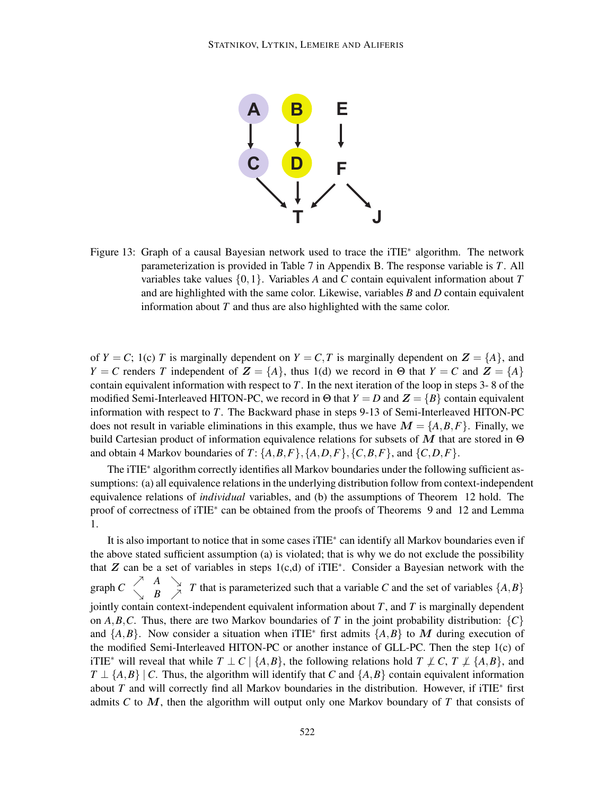

Figure 13: Graph of a causal Bayesian network used to trace the iTIE<sup>\*</sup> algorithm. The network parameterization is provided in Table 7 in Appendix B. The response variable is *T*. All variables take values {0,1}. Variables *A* and *C* contain equivalent information about *T* and are highlighted with the same color. Likewise, variables *B* and *D* contain equivalent information about *T* and thus are also highlighted with the same color.

of  $Y = C$ ; 1(c) *T* is marginally dependent on  $Y = C$ , *T* is marginally dependent on  $Z = \{A\}$ , and *Y* = *C* renders *T* independent of  $\mathbf{Z} = \{A\}$ , thus 1(d) we record in Θ that *Y* = *C* and  $\mathbf{Z} = \{A\}$ contain equivalent information with respect to *T*. In the next iteration of the loop in steps 3- 8 of the modified Semi-Interleaved HITON-PC, we record in  $\Theta$  that  $Y = D$  and  $Z = \{B\}$  contain equivalent information with respect to *T*. The Backward phase in steps 9-13 of Semi-Interleaved HITON-PC does not result in variable eliminations in this example, thus we have  $M = \{A, B, F\}$ . Finally, we build Cartesian product of information equivalence relations for subsets of M that are stored in  $\Theta$ and obtain 4 Markov boundaries of  $T: \{A, B, F\}$ ,  $\{A, D, F\}$ ,  $\{C, B, F\}$ , and  $\{C, D, F\}$ .

The iTIE<sup>\*</sup> algorithm correctly identifies all Markov boundaries under the following sufficient assumptions: (a) all equivalence relations in the underlying distribution follow from context-independent equivalence relations of *individual* variables, and (b) the assumptions of Theorem 12 hold. The proof of correctness of iTIE<sup>\*</sup> can be obtained from the proofs of Theorems 9 and 12 and Lemma 1.

It is also important to notice that in some cases iTIE<sup>∗</sup> can identify all Markov boundaries even if the above stated sufficient assumption (a) is violated; that is why we do not exclude the possibility that  $Z$  can be a set of variables in steps 1(c,d) of iTIE<sup>\*</sup>. Consider a Bayesian network with the graph  $C \left(\begin{array}{cc} A & A \\ B & A \end{array}\right)$  $\begin{bmatrix} A & B \end{bmatrix}$  *T* that is parameterized such that a variable *C* and the set of variables  $\{A, B\}$ jointly contain context-independent equivalent information about *T*, and *T* is marginally dependent on *A*,*B*,*C*. Thus, there are two Markov boundaries of *T* in the joint probability distribution:  ${C}$ and  $\{A,B\}$ . Now consider a situation when iTIE<sup>\*</sup> first admits  $\{A,B\}$  to M during execution of the modified Semi-Interleaved HITON-PC or another instance of GLL-PC. Then the step 1(c) of iTIE<sup>\*</sup> will reveal that while  $T \perp C \mid \{A, B\}$ , the following relations hold  $T \perp C$ ,  $T \perp \{A, B\}$ , and  $T \perp \{A,B\}$  | *C*. Thus, the algorithm will identify that *C* and  $\{A,B\}$  contain equivalent information about *T* and will correctly find all Markov boundaries in the distribution. However, if iTIE<sup>∗</sup> first admits *C* to M, then the algorithm will output only one Markov boundary of *T* that consists of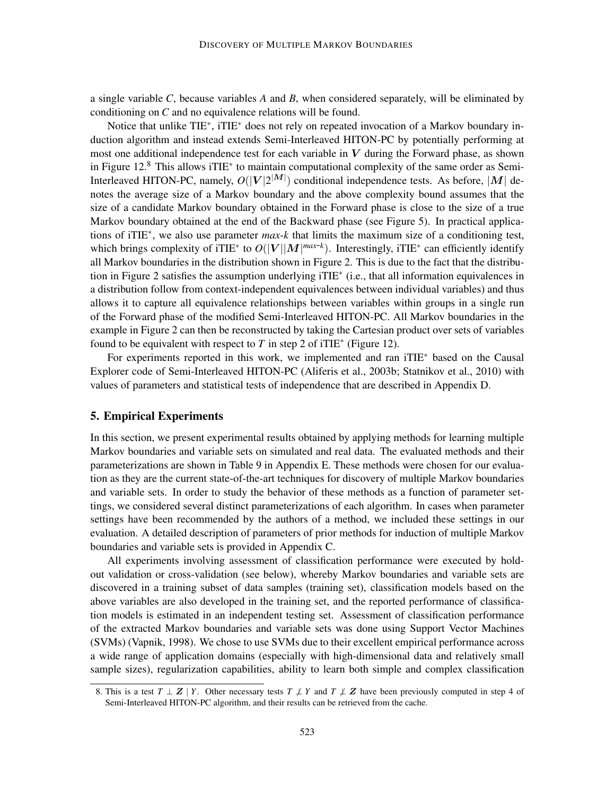a single variable *C*, because variables *A* and *B*, when considered separately, will be eliminated by conditioning on *C* and no equivalence relations will be found.

Notice that unlike TIE<sup>\*</sup>, iTIE<sup>\*</sup> does not rely on repeated invocation of a Markov boundary induction algorithm and instead extends Semi-Interleaved HITON-PC by potentially performing at most one additional independence test for each variable in  $V$  during the Forward phase, as shown in Figure 12.<sup>8</sup> This allows iTIE<sup>\*</sup> to maintain computational complexity of the same order as Semi-Interleaved HITON-PC, namely,  $O(|V|2^{|M|})$  conditional independence tests. As before, |M| denotes the average size of a Markov boundary and the above complexity bound assumes that the size of a candidate Markov boundary obtained in the Forward phase is close to the size of a true Markov boundary obtained at the end of the Backward phase (see Figure 5). In practical applications of iTIE<sup>∗</sup> , we also use parameter *max*-*k* that limits the maximum size of a conditioning test, which brings complexity of iTIE<sup>\*</sup> to  $O(|V||M|^{max-k})$ . Interestingly, iTIE<sup>\*</sup> can efficiently identify all Markov boundaries in the distribution shown in Figure 2. This is due to the fact that the distribution in Figure 2 satisfies the assumption underlying iTIE<sup>∗</sup> (i.e., that all information equivalences in a distribution follow from context-independent equivalences between individual variables) and thus allows it to capture all equivalence relationships between variables within groups in a single run of the Forward phase of the modified Semi-Interleaved HITON-PC. All Markov boundaries in the example in Figure 2 can then be reconstructed by taking the Cartesian product over sets of variables found to be equivalent with respect to  $T$  in step 2 of iTIE<sup>\*</sup> (Figure 12).

For experiments reported in this work, we implemented and ran iTIE<sup>∗</sup> based on the Causal Explorer code of Semi-Interleaved HITON-PC (Aliferis et al., 2003b; Statnikov et al., 2010) with values of parameters and statistical tests of independence that are described in Appendix D.

#### 5. Empirical Experiments

In this section, we present experimental results obtained by applying methods for learning multiple Markov boundaries and variable sets on simulated and real data. The evaluated methods and their parameterizations are shown in Table 9 in Appendix E. These methods were chosen for our evaluation as they are the current state-of-the-art techniques for discovery of multiple Markov boundaries and variable sets. In order to study the behavior of these methods as a function of parameter settings, we considered several distinct parameterizations of each algorithm. In cases when parameter settings have been recommended by the authors of a method, we included these settings in our evaluation. A detailed description of parameters of prior methods for induction of multiple Markov boundaries and variable sets is provided in Appendix C.

All experiments involving assessment of classification performance were executed by holdout validation or cross-validation (see below), whereby Markov boundaries and variable sets are discovered in a training subset of data samples (training set), classification models based on the above variables are also developed in the training set, and the reported performance of classification models is estimated in an independent testing set. Assessment of classification performance of the extracted Markov boundaries and variable sets was done using Support Vector Machines (SVMs) (Vapnik, 1998). We chose to use SVMs due to their excellent empirical performance across a wide range of application domains (especially with high-dimensional data and relatively small sample sizes), regularization capabilities, ability to learn both simple and complex classification

<sup>8.</sup> This is a test  $T \perp Z \mid Y$ . Other necessary tests  $T \perp Y$  and  $T \perp Z$  have been previously computed in step 4 of Semi-Interleaved HITON-PC algorithm, and their results can be retrieved from the cache.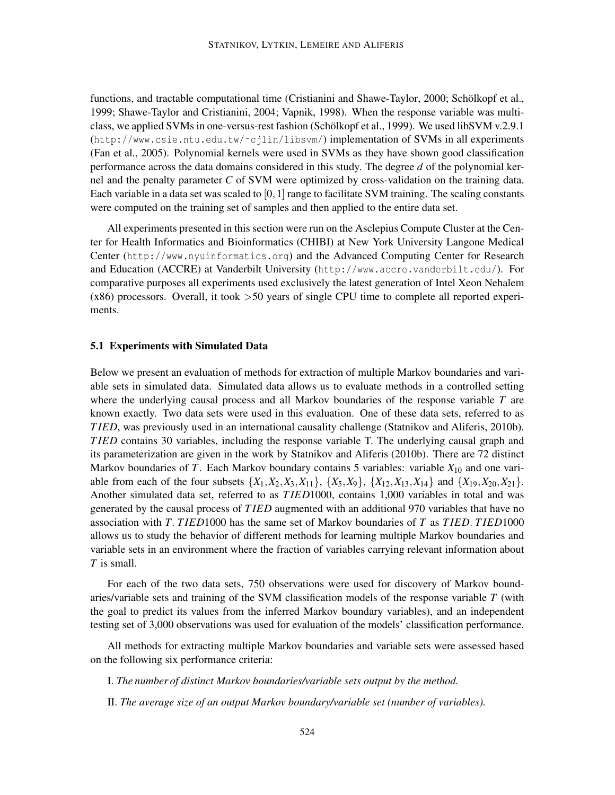functions, and tractable computational time (Cristianini and Shawe-Taylor, 2000; Schölkopf et al., 1999; Shawe-Taylor and Cristianini, 2004; Vapnik, 1998). When the response variable was multiclass, we applied SVMs in one-versus-rest fashion (Schölkopf et al., 1999). We used libSVM v.2.9.1 (http://www.csie.ntu.edu.tw/˜cjlin/libsvm/) implementation of SVMs in all experiments (Fan et al., 2005). Polynomial kernels were used in SVMs as they have shown good classification performance across the data domains considered in this study. The degree *d* of the polynomial kernel and the penalty parameter *C* of SVM were optimized by cross-validation on the training data. Each variable in a data set was scaled to  $[0,1]$  range to facilitate SVM training. The scaling constants were computed on the training set of samples and then applied to the entire data set.

All experiments presented in this section were run on the Asclepius Compute Cluster at the Center for Health Informatics and Bioinformatics (CHIBI) at New York University Langone Medical Center (http://www.nyuinformatics.org) and the Advanced Computing Center for Research and Education (ACCRE) at Vanderbilt University (http://www.accre.vanderbilt.edu/). For comparative purposes all experiments used exclusively the latest generation of Intel Xeon Nehalem (x86) processors. Overall, it took >50 years of single CPU time to complete all reported experiments.

#### 5.1 Experiments with Simulated Data

Below we present an evaluation of methods for extraction of multiple Markov boundaries and variable sets in simulated data. Simulated data allows us to evaluate methods in a controlled setting where the underlying causal process and all Markov boundaries of the response variable *T* are known exactly. Two data sets were used in this evaluation. One of these data sets, referred to as *T IED*, was previously used in an international causality challenge (Statnikov and Aliferis, 2010b). *T IED* contains 30 variables, including the response variable T. The underlying causal graph and its parameterization are given in the work by Statnikov and Aliferis (2010b). There are 72 distinct Markov boundaries of *T*. Each Markov boundary contains 5 variables: variable  $X_{10}$  and one variable from each of the four subsets  $\{X_1, X_2, X_3, X_{11}\}, \{X_5, X_9\}, \{X_{12}, X_{13}, X_{14}\}$  and  $\{X_{19}, X_{20}, X_{21}\}.$ Another simulated data set, referred to as *T IED*1000, contains 1,000 variables in total and was generated by the causal process of *T IED* augmented with an additional 970 variables that have no association with *T*. *T IED*1000 has the same set of Markov boundaries of *T* as *T IED*. *T IED*1000 allows us to study the behavior of different methods for learning multiple Markov boundaries and variable sets in an environment where the fraction of variables carrying relevant information about *T* is small.

For each of the two data sets, 750 observations were used for discovery of Markov boundaries/variable sets and training of the SVM classification models of the response variable *T* (with the goal to predict its values from the inferred Markov boundary variables), and an independent testing set of 3,000 observations was used for evaluation of the models' classification performance.

All methods for extracting multiple Markov boundaries and variable sets were assessed based on the following six performance criteria:

I. *The number of distinct Markov boundaries/variable sets output by the method.*

II. *The average size of an output Markov boundary/variable set (number of variables).*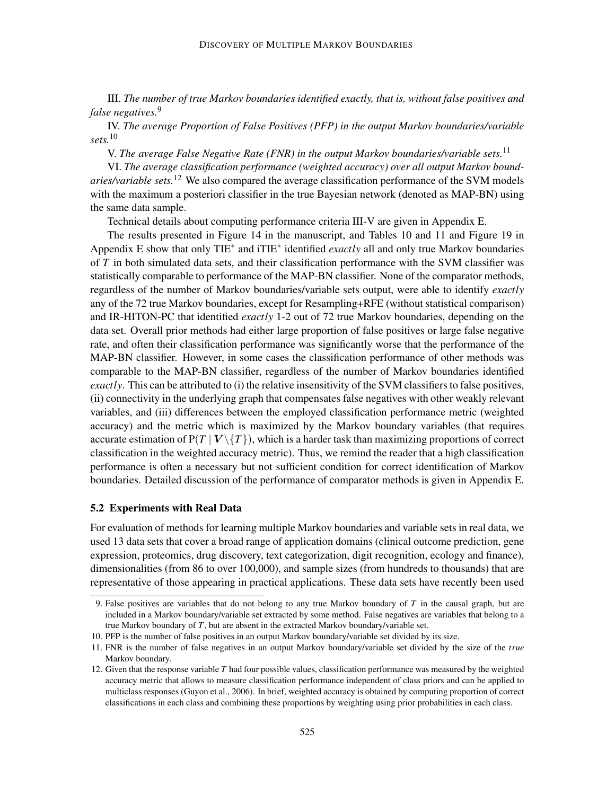III. *The number of true Markov boundaries identified exactly, that is, without false positives and false negatives.*<sup>9</sup>

IV. *The average Proportion of False Positives (PFP) in the output Markov boundaries/variable sets.*<sup>10</sup>

V. *The average False Negative Rate (FNR) in the output Markov boundaries/variable sets.*<sup>11</sup>

VI. *The average classification performance (weighted accuracy) over all output Markov boundaries/variable sets.*<sup>12</sup> We also compared the average classification performance of the SVM models with the maximum a posteriori classifier in the true Bayesian network (denoted as MAP-BN) using the same data sample.

Technical details about computing performance criteria III-V are given in Appendix E.

The results presented in Figure 14 in the manuscript, and Tables 10 and 11 and Figure 19 in Appendix E show that only TIE<sup>\*</sup> and iTIE<sup>\*</sup> identified *exactly* all and only true Markov boundaries of *T* in both simulated data sets, and their classification performance with the SVM classifier was statistically comparable to performance of the MAP-BN classifier. None of the comparator methods, regardless of the number of Markov boundaries/variable sets output, were able to identify *exactly* any of the 72 true Markov boundaries, except for Resampling+RFE (without statistical comparison) and IR-HITON-PC that identified *exactly* 1-2 out of 72 true Markov boundaries, depending on the data set. Overall prior methods had either large proportion of false positives or large false negative rate, and often their classification performance was significantly worse that the performance of the MAP-BN classifier. However, in some cases the classification performance of other methods was comparable to the MAP-BN classifier, regardless of the number of Markov boundaries identified *exactly*. This can be attributed to (i) the relative insensitivity of the SVM classifiers to false positives, (ii) connectivity in the underlying graph that compensates false negatives with other weakly relevant variables, and (iii) differences between the employed classification performance metric (weighted accuracy) and the metric which is maximized by the Markov boundary variables (that requires accurate estimation of  $P(T | V \setminus \{T\})$ , which is a harder task than maximizing proportions of correct classification in the weighted accuracy metric). Thus, we remind the reader that a high classification performance is often a necessary but not sufficient condition for correct identification of Markov boundaries. Detailed discussion of the performance of comparator methods is given in Appendix E.

#### 5.2 Experiments with Real Data

For evaluation of methods for learning multiple Markov boundaries and variable sets in real data, we used 13 data sets that cover a broad range of application domains (clinical outcome prediction, gene expression, proteomics, drug discovery, text categorization, digit recognition, ecology and finance), dimensionalities (from 86 to over 100,000), and sample sizes (from hundreds to thousands) that are representative of those appearing in practical applications. These data sets have recently been used

<sup>9.</sup> False positives are variables that do not belong to any true Markov boundary of *T* in the causal graph, but are included in a Markov boundary/variable set extracted by some method. False negatives are variables that belong to a true Markov boundary of *T*, but are absent in the extracted Markov boundary/variable set.

<sup>10.</sup> PFP is the number of false positives in an output Markov boundary/variable set divided by its size.

<sup>11.</sup> FNR is the number of false negatives in an output Markov boundary/variable set divided by the size of the *true* Markov boundary.

<sup>12.</sup> Given that the response variable *T* had four possible values, classification performance was measured by the weighted accuracy metric that allows to measure classification performance independent of class priors and can be applied to multiclass responses (Guyon et al., 2006). In brief, weighted accuracy is obtained by computing proportion of correct classifications in each class and combining these proportions by weighting using prior probabilities in each class.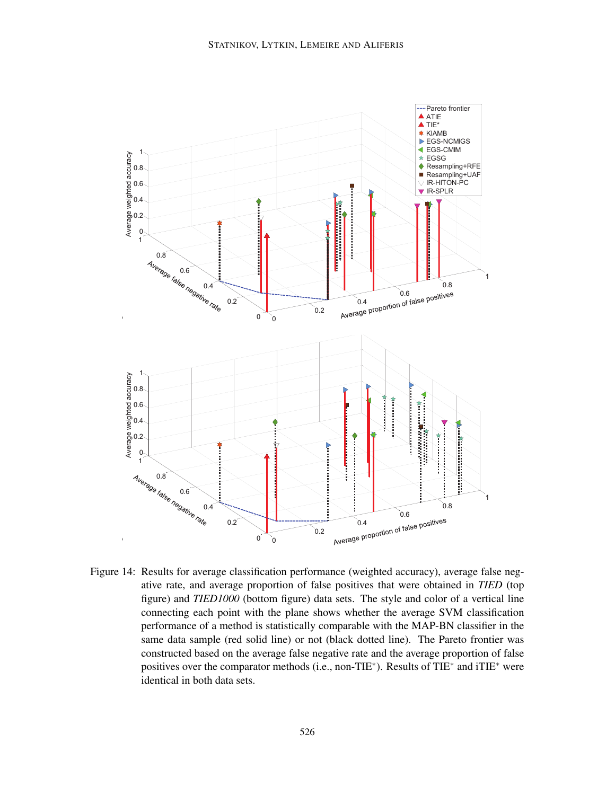

Figure 14: Results for average classification performance (weighted accuracy), average false negative rate, and average proportion of false positives that were obtained in *TIED* (top figure) and *TIED1000* (bottom figure) data sets. The style and color of a vertical line connecting each point with the plane shows whether the average SVM classification performance of a method is statistically comparable with the MAP-BN classifier in the same data sample (red solid line) or not (black dotted line). The Pareto frontier was constructed based on the average false negative rate and the average proportion of false positives over the comparator methods (i.e., non-TIE<sup>\*</sup>). Results of TIE<sup>\*</sup> and iTIE<sup>\*</sup> were identical in both data sets.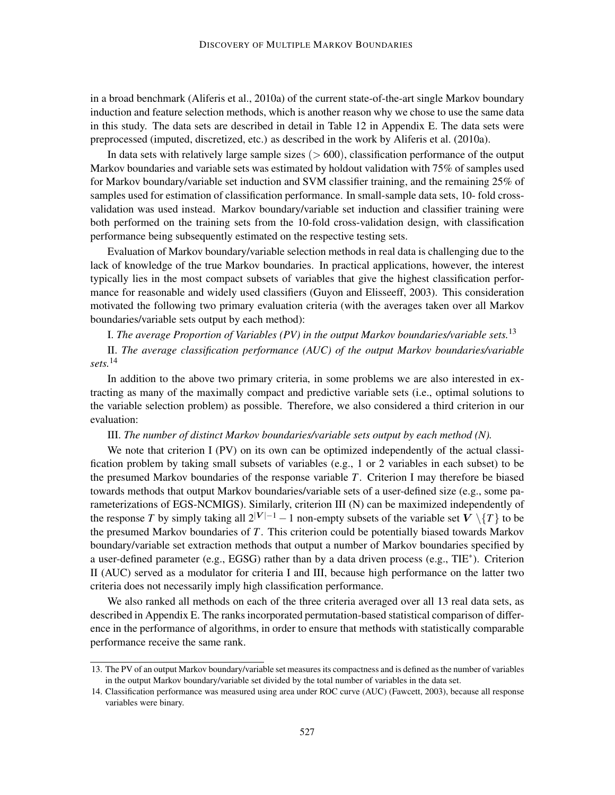in a broad benchmark (Aliferis et al., 2010a) of the current state-of-the-art single Markov boundary induction and feature selection methods, which is another reason why we chose to use the same data in this study. The data sets are described in detail in Table 12 in Appendix E. The data sets were preprocessed (imputed, discretized, etc.) as described in the work by Aliferis et al. (2010a).

In data sets with relatively large sample sizes  $(> 600)$ , classification performance of the output Markov boundaries and variable sets was estimated by holdout validation with 75% of samples used for Markov boundary/variable set induction and SVM classifier training, and the remaining 25% of samples used for estimation of classification performance. In small-sample data sets, 10- fold crossvalidation was used instead. Markov boundary/variable set induction and classifier training were both performed on the training sets from the 10-fold cross-validation design, with classification performance being subsequently estimated on the respective testing sets.

Evaluation of Markov boundary/variable selection methods in real data is challenging due to the lack of knowledge of the true Markov boundaries. In practical applications, however, the interest typically lies in the most compact subsets of variables that give the highest classification performance for reasonable and widely used classifiers (Guyon and Elisseeff, 2003). This consideration motivated the following two primary evaluation criteria (with the averages taken over all Markov boundaries/variable sets output by each method):

I. *The average Proportion of Variables (PV) in the output Markov boundaries/variable sets.*<sup>13</sup>

II. *The average classification performance (AUC) of the output Markov boundaries/variable sets.*<sup>14</sup>

In addition to the above two primary criteria, in some problems we are also interested in extracting as many of the maximally compact and predictive variable sets (i.e., optimal solutions to the variable selection problem) as possible. Therefore, we also considered a third criterion in our evaluation:

# III. *The number of distinct Markov boundaries/variable sets output by each method (N).*

We note that criterion I (PV) on its own can be optimized independently of the actual classification problem by taking small subsets of variables (e.g., 1 or 2 variables in each subset) to be the presumed Markov boundaries of the response variable *T*. Criterion I may therefore be biased towards methods that output Markov boundaries/variable sets of a user-defined size (e.g., some parameterizations of EGS-NCMIGS). Similarly, criterion III (N) can be maximized independently of the response *T* by simply taking all  $2^{|V|-1} - 1$  non-empty subsets of the variable set  $V \setminus \{T\}$  to be the presumed Markov boundaries of *T*. This criterion could be potentially biased towards Markov boundary/variable set extraction methods that output a number of Markov boundaries specified by a user-defined parameter (e.g., EGSG) rather than by a data driven process (e.g., TIE<sup>\*</sup>). Criterion II (AUC) served as a modulator for criteria I and III, because high performance on the latter two criteria does not necessarily imply high classification performance.

We also ranked all methods on each of the three criteria averaged over all 13 real data sets, as described in Appendix E. The ranks incorporated permutation-based statistical comparison of difference in the performance of algorithms, in order to ensure that methods with statistically comparable performance receive the same rank.

<sup>13.</sup> The PV of an output Markov boundary/variable set measures its compactness and is defined as the number of variables in the output Markov boundary/variable set divided by the total number of variables in the data set.

<sup>14.</sup> Classification performance was measured using area under ROC curve (AUC) (Fawcett, 2003), because all response variables were binary.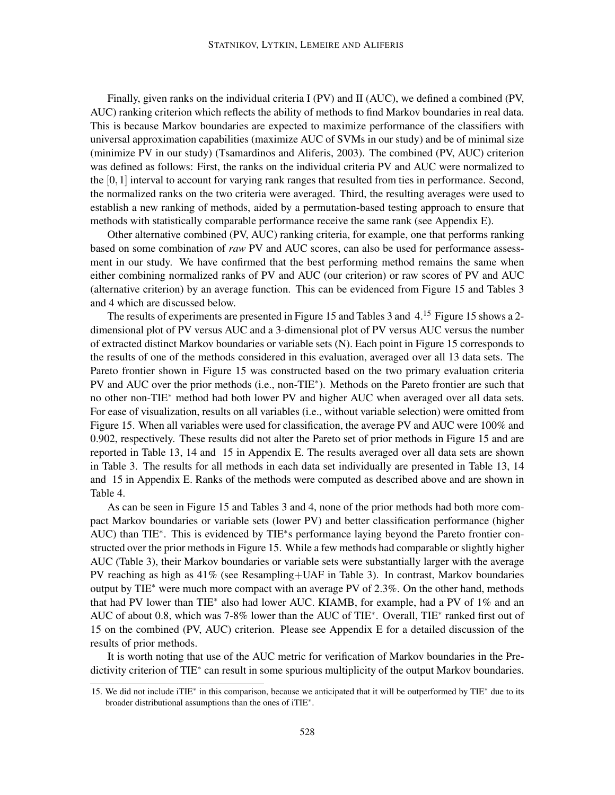Finally, given ranks on the individual criteria I (PV) and II (AUC), we defined a combined (PV, AUC) ranking criterion which reflects the ability of methods to find Markov boundaries in real data. This is because Markov boundaries are expected to maximize performance of the classifiers with universal approximation capabilities (maximize AUC of SVMs in our study) and be of minimal size (minimize PV in our study) (Tsamardinos and Aliferis, 2003). The combined (PV, AUC) criterion was defined as follows: First, the ranks on the individual criteria PV and AUC were normalized to the  $[0,1]$  interval to account for varying rank ranges that resulted from ties in performance. Second, the normalized ranks on the two criteria were averaged. Third, the resulting averages were used to establish a new ranking of methods, aided by a permutation-based testing approach to ensure that methods with statistically comparable performance receive the same rank (see Appendix E).

Other alternative combined (PV, AUC) ranking criteria, for example, one that performs ranking based on some combination of *raw* PV and AUC scores, can also be used for performance assessment in our study. We have confirmed that the best performing method remains the same when either combining normalized ranks of PV and AUC (our criterion) or raw scores of PV and AUC (alternative criterion) by an average function. This can be evidenced from Figure 15 and Tables 3 and 4 which are discussed below.

The results of experiments are presented in Figure 15 and Tables 3 and 4.<sup>15</sup> Figure 15 shows a 2dimensional plot of PV versus AUC and a 3-dimensional plot of PV versus AUC versus the number of extracted distinct Markov boundaries or variable sets (N). Each point in Figure 15 corresponds to the results of one of the methods considered in this evaluation, averaged over all 13 data sets. The Pareto frontier shown in Figure 15 was constructed based on the two primary evaluation criteria PV and AUC over the prior methods (i.e., non-TIE<sup>\*</sup>). Methods on the Pareto frontier are such that no other non-TIE<sup>∗</sup> method had both lower PV and higher AUC when averaged over all data sets. For ease of visualization, results on all variables (i.e., without variable selection) were omitted from Figure 15. When all variables were used for classification, the average PV and AUC were 100% and 0.902, respectively. These results did not alter the Pareto set of prior methods in Figure 15 and are reported in Table 13, 14 and 15 in Appendix E. The results averaged over all data sets are shown in Table 3. The results for all methods in each data set individually are presented in Table 13, 14 and 15 in Appendix E. Ranks of the methods were computed as described above and are shown in Table 4.

As can be seen in Figure 15 and Tables 3 and 4, none of the prior methods had both more compact Markov boundaries or variable sets (lower PV) and better classification performance (higher AUC) than TIE<sup>\*</sup>. This is evidenced by TIE<sup>\*</sup>s performance laying beyond the Pareto frontier constructed over the prior methods in Figure 15. While a few methods had comparable or slightly higher AUC (Table 3), their Markov boundaries or variable sets were substantially larger with the average PV reaching as high as 41% (see Resampling+UAF in Table 3). In contrast, Markov boundaries output by TIE<sup>∗</sup> were much more compact with an average PV of 2.3%. On the other hand, methods that had PV lower than TIE<sup>∗</sup> also had lower AUC. KIAMB, for example, had a PV of 1% and an AUC of about 0.8, which was 7-8% lower than the AUC of TIE<sup>\*</sup>. Overall, TIE<sup>\*</sup> ranked first out of 15 on the combined (PV, AUC) criterion. Please see Appendix E for a detailed discussion of the results of prior methods.

It is worth noting that use of the AUC metric for verification of Markov boundaries in the Predictivity criterion of TIE<sup>\*</sup> can result in some spurious multiplicity of the output Markov boundaries.

<sup>15.</sup> We did not include iTIE<sup>∗</sup> in this comparison, because we anticipated that it will be outperformed by TIE<sup>∗</sup> due to its broader distributional assumptions than the ones of iTIE<sup>∗</sup> .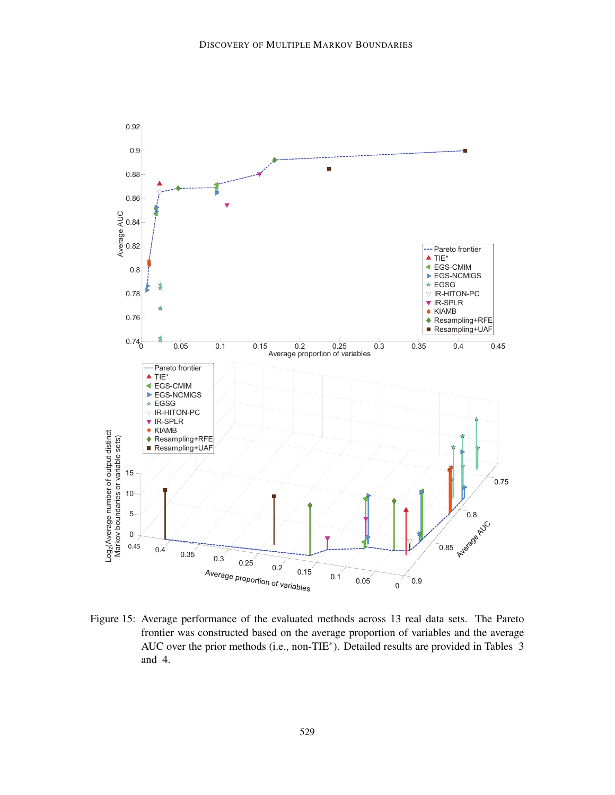

Figure 15: Average performance of the evaluated methods across 13 real data sets. The Pareto frontier was constructed based on the average proportion of variables and the average AUC over the prior methods (i.e., non-TIE<sup>∗</sup> ). Detailed results are provided in Tables 3 and 4.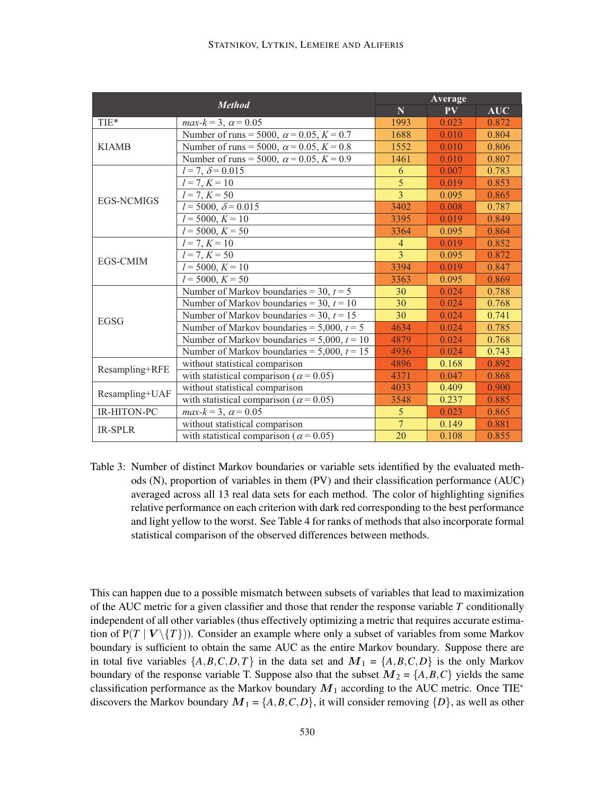|                   | <b>Method</b>                                    | Average                 |       |            |  |  |
|-------------------|--------------------------------------------------|-------------------------|-------|------------|--|--|
|                   |                                                  | $\overline{\mathbf{N}}$ | PV    | <b>AUC</b> |  |  |
| TIE*              | $max-k = 3, \ \alpha = 0.05$                     | 1993                    | 0.023 | 0.872      |  |  |
|                   | Number of runs = 5000, $\alpha$ = 0.05, K = 0.7  | 1688                    | 0.010 | 0.804      |  |  |
| <b>KIAMB</b>      | Number of runs = 5000, $\alpha$ = 0.05, K = 0.8  | 1552                    | 0.010 | 0.806      |  |  |
|                   | Number of runs = 5000, $\alpha$ = 0.05, K = 0.9  | 1461                    | 0.010 | 0.807      |  |  |
|                   | $l = 7, \delta = 0.015$                          | 6                       | 0.007 | 0.783      |  |  |
|                   | $l = 7, K = 10$                                  | $\overline{5}$          | 0.019 | 0.853      |  |  |
| <b>EGS-NCMIGS</b> | $\overline{l}$ = 7, $K$ = 50                     | 3                       | 0.095 | 0.865      |  |  |
|                   | $l = 5000, \delta = 0.015$                       | 3402                    | 0.008 | 0.787      |  |  |
|                   | $l = 5000, K = 10$                               | 3395                    | 0.019 | 0.849      |  |  |
|                   | $l = 5000, K = 50$                               | 3364                    | 0.095 | 0.864      |  |  |
|                   | $l = 7, K = 10$                                  | $\overline{4}$          | 0.019 | 0.852      |  |  |
|                   | $l = 7, K = 50$                                  | 3                       | 0.095 | 0.872      |  |  |
| EGS-CMIM          | $l = 5000, K = 10$                               | 3394                    | 0.019 | 0.847      |  |  |
|                   | $\overline{l} = 5000, K = 50$                    | 3363                    | 0.095 | 0.869      |  |  |
|                   | Number of Markov boundaries = 30, $t = 5$        | 30                      | 0.024 | 0.788      |  |  |
|                   | Number of Markov boundaries = 30, $t = 10$       | 30                      | 0.024 | 0.768      |  |  |
| <b>EGSG</b>       | Number of Markov boundaries = 30, $t = 15$       | 30                      | 0.024 | 0.741      |  |  |
|                   | Number of Markov boundaries = $5,000$ , $t = 5$  | 4634                    | 0.024 | 0.785      |  |  |
|                   | Number of Markov boundaries = $5,000$ , $t = 10$ | 4879                    | 0.024 | 0.768      |  |  |
|                   | Number of Markov boundaries = $5,000$ , $t = 15$ | 4936                    | 0.024 | 0.743      |  |  |
|                   | without statistical comparison                   | 4896                    | 0.168 | 0.892      |  |  |
| Resampling+RFE    | with statistical comparison ( $\alpha$ = 0.05)   | 4371                    | 0.047 | 0.868      |  |  |
|                   | without statistical comparison                   | 4033                    | 0.409 | 0.900      |  |  |
| Resampling+UAF    | with statistical comparison ( $\alpha$ = 0.05)   | 3548                    | 0.237 | 0.885      |  |  |
| IR-HITON-PC       | $max-k = 3, \alpha = 0.05$                       | 5                       | 0.023 | 0.865      |  |  |
|                   | without statistical comparison                   | $\overline{7}$          | 0.149 | 0.881      |  |  |
| <b>IR-SPLR</b>    | with statistical comparison ( $\alpha$ = 0.05)   | 20                      | 0.108 | 0.855      |  |  |

Table 3: Number of distinct Markov boundaries or variable sets identified by the evaluated methods (N), proportion of variables in them (PV) and their classification performance (AUC) averaged across all 13 real data sets for each method. The color of highlighting signifies relative performance on each criterion with dark red corresponding to the best performance and light yellow to the worst. See Table 4 for ranks of methods that also incorporate formal statistical comparison of the observed differences between methods.

This can happen due to a possible mismatch between subsets of variables that lead to maximization of the AUC metric for a given classifier and those that render the response variable *T* conditionally independent of all other variables (thus effectively optimizing a metric that requires accurate estimation of  $P(T | V \setminus \{T\})$ ). Consider an example where only a subset of variables from some Markov boundary is sufficient to obtain the same AUC as the entire Markov boundary. Suppose there are in total five variables  $\{A, B, C, D, T\}$  in the data set and  $M_1 = \{A, B, C, D\}$  is the only Markov boundary of the response variable T. Suppose also that the subset  $M_2 = \{A, B, C\}$  yields the same classification performance as the Markov boundary  $M_1$  according to the AUC metric. Once TIE<sup>\*</sup> discovers the Markov boundary  $M_1 = \{A, B, C, D\}$ , it will consider removing  $\{D\}$ , as well as other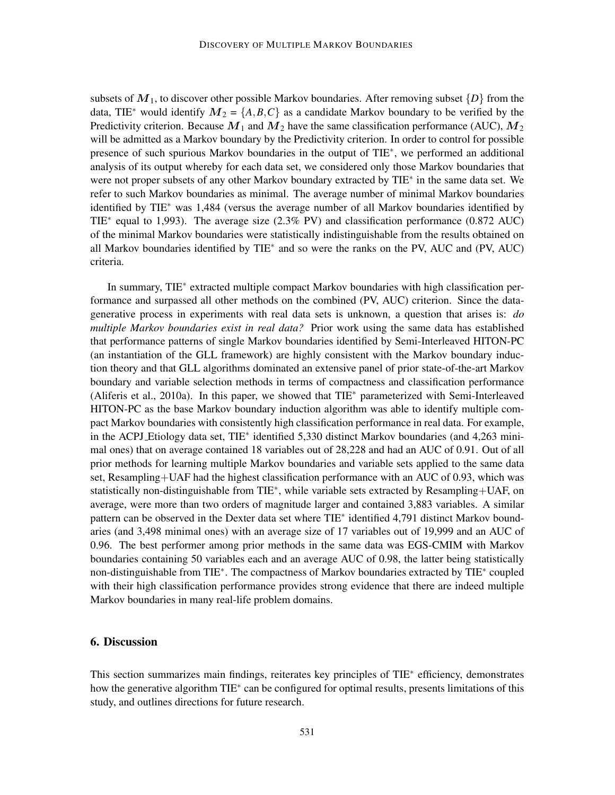subsets of  $M_1$ , to discover other possible Markov boundaries. After removing subset  $\{D\}$  from the data, TIE<sup>\*</sup> would identify  $M_2 = \{A, B, C\}$  as a candidate Markov boundary to be verified by the Predictivity criterion. Because  $M_1$  and  $M_2$  have the same classification performance (AUC),  $M_2$ will be admitted as a Markov boundary by the Predictivity criterion. In order to control for possible presence of such spurious Markov boundaries in the output of TIE<sup>\*</sup>, we performed an additional analysis of its output whereby for each data set, we considered only those Markov boundaries that were not proper subsets of any other Markov boundary extracted by TIE<sup>\*</sup> in the same data set. We refer to such Markov boundaries as minimal. The average number of minimal Markov boundaries identified by TIE<sup>∗</sup> was 1,484 (versus the average number of all Markov boundaries identified by TIE<sup>\*</sup> equal to 1,993). The average size (2.3% PV) and classification performance (0.872 AUC) of the minimal Markov boundaries were statistically indistinguishable from the results obtained on all Markov boundaries identified by TIE<sup>\*</sup> and so were the ranks on the PV, AUC and (PV, AUC) criteria.

In summary, TIE<sup>∗</sup> extracted multiple compact Markov boundaries with high classification performance and surpassed all other methods on the combined (PV, AUC) criterion. Since the datagenerative process in experiments with real data sets is unknown, a question that arises is: *do multiple Markov boundaries exist in real data?* Prior work using the same data has established that performance patterns of single Markov boundaries identified by Semi-Interleaved HITON-PC (an instantiation of the GLL framework) are highly consistent with the Markov boundary induction theory and that GLL algorithms dominated an extensive panel of prior state-of-the-art Markov boundary and variable selection methods in terms of compactness and classification performance (Aliferis et al., 2010a). In this paper, we showed that TIE<sup>∗</sup> parameterized with Semi-Interleaved HITON-PC as the base Markov boundary induction algorithm was able to identify multiple compact Markov boundaries with consistently high classification performance in real data. For example, in the ACPJ Etiology data set, TIE<sup>\*</sup> identified 5,330 distinct Markov boundaries (and 4,263 minimal ones) that on average contained 18 variables out of 28,228 and had an AUC of 0.91. Out of all prior methods for learning multiple Markov boundaries and variable sets applied to the same data set, Resampling+UAF had the highest classification performance with an AUC of 0.93, which was statistically non-distinguishable from TIE<sup>\*</sup>, while variable sets extracted by Resampling+UAF, on average, were more than two orders of magnitude larger and contained 3,883 variables. A similar pattern can be observed in the Dexter data set where TIE<sup>\*</sup> identified 4,791 distinct Markov boundaries (and 3,498 minimal ones) with an average size of 17 variables out of 19,999 and an AUC of 0.96. The best performer among prior methods in the same data was EGS-CMIM with Markov boundaries containing 50 variables each and an average AUC of 0.98, the latter being statistically non-distinguishable from TIE<sup>\*</sup>. The compactness of Markov boundaries extracted by TIE<sup>\*</sup> coupled with their high classification performance provides strong evidence that there are indeed multiple Markov boundaries in many real-life problem domains.

### 6. Discussion

This section summarizes main findings, reiterates key principles of TIE<sup>∗</sup> efficiency, demonstrates how the generative algorithm TIE<sup>∗</sup> can be configured for optimal results, presents limitations of this study, and outlines directions for future research.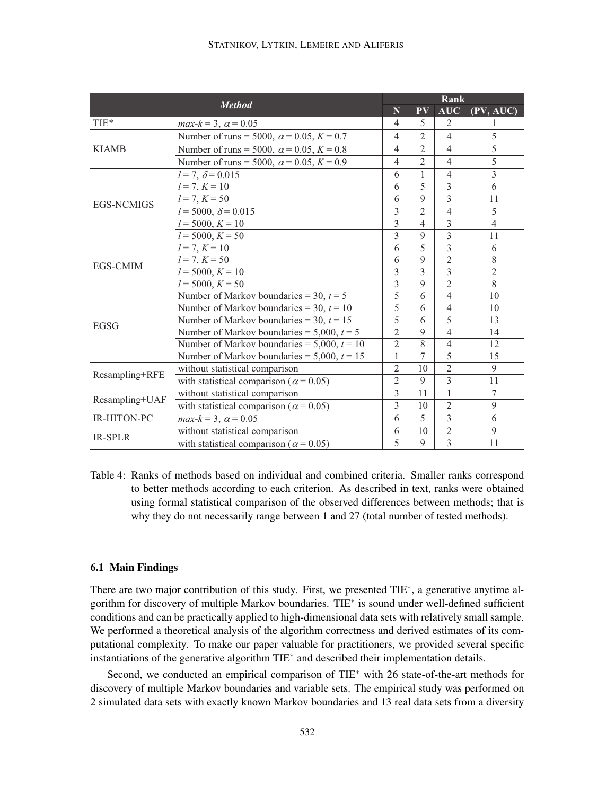|                   | <b>Method</b>                                    | Rank           |                                   |                |                |  |
|-------------------|--------------------------------------------------|----------------|-----------------------------------|----------------|----------------|--|
|                   |                                                  | N              | $\overline{\mathbf{P}}\mathbf{V}$ | <b>AUC</b>     | (PV, AUC)      |  |
| TIE*              | $max-k = 3, \ \alpha = 0.05$                     | 4              | 5                                 | 2              |                |  |
|                   | Number of runs = 5000, $\alpha$ = 0.05, K = 0.7  | $\overline{4}$ | $\overline{2}$                    | $\overline{4}$ | 5              |  |
| <b>KIAMB</b>      | Number of runs = 5000, $\alpha$ = 0.05, K = 0.8  | $\overline{4}$ | $\overline{2}$                    | $\overline{4}$ | 5              |  |
|                   | Number of runs = 5000, $\alpha$ = 0.05, K = 0.9  | $\overline{4}$ | $\overline{2}$                    | 4              | $\overline{5}$ |  |
|                   | $l = 7, \delta = 0.015$                          | 6              | $\mathbf{1}$                      | $\overline{4}$ | 3              |  |
|                   | $l = 7, K = 10$                                  | 6              | 5                                 | 3              | 6              |  |
|                   | $l = 7, K = 50$                                  | 6              | 9                                 | $\overline{3}$ | 11             |  |
| <b>EGS-NCMIGS</b> | $l = 5000, \delta = 0.015$                       | $\overline{3}$ | $\overline{2}$                    | $\overline{4}$ | 5              |  |
|                   | $l = 5000, K = 10$                               | 3              | $\overline{4}$                    | 3              | $\overline{4}$ |  |
|                   | $l = 5000, K = 50$                               | 3              | 9                                 | $\overline{3}$ | 11             |  |
|                   | $l = 7, K = 10$                                  | 6              | 5                                 | 3              | 6              |  |
| <b>EGS-CMIM</b>   | $l = 7, K = 50$                                  |                | 9                                 | $\overline{2}$ | 8              |  |
|                   | $l = 5000, K = 10$                               |                | 3                                 | 3              | $\overline{2}$ |  |
|                   | $l = 5000, K = 50$                               |                | 9                                 | $\overline{2}$ | 8              |  |
|                   | Number of Markov boundaries = 30, $t = 5$        | 5              | 6                                 | $\overline{4}$ | 10             |  |
|                   | Number of Markov boundaries = 30, $t = 10$       | 5              | 6                                 | $\overline{4}$ | 10             |  |
| <b>EGSG</b>       | Number of Markov boundaries = 30, $t = 15$       | 5              | 6                                 | $\overline{5}$ | 13             |  |
|                   | Number of Markov boundaries = $5,000$ , $t = 5$  | $\overline{2}$ | 9                                 | $\overline{4}$ | 14             |  |
|                   | Number of Markov boundaries = $5,000$ , $t = 10$ | $\overline{2}$ | 8                                 | $\overline{4}$ | 12             |  |
|                   | Number of Markov boundaries = $5,000$ , $t = 15$ | 1              | 7                                 | 5              | 15             |  |
|                   | without statistical comparison                   | $\overline{2}$ | 10                                | $\overline{2}$ | 9              |  |
| Resampling+RFE    | with statistical comparison ( $\alpha$ = 0.05)   | $\overline{2}$ | 9                                 | $\overline{3}$ | 11             |  |
|                   | without statistical comparison                   | $\overline{3}$ | $\overline{11}$                   | $\overline{1}$ | $\overline{7}$ |  |
| Resampling+UAF    | with statistical comparison ( $\alpha$ = 0.05)   |                | 10                                | $\overline{2}$ | 9              |  |
| IR-HITON-PC       | $max-k = 3, \ \alpha = 0.05$                     | 6              | 5                                 | $\overline{3}$ | 6              |  |
|                   | without statistical comparison                   | 6              | 10                                | $\overline{2}$ | 9              |  |
| <b>IR-SPLR</b>    | with statistical comparison ( $\alpha$ = 0.05)   | 5              | 9                                 | 3              | 11             |  |

Table 4: Ranks of methods based on individual and combined criteria. Smaller ranks correspond to better methods according to each criterion. As described in text, ranks were obtained using formal statistical comparison of the observed differences between methods; that is why they do not necessarily range between 1 and 27 (total number of tested methods).

#### 6.1 Main Findings

There are two major contribution of this study. First, we presented TIE<sup>\*</sup>, a generative anytime algorithm for discovery of multiple Markov boundaries. TIE<sup>\*</sup> is sound under well-defined sufficient conditions and can be practically applied to high-dimensional data sets with relatively small sample. We performed a theoretical analysis of the algorithm correctness and derived estimates of its computational complexity. To make our paper valuable for practitioners, we provided several specific instantiations of the generative algorithm TIE<sup>∗</sup> and described their implementation details.

Second, we conducted an empirical comparison of TIE<sup>∗</sup> with 26 state-of-the-art methods for discovery of multiple Markov boundaries and variable sets. The empirical study was performed on 2 simulated data sets with exactly known Markov boundaries and 13 real data sets from a diversity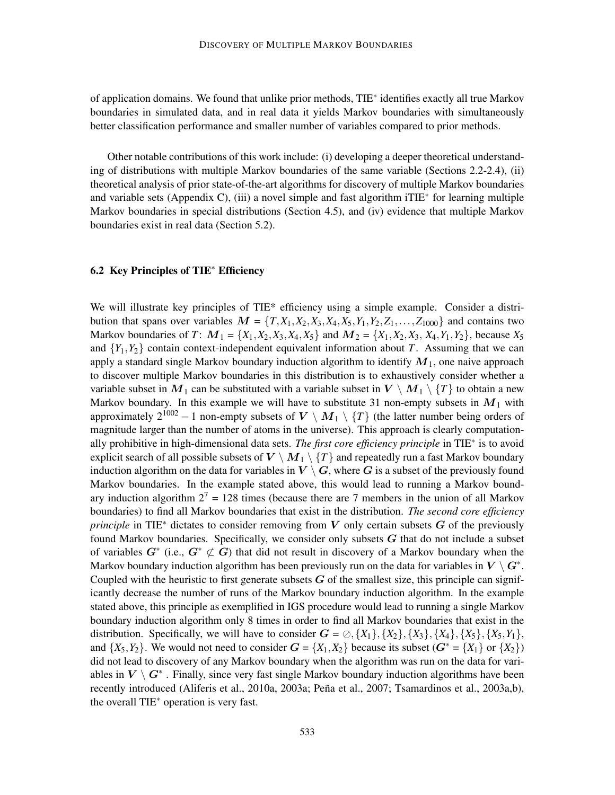of application domains. We found that unlike prior methods, TIE<sup>∗</sup> identifies exactly all true Markov boundaries in simulated data, and in real data it yields Markov boundaries with simultaneously better classification performance and smaller number of variables compared to prior methods.

Other notable contributions of this work include: (i) developing a deeper theoretical understanding of distributions with multiple Markov boundaries of the same variable (Sections 2.2-2.4), (ii) theoretical analysis of prior state-of-the-art algorithms for discovery of multiple Markov boundaries and variable sets (Appendix C), (iii) a novel simple and fast algorithm iTIE<sup>∗</sup> for learning multiple Markov boundaries in special distributions (Section 4.5), and (iv) evidence that multiple Markov boundaries exist in real data (Section 5.2).

#### 6.2 Key Principles of TIE<sup>∗</sup> Efficiency

We will illustrate key principles of TIE\* efficiency using a simple example. Consider a distribution that spans over variables  $M = \{T, X_1, X_2, X_3, X_4, X_5, Y_1, Y_2, Z_1, \ldots, Z_{1000}\}$  and contains two Markov boundaries of *T*:  $M_1 = \{X_1, X_2, X_3, X_4, X_5\}$  and  $M_2 = \{X_1, X_2, X_3, X_4, Y_1, Y_2\}$ , because  $X_5$ and  ${Y_1, Y_2}$  contain context-independent equivalent information about *T*. Assuming that we can apply a standard single Markov boundary induction algorithm to identify  $M_1$ , one naive approach to discover multiple Markov boundaries in this distribution is to exhaustively consider whether a variable subset in  $M_1$  can be substituted with a variable subset in  $V \setminus M_1 \setminus \{T\}$  to obtain a new Markov boundary. In this example we will have to substitute 31 non-empty subsets in  $M_1$  with approximately  $2^{1002} - 1$  non-empty subsets of  $V \setminus M_1 \setminus \{T\}$  (the latter number being orders of magnitude larger than the number of atoms in the universe). This approach is clearly computationally prohibitive in high-dimensional data sets. *The first core efficiency principle* in TIE<sup>∗</sup> is to avoid explicit search of all possible subsets of  $V \setminus M_1 \setminus \{T\}$  and repeatedly run a fast Markov boundary induction algorithm on the data for variables in  $V \setminus G$ , where G is a subset of the previously found Markov boundaries. In the example stated above, this would lead to running a Markov boundary induction algorithm  $2^7 = 128$  times (because there are 7 members in the union of all Markov boundaries) to find all Markov boundaries that exist in the distribution. *The second core efficiency principle* in TIE<sup> $∗$ </sup> dictates to consider removing from V only certain subsets G of the previously found Markov boundaries. Specifically, we consider only subsets  $G$  that do not include a subset of variables  $G^*$  (i.e.,  $G^* \not\subset G$ ) that did not result in discovery of a Markov boundary when the Markov boundary induction algorithm has been previously run on the data for variables in  $V \setminus G^*$ . Coupled with the heuristic to first generate subsets  $G$  of the smallest size, this principle can significantly decrease the number of runs of the Markov boundary induction algorithm. In the example stated above, this principle as exemplified in IGS procedure would lead to running a single Markov boundary induction algorithm only 8 times in order to find all Markov boundaries that exist in the distribution. Specifically, we will have to consider  $G = \oslash$ ,  $\{X_1\}$ ,  $\{X_2\}$ ,  $\{X_3\}$ ,  $\{X_4\}$ ,  $\{X_5\}$ ,  $\{X_5, Y_1\}$ , and  $\{X_5, Y_2\}$ . We would not need to consider  $G = \{X_1, X_2\}$  because its subset  $(G^* = \{X_1\}$  or  $\{X_2\})$ did not lead to discovery of any Markov boundary when the algorithm was run on the data for variables in  $V \setminus G^*$  . Finally, since very fast single Markov boundary induction algorithms have been recently introduced (Aliferis et al., 2010a, 2003a; Peña et al., 2007; Tsamardinos et al., 2003a,b), the overall TIE<sup>∗</sup> operation is very fast.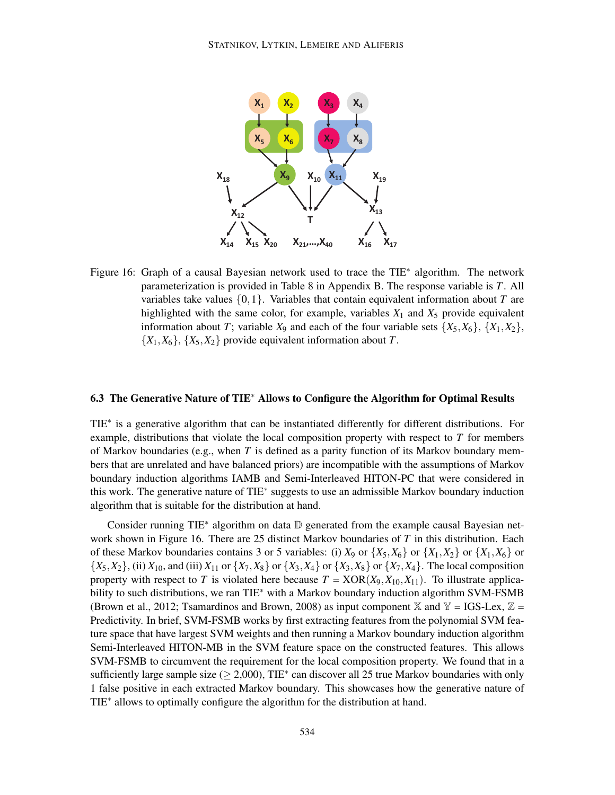

Figure 16: Graph of a causal Bayesian network used to trace the TIE<sup>\*</sup> algorithm. The network parameterization is provided in Table 8 in Appendix B. The response variable is *T*. All variables take values  $\{0,1\}$ . Variables that contain equivalent information about *T* are highlighted with the same color, for example, variables  $X_1$  and  $X_5$  provide equivalent information about *T*; variable  $X_9$  and each of the four variable sets  $\{X_5, X_6\}$ ,  $\{X_1, X_2\}$ ,  ${X_1, X_6}$ ,  ${X_5, X_2}$  provide equivalent information about *T*.

#### 6.3 The Generative Nature of TIE<sup>∗</sup> Allows to Configure the Algorithm for Optimal Results

TIE<sup>\*</sup> is a generative algorithm that can be instantiated differently for different distributions. For example, distributions that violate the local composition property with respect to *T* for members of Markov boundaries (e.g., when *T* is defined as a parity function of its Markov boundary members that are unrelated and have balanced priors) are incompatible with the assumptions of Markov boundary induction algorithms IAMB and Semi-Interleaved HITON-PC that were considered in this work. The generative nature of TIE<sup>∗</sup> suggests to use an admissible Markov boundary induction algorithm that is suitable for the distribution at hand.

Consider running TIE<sup>\*</sup> algorithm on data **D** generated from the example causal Bayesian network shown in Figure 16. There are 25 distinct Markov boundaries of *T* in this distribution. Each of these Markov boundaries contains 3 or 5 variables: (i)  $X_9$  or  $\{X_5, X_6\}$  or  $\{X_1, X_2\}$  or  $\{X_1, X_6\}$  or  $\{X_5, X_2\}$ , (ii)  $X_{10}$ , and (iii)  $X_{11}$  or  $\{X_7, X_8\}$  or  $\{X_3, X_4\}$  or  $\{X_3, X_8\}$  or  $\{X_7, X_4\}$ . The local composition property with respect to *T* is violated here because  $T = XOR(X_9, X_{10}, X_{11})$ . To illustrate applicability to such distributions, we ran TIE<sup>∗</sup> with a Markov boundary induction algorithm SVM-FSMB (Brown et al., 2012; Tsamardinos and Brown, 2008) as input component  $\mathbb{X}$  and  $\mathbb{Y} = \text{IGS-Lex}, \mathbb{Z} =$ Predictivity. In brief, SVM-FSMB works by first extracting features from the polynomial SVM feature space that have largest SVM weights and then running a Markov boundary induction algorithm Semi-Interleaved HITON-MB in the SVM feature space on the constructed features. This allows SVM-FSMB to circumvent the requirement for the local composition property. We found that in a sufficiently large sample size ( $\geq 2,000$ ), TIE<sup>\*</sup> can discover all 25 true Markov boundaries with only 1 false positive in each extracted Markov boundary. This showcases how the generative nature of TIE<sup>\*</sup> allows to optimally configure the algorithm for the distribution at hand.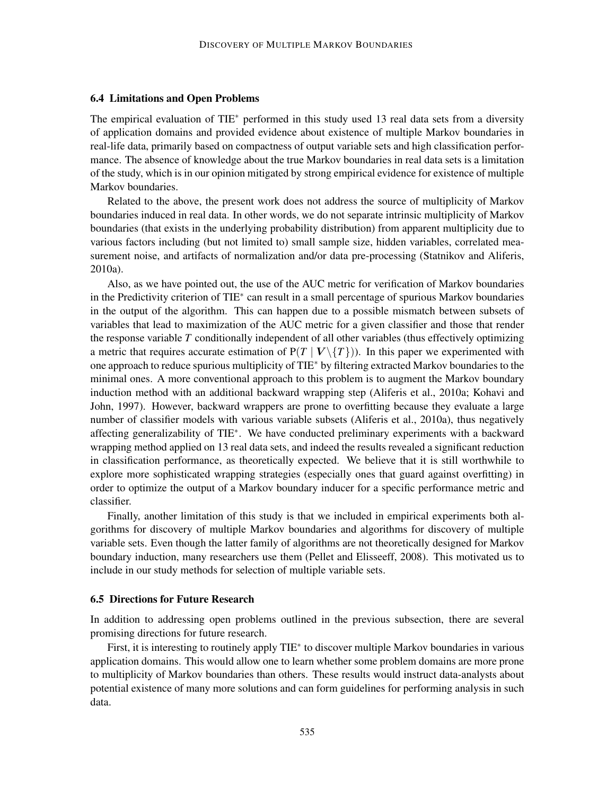#### 6.4 Limitations and Open Problems

The empirical evaluation of TIE<sup>∗</sup> performed in this study used 13 real data sets from a diversity of application domains and provided evidence about existence of multiple Markov boundaries in real-life data, primarily based on compactness of output variable sets and high classification performance. The absence of knowledge about the true Markov boundaries in real data sets is a limitation of the study, which is in our opinion mitigated by strong empirical evidence for existence of multiple Markov boundaries.

Related to the above, the present work does not address the source of multiplicity of Markov boundaries induced in real data. In other words, we do not separate intrinsic multiplicity of Markov boundaries (that exists in the underlying probability distribution) from apparent multiplicity due to various factors including (but not limited to) small sample size, hidden variables, correlated measurement noise, and artifacts of normalization and/or data pre-processing (Statnikov and Aliferis, 2010a).

Also, as we have pointed out, the use of the AUC metric for verification of Markov boundaries in the Predictivity criterion of TIE<sup>∗</sup> can result in a small percentage of spurious Markov boundaries in the output of the algorithm. This can happen due to a possible mismatch between subsets of variables that lead to maximization of the AUC metric for a given classifier and those that render the response variable *T* conditionally independent of all other variables (thus effectively optimizing a metric that requires accurate estimation of  $P(T | V \setminus \{T\})$ ). In this paper we experimented with one approach to reduce spurious multiplicity of TIE<sup>∗</sup> by filtering extracted Markov boundaries to the minimal ones. A more conventional approach to this problem is to augment the Markov boundary induction method with an additional backward wrapping step (Aliferis et al., 2010a; Kohavi and John, 1997). However, backward wrappers are prone to overfitting because they evaluate a large number of classifier models with various variable subsets (Aliferis et al., 2010a), thus negatively affecting generalizability of TIE<sup>∗</sup> . We have conducted preliminary experiments with a backward wrapping method applied on 13 real data sets, and indeed the results revealed a significant reduction in classification performance, as theoretically expected. We believe that it is still worthwhile to explore more sophisticated wrapping strategies (especially ones that guard against overfitting) in order to optimize the output of a Markov boundary inducer for a specific performance metric and classifier.

Finally, another limitation of this study is that we included in empirical experiments both algorithms for discovery of multiple Markov boundaries and algorithms for discovery of multiple variable sets. Even though the latter family of algorithms are not theoretically designed for Markov boundary induction, many researchers use them (Pellet and Elisseeff, 2008). This motivated us to include in our study methods for selection of multiple variable sets.

#### 6.5 Directions for Future Research

In addition to addressing open problems outlined in the previous subsection, there are several promising directions for future research.

First, it is interesting to routinely apply TIE<sup>∗</sup> to discover multiple Markov boundaries in various application domains. This would allow one to learn whether some problem domains are more prone to multiplicity of Markov boundaries than others. These results would instruct data-analysts about potential existence of many more solutions and can form guidelines for performing analysis in such data.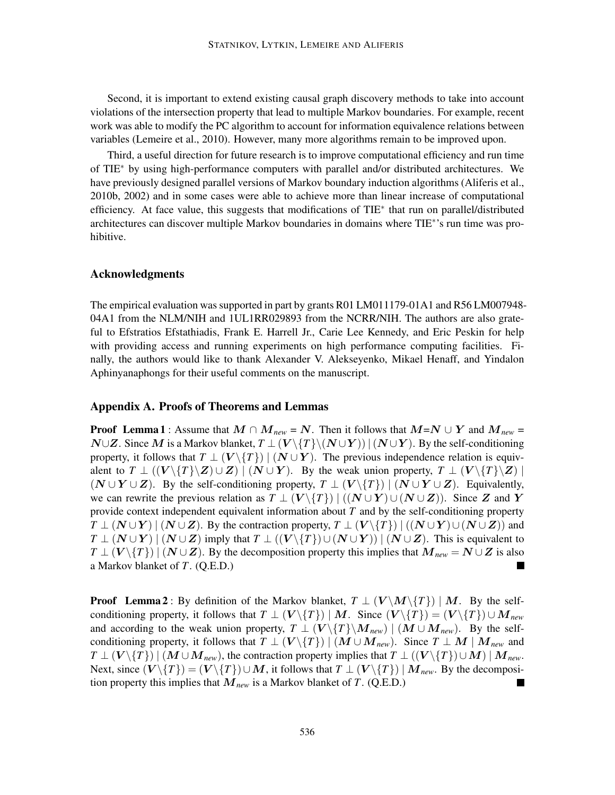Second, it is important to extend existing causal graph discovery methods to take into account violations of the intersection property that lead to multiple Markov boundaries. For example, recent work was able to modify the PC algorithm to account for information equivalence relations between variables (Lemeire et al., 2010). However, many more algorithms remain to be improved upon.

Third, a useful direction for future research is to improve computational efficiency and run time of TIE<sup>∗</sup> by using high-performance computers with parallel and/or distributed architectures. We have previously designed parallel versions of Markov boundary induction algorithms (Aliferis et al., 2010b, 2002) and in some cases were able to achieve more than linear increase of computational efficiency. At face value, this suggests that modifications of TIE<sup>\*</sup> that run on parallel/distributed architectures can discover multiple Markov boundaries in domains where TIE<sup>\*</sup>'s run time was prohibitive.

#### Acknowledgments

The empirical evaluation was supported in part by grants R01 LM011179-01A1 and R56 LM007948- 04A1 from the NLM/NIH and 1UL1RR029893 from the NCRR/NIH. The authors are also grateful to Efstratios Efstathiadis, Frank E. Harrell Jr., Carie Lee Kennedy, and Eric Peskin for help with providing access and running experiments on high performance computing facilities. Finally, the authors would like to thank Alexander V. Alekseyenko, Mikael Henaff, and Yindalon Aphinyanaphongs for their useful comments on the manuscript.

#### Appendix A. Proofs of Theorems and Lemmas

**Proof Lemma 1** : Assume that  $M \cap M_{new} = N$ . Then it follows that  $M=N \cup Y$  and  $M_{new} =$ *N*∪Z. Since *M* is a Markov blanket,  $T \perp (V \setminus \{T\} \setminus (N \cup Y)) | (N \cup Y)$ . By the self-conditioning property, it follows that  $T \perp (V \setminus \{T\})$  |  $(N \cup Y)$ . The previous independence relation is equivalent to  $T \perp ((V \setminus \{T\} \setminus Z) \cup Z) \mid (N \cup Y)$ . By the weak union property,  $T \perp (V \setminus \{T\} \setminus Z) \mid$  $(N \cup Y \cup Z)$ . By the self-conditioning property,  $T \perp (V \setminus \{T\}) \mid (N \cup Y \cup Z)$ . Equivalently, we can rewrite the previous relation as  $T \perp (V \setminus \{T\}) \mid ((N \cup Y) \cup (N \cup Z))$ . Since Z and Y provide context independent equivalent information about *T* and by the self-conditioning property  $T \perp (N \cup Y) \mid (N \cup Z)$ . By the contraction property,  $T \perp (V \setminus \{T\}) \mid ((N \cup Y) \cup (N \cup Z))$  and  $T \perp (N \cup Y) \mid (N \cup Z)$  imply that  $T \perp ((V \setminus \{T\}) \cup (N \cup Y)) \mid (N \cup Z)$ . This is equivalent to  $T \perp (V \setminus \{T\})$  | ( $N \cup Z$ ). By the decomposition property this implies that  $M_{new} = N \cup Z$  is also a Markov blanket of *T*. (Q.E.D.) ш

**Proof** Lemma 2: By definition of the Markov blanket,  $T \perp (V \setminus M \setminus \{T\}) | M$ . By the selfconditioning property, it follows that  $T \perp (V \setminus \{T\}) \mid M$ . Since  $(V \setminus \{T\}) = (V \setminus \{T\}) \cup M_{new}$ and according to the weak union property,  $T \perp (V \setminus \{T\} \setminus M_{new})$  |  $(M \cup M_{new})$ . By the selfconditioning property, it follows that  $T \perp (V \setminus \{T\}) \mid (M \cup M_{new})$ . Since  $T \perp M \mid M_{new}$  and  $T \perp (V \setminus \{T\}) \mid (M \cup M_{new})$ , the contraction property implies that  $T \perp ((V \setminus \{T\}) \cup M) \mid M_{new}$ . Next, since  $(V \setminus \{T\}) = (V \setminus \{T\}) \cup M$ , it follows that  $T \perp (V \setminus \{T\}) \mid M_{\text{new}}$ . By the decomposition property this implies that M*new* is a Markov blanket of *T*. (Q.E.D.)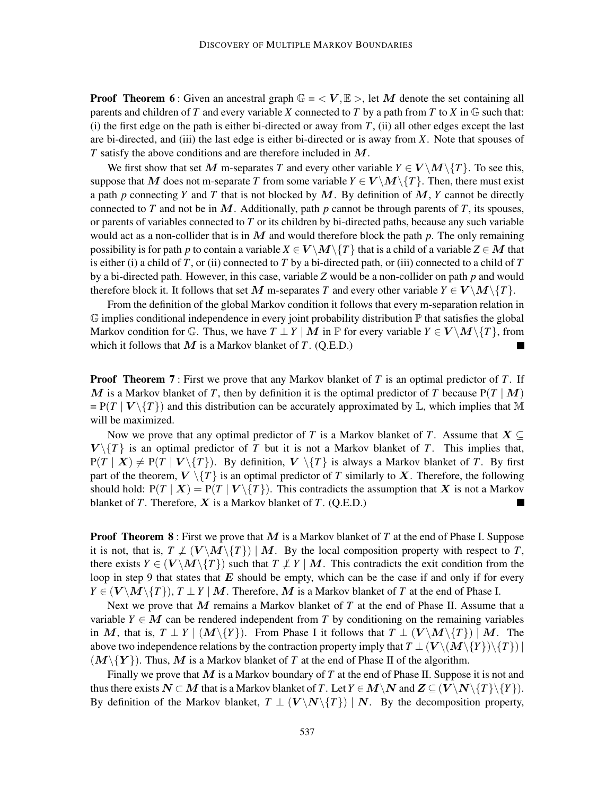**Proof Theorem 6**: Given an ancestral graph  $\mathbb{G} = \langle V, \mathbb{E} \rangle$ , let M denote the set containing all parents and children of *T* and every variable *X* connected to *T* by a path from *T* to *X* in  $\mathbb{G}$  such that: (i) the first edge on the path is either bi-directed or away from *T*, (ii) all other edges except the last are bi-directed, and (iii) the last edge is either bi-directed or is away from *X*. Note that spouses of *T* satisfy the above conditions and are therefore included in M.

We first show that set M m-separates T and every other variable  $Y \in V \setminus M \setminus \{T\}$ . To see this, suppose that M does not m-separate T from some variable  $Y \in V \setminus M \setminus \{T\}$ . Then, there must exist a path *p* connecting *Y* and *T* that is not blocked by M. By definition of M, *Y* cannot be directly connected to *T* and not be in  $M$ . Additionally, path  $p$  cannot be through parents of  $T$ , its spouses, or parents of variables connected to *T* or its children by bi-directed paths, because any such variable would act as a non-collider that is in M and would therefore block the path *p*. The only remaining possibility is for path *p* to contain a variable  $X \in V \setminus M \setminus \{T\}$  that is a child of a variable  $Z \in M$  that is either (i) a child of *T*, or (ii) connected to *T* by a bi-directed path, or (iii) connected to a child of *T* by a bi-directed path. However, in this case, variable *Z* would be a non-collider on path *p* and would therefore block it. It follows that set M m-separates T and every other variable  $Y \in V \backslash M \backslash \{T\}$ .

From the definition of the global Markov condition it follows that every m-separation relation in  $\mathbb G$  implies conditional independence in every joint probability distribution  $\mathbb P$  that satisfies the global Markov condition for  $\mathbb{G}$ . Thus, we have  $T \perp Y \mid M$  in  $\mathbb{P}$  for every variable  $Y \in V \setminus M \setminus \{T\}$ , from which it follows that  $M$  is a Markov blanket of  $T$ . (Q.E.D.)

Proof Theorem 7 : First we prove that any Markov blanket of *T* is an optimal predictor of *T*. If M is a Markov blanket of T, then by definition it is the optimal predictor of T because  $P(T | M)$  $= P(T | V \setminus \{T\})$  and this distribution can be accurately approximated by  $\mathbb{L}$ , which implies that M will be maximized.

Now we prove that any optimal predictor of *T* is a Markov blanket of *T*. Assume that  $X \subseteq$  $V \setminus \{T\}$  is an optimal predictor of *T* but it is not a Markov blanket of *T*. This implies that,  $P(T | X) \neq P(T | V \setminus \{T\})$ . By definition,  $V \setminus \{T\}$  is always a Markov blanket of *T*. By first part of the theorem,  $V \setminus \{T\}$  is an optimal predictor of *T* similarly to *X*. Therefore, the following should hold:  $P(T | X) = P(T | V \setminus \{T\})$ . This contradicts the assumption that X is not a Markov blanket of *T*. Therefore, X is a Markov blanket of *T*. (Q.E.D.) ▊

**Proof Theorem 8** : First we prove that M is a Markov blanket of T at the end of Phase I. Suppose it is not, that is,  $T \not\perp (V \backslash M \backslash \{T\}) \mid M$ . By the local composition property with respect to *T*, there exists  $Y \in (V \setminus M \setminus \{T\})$  such that  $T \not\perp Y \mid M$ . This contradicts the exit condition from the loop in step 9 that states that  $E$  should be empty, which can be the case if and only if for every  $Y \in (V \setminus M \setminus \{T\})$ ,  $T \perp Y \mid M$ . Therefore, M is a Markov blanket of *T* at the end of Phase I.

Next we prove that M remains a Markov blanket of *T* at the end of Phase II. Assume that a variable  $Y \in M$  can be rendered independent from T by conditioning on the remaining variables in M, that is,  $T \perp Y \mid (M \setminus \{Y\})$ . From Phase I it follows that  $T \perp (V \setminus M \setminus \{T\}) \mid M$ . The above two independence relations by the contraction property imply that  $T \perp (V \setminus (M \setminus \{Y\}) \setminus \{T\})$  $(M\setminus \{Y\})$ . Thus, M is a Markov blanket of T at the end of Phase II of the algorithm.

Finally we prove that M is a Markov boundary of *T* at the end of Phase II. Suppose it is not and thus there exists  $N \subset M$  that is a Markov blanket of *T*. Let  $Y \in M \setminus N$  and  $Z \subseteq (V \setminus N \setminus \{T\} \setminus \{Y\})$ . By definition of the Markov blanket,  $T \perp (V \setminus N \setminus \{T\}) \mid N$ . By the decomposition property,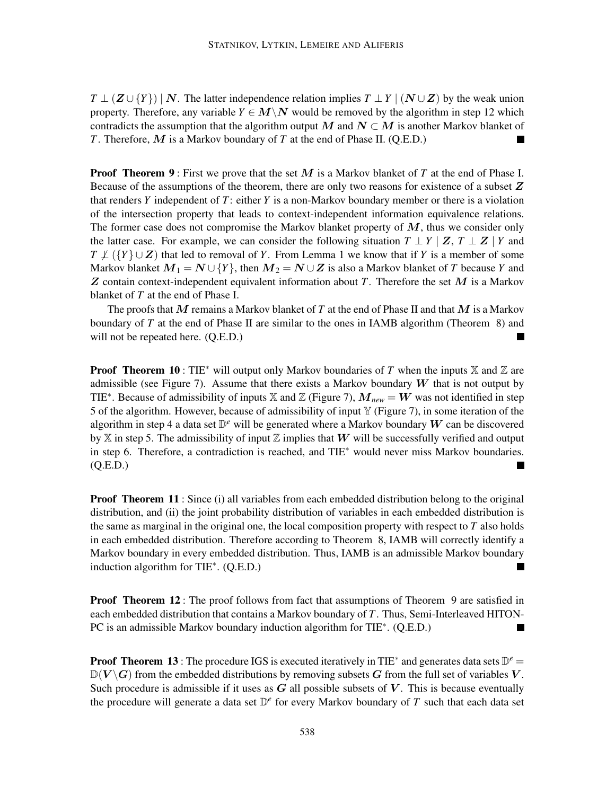$T \perp (Z \cup \{Y\}) | N$ . The latter independence relation implies  $T \perp Y | (N \cup Z)$  by the weak union property. Therefore, any variable  $Y \in M \backslash N$  would be removed by the algorithm in step 12 which contradicts the assumption that the algorithm output M and  $N \subset M$  is another Markov blanket of *T*. Therefore, M is a Markov boundary of *T* at the end of Phase II. (Q.E.D.)

**Proof Theorem 9**: First we prove that the set M is a Markov blanket of T at the end of Phase I. Because of the assumptions of the theorem, there are only two reasons for existence of a subset Z that renders *Y* independent of *T*: either *Y* is a non-Markov boundary member or there is a violation of the intersection property that leads to context-independent information equivalence relations. The former case does not compromise the Markov blanket property of  $M$ , thus we consider only the latter case. For example, we can consider the following situation  $T \perp Y \mid Z, T \perp Z \mid Y$  and  $T \not\perp (\{Y\} \cup Z)$  that led to removal of *Y*. From Lemma 1 we know that if *Y* is a member of some Markov blanket  $M_1 = N \cup \{Y\}$ , then  $M_2 = N \cup Z$  is also a Markov blanket of *T* because *Y* and  $Z$  contain context-independent equivalent information about  $T$ . Therefore the set  $M$  is a Markov blanket of *T* at the end of Phase I.

The proofs that M remains a Markov blanket of *T* at the end of Phase II and that M is a Markov boundary of *T* at the end of Phase II are similar to the ones in IAMB algorithm (Theorem 8) and will not be repeated here. (Q.E.D.)  $\blacksquare$ 

**Proof Theorem 10** : TIE<sup>\*</sup> will output only Markov boundaries of *T* when the inputs  $X$  and  $Z$  are admissible (see Figure 7). Assume that there exists a Markov boundary  $W$  that is not output by TIE<sup>∗</sup>. Because of admissibility of inputs X and Z (Figure 7),  $\overline{M}_{new} = W$  was not identified in step 5 of the algorithm. However, because of admissibility of input  $\mathbb {Y}$  (Figure 7), in some iteration of the algorithm in step 4 a data set  $\mathbb{D}^e$  will be generated where a Markov boundary  $W$  can be discovered by X in step 5. The admissibility of input Z implies that W will be successfully verified and output in step 6. Therefore, a contradiction is reached, and TIE<sup>∗</sup> would never miss Markov boundaries.  $(Q.E.D.)$  $\blacksquare$ 

**Proof Theorem 11**: Since (i) all variables from each embedded distribution belong to the original distribution, and (ii) the joint probability distribution of variables in each embedded distribution is the same as marginal in the original one, the local composition property with respect to *T* also holds in each embedded distribution. Therefore according to Theorem 8, IAMB will correctly identify a Markov boundary in every embedded distribution. Thus, IAMB is an admissible Markov boundary induction algorithm for TIE<sup>∗</sup> . (Q.E.D.) П

**Proof Theorem 12**: The proof follows from fact that assumptions of Theorem 9 are satisfied in each embedded distribution that contains a Markov boundary of *T*. Thus, Semi-Interleaved HITON-PC is an admissible Markov boundary induction algorithm for TIE<sup>∗</sup>. (Q.E.D.)

**Proof Theorem 13**: The procedure IGS is executed iteratively in TIE<sup>\*</sup> and generates data sets  $\mathbb{D}^e$  =  $\mathbb{D}(V \setminus G)$  from the embedded distributions by removing subsets G from the full set of variables V. Such procedure is admissible if it uses as  $G$  all possible subsets of  $V$ . This is because eventually the procedure will generate a data set D *e* for every Markov boundary of *T* such that each data set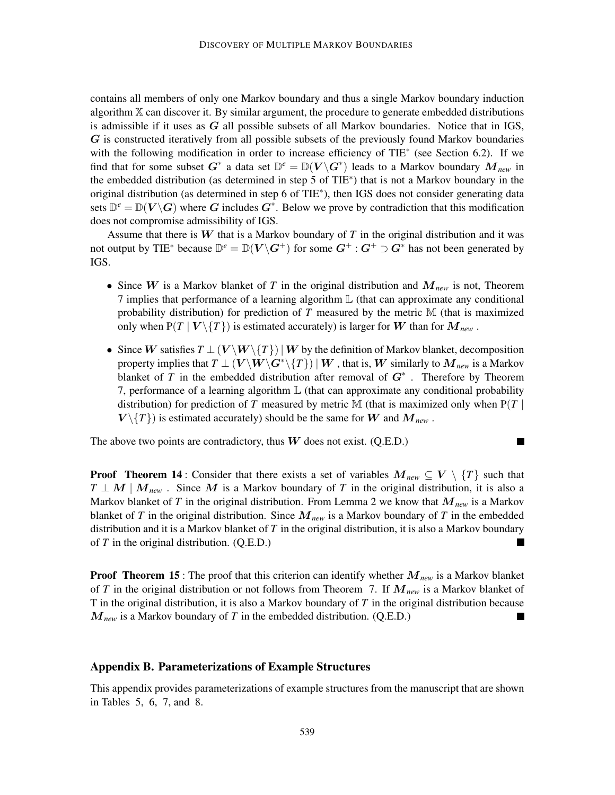contains all members of only one Markov boundary and thus a single Markov boundary induction algorithm  $X$  can discover it. By similar argument, the procedure to generate embedded distributions is admissible if it uses as  $G$  all possible subsets of all Markov boundaries. Notice that in IGS, G is constructed iteratively from all possible subsets of the previously found Markov boundaries with the following modification in order to increase efficiency of TIE<sup>\*</sup> (see Section 6.2). If we find that for some subset  $G^*$  a data set  $\mathbb{D}^e = \mathbb{D}(V \backslash G^*)$  leads to a Markov boundary  $M_{new}$  in the embedded distribution (as determined in step 5 of TIE<sup>∗</sup> ) that is not a Markov boundary in the original distribution (as determined in step 6 of TIE<sup>∗</sup> ), then IGS does not consider generating data sets  $\mathbb{D}^e = \mathbb{D}(V \backslash G)$  where G includes  $G^*$ . Below we prove by contradiction that this modification does not compromise admissibility of IGS.

Assume that there is W that is a Markov boundary of *T* in the original distribution and it was not output by TIE<sup>\*</sup> because  $\mathbb{D}^e = \mathbb{D}(V \backslash G^+)$  for some  $G^+ : G^+ \supset G^*$  has not been generated by IGS.

- Since W is a Markov blanket of T in the original distribution and  $M_{new}$  is not, Theorem 7 implies that performance of a learning algorithm L (that can approximate any conditional probability distribution) for prediction of *T* measured by the metric M (that is maximized only when  $P(T | V \setminus \{T\})$  is estimated accurately) is larger for W than for  $M_{new}$ .
- Since W satisfies  $T \perp (V \setminus W \setminus \{T\}) \mid W$  by the definition of Markov blanket, decomposition property implies that  $T \perp (V \backslash W \backslash G^* \backslash \{T\}) \,|\, W$  , that is,  $W$  similarly to  $M_{\mathit{new}}$  is a Markov blanket of *T* in the embedded distribution after removal of  $G^*$ . Therefore by Theorem 7, performance of a learning algorithm  $\mathbb L$  (that can approximate any conditional probability distribution) for prediction of *T* measured by metric M (that is maximized only when  $P(T |$  $V \setminus \{T\}$  is estimated accurately) should be the same for W and  $M_{new}$ .

The above two points are contradictory, thus  $W$  does not exist. (Q.E.D.)

 $\blacksquare$ 

**Proof** Theorem 14 : Consider that there exists a set of variables  $M_{new} \subseteq V \setminus \{T\}$  such that  $T \perp M \mid M_{\text{new}}$ . Since M is a Markov boundary of T in the original distribution, it is also a Markov blanket of *T* in the original distribution. From Lemma 2 we know that  $M_{new}$  is a Markov blanket of *T* in the original distribution. Since  $M_{new}$  is a Markov boundary of *T* in the embedded distribution and it is a Markov blanket of *T* in the original distribution, it is also a Markov boundary of *T* in the original distribution. (Q.E.D.) п

Proof Theorem 15 : The proof that this criterion can identify whether M*new* is a Markov blanket of *T* in the original distribution or not follows from Theorem 7. If M*new* is a Markov blanket of T in the original distribution, it is also a Markov boundary of *T* in the original distribution because M*new* is a Markov boundary of *T* in the embedded distribution. (Q.E.D.)

#### Appendix B. Parameterizations of Example Structures

This appendix provides parameterizations of example structures from the manuscript that are shown in Tables 5, 6, 7, and 8.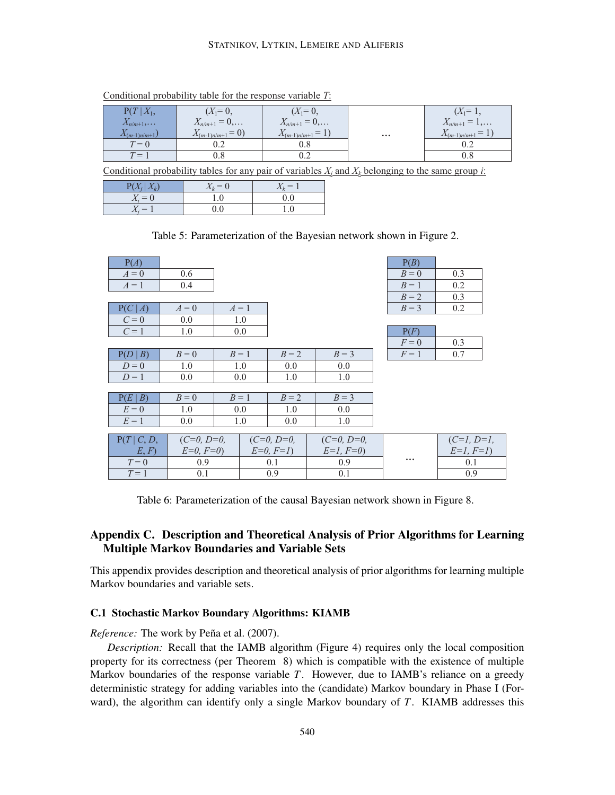#### STATNIKOV, LYTKIN, LEMEIRE AND ALIFERIS

| $P(T X_1,$         | $(X_1=0,$            | $(X_1=0,$               |                         | $(X_1=1,$        |
|--------------------|----------------------|-------------------------|-------------------------|------------------|
| $X_{n/m+1},\ldots$ | $X_{n/m+1} = 0,$     | $X_{n/m+1} = 0, \ldots$ |                         | $X_{n/m+1} = 1,$ |
| $X_{(m-1)n(m+1)}$  | $X_{(m-1)n/m+1} = 0$ | $X_{(m-1)n/m+1} = 1$    | $\bullet\bullet\bullet$ | $X_{(m-1)n/m+1}$ |
| $T=0$              |                      |                         |                         |                  |
| $T =$              | U.8                  |                         |                         |                  |

Conditional probability table for the response variable *T*:

Conditional probability tables for any pair of variables  $X_i$  and  $X_k$  belonging to the same group *i*:

| $P(X_i   X_k)$ | $X_k=0$ | $X_k = 1$ |
|----------------|---------|-----------|
| $X_i = 0$      | 1.0     | 0.0       |
| $X_i=1$        | 0.0     | 1.0       |

# ) Table 5: Parameterization of the Bayesian network shown in Figure 2.

| P(A)        |              |       |              |              | P(B)                    |              |
|-------------|--------------|-------|--------------|--------------|-------------------------|--------------|
| $A=0$       | 0.6          |       |              |              | $B=0$                   | 0.3          |
| $A=1$       | 0.4          |       |              |              | $B=1$                   | 0.2          |
|             |              |       |              |              | $B=2$                   | 0.3          |
| P(C A)      | $A=0$        | $A=1$ |              |              | $B=3$                   | 0.2          |
| $C=0$       | 0.0          | 1.0   |              |              |                         |              |
| $C=1$       | 1.0          | 0.0   |              |              | P(F)                    |              |
|             |              |       |              |              | $F=0$                   | 0.3          |
| P(D   B)    | $B=0$        | $B=1$ | $B=2$        | $B=3$        | $F=1$                   | 0.7          |
| $D=0$       | 1.0          | 1.0   | 0.0          | 0.0          |                         |              |
| $D=1$       | 0.0          | 0.0   | 1.0          | 1.0          |                         |              |
|             |              |       |              |              |                         |              |
| P(E B)      | $B=0$        | $B=1$ | $B=2$        | $B=3$        |                         |              |
| $E=0$       | 1.0          | 0.0   | 1.0          | 0.0          |                         |              |
| $E=1$       | 0.0          | 1.0   | 0.0          | 1.0          |                         |              |
|             |              |       |              |              |                         |              |
| P(T   C, D, | $(C=0, D=0,$ |       | $(C=0, D=0,$ | $(C=0, D=0,$ |                         | $(C=1, D=1,$ |
| E, F        | $E=0, F=0$   |       | $E=0, F=1$   | $E=1, F=0$   |                         | $E=1, F=1$   |
| $T=0$       | 0.9          |       | 0.1          | 0.9          | $\bullet\bullet\bullet$ | 0.1          |
| $T=1$       | 0.1          |       | 0.9          | 0.1          |                         | 0.9          |

Table 6: Parameterization of the causal Bayesian network shown in Figure 8.

# Appendix C. Description and Theoretical Analysis of Prior Algorithms for Learning Multiple Markov Boundaries and Variable Sets

This appendix provides description and theoretical analysis of prior algorithms for learning multiple Markov boundaries and variable sets.

#### C.1 Stochastic Markov Boundary Algorithms: KIAMB

*Reference:* The work by Peña et al. (2007).

*Description:* Recall that the IAMB algorithm (Figure 4) requires only the local composition property for its correctness (per Theorem 8) which is compatible with the existence of multiple Markov boundaries of the response variable *T*. However, due to IAMB's reliance on a greedy deterministic strategy for adding variables into the (candidate) Markov boundary in Phase I (Forward), the algorithm can identify only a single Markov boundary of *T*. KIAMB addresses this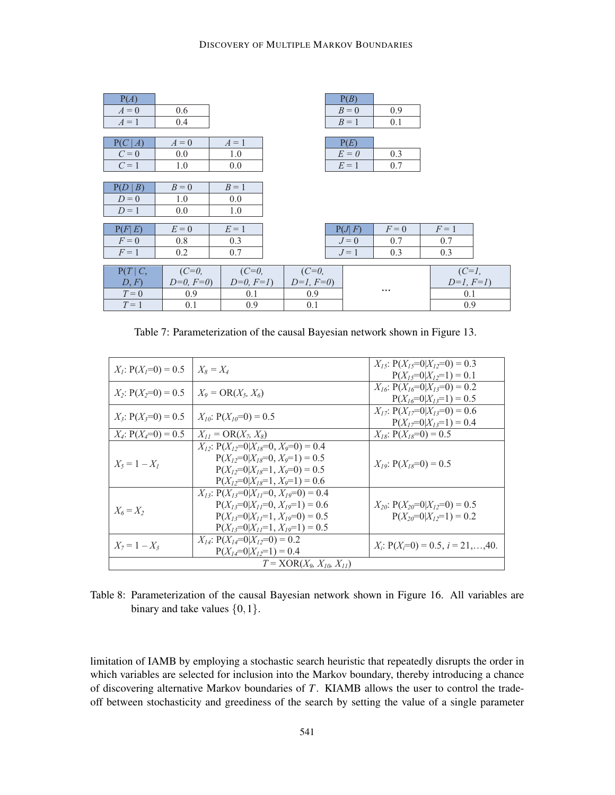| P(A)          |            |            |            | P(B)   |           |             |  |
|---------------|------------|------------|------------|--------|-----------|-------------|--|
| $A=0$         | 0.6        |            |            | $B=0$  | 0.9       |             |  |
| $A=1$         | 0.4        |            |            | $B=1$  | 0.1       |             |  |
|               |            |            |            |        |           |             |  |
| P(C A)        | $A=0$      | $A=1$      |            | P(E)   |           |             |  |
| $C=0$         | 0.0        | 1.0        |            | $E=0$  | 0.3       |             |  |
| $C=1$         | 1.0        | 0.0        |            | $E=1$  | 0.7       |             |  |
|               |            |            |            |        |           |             |  |
| P(D   B)      | $B=0$      | $B=1$      |            |        |           |             |  |
| $D=0$         | 1.0        | 0.0        |            |        |           |             |  |
| $D=1$         | 0.0        | 1.0        |            |        |           |             |  |
|               |            |            |            |        |           |             |  |
| P(F E)        | $E=0$      | $E=1$      |            | P(J F) | $F=0$     | $F=1$       |  |
| $F=0$         | 0.8        | 0.3        |            | $J=0$  | 0.7       | 0.7         |  |
| $F=1$         | 0.2        | 0.7        |            | $J=1$  | 0.3       | 0.3         |  |
|               |            |            |            |        |           |             |  |
| $P(T \mid C,$ | $(C=0,$    | $(C=0,$    | $(C=0,$    |        |           | $(C=1,$     |  |
| D, F          | $D=0, F=0$ | $D=0, F=1$ | $D=1, F=0$ |        |           | $D=1, F=1)$ |  |
| $T=0$         | 0.9        | 0.1        | 0.9        |        | $\ddotsc$ | 0.1         |  |
| $T=1$         | 0.1        | 0.9        | 0.1        |        |           | 0.9         |  |

Table 7: Parameterization of the causal Bayesian network shown in Figure 13.

| $X_i$ : $P(X_i=0) = 0.5$ | $X_8 = X_4$                                                                                                                                                                     | $X_{15}$ : $P(X_{15}=0 X_{12}=0) = 0.3$<br>$P(X_i=0 X_i=1)=0.1$         |  |  |  |  |  |
|--------------------------|---------------------------------------------------------------------------------------------------------------------------------------------------------------------------------|-------------------------------------------------------------------------|--|--|--|--|--|
| $X_2$ : $P(X_2=0) = 0.5$ | $X_9 = \text{OR}(X_5, X_6)$                                                                                                                                                     | $X_{16}$ : P( $X_{16}=0 X_{13}=0$ ) = 0.2<br>$P(X_{16}=0 X_{13}=1)=0.5$ |  |  |  |  |  |
| $X_3$ : $P(X_3=0) = 0.5$ | $X_{10}$ : $P(X_{10}=0) = 0.5$                                                                                                                                                  | $X_{17}$ : $P(X_{17}=0 X_{13}=0) = 0.6$<br>$P(X_1=0 X_1=1)=0.4$         |  |  |  |  |  |
| $X_4$ : $P(X_4=0) = 0.5$ | $X_{11} = \text{OR}(X_7, X_8)$                                                                                                                                                  | $X_{18}$ : P( $X_{18}=0$ ) = 0.5                                        |  |  |  |  |  |
| $X_5 = 1 - X_1$          | $X_{12}$ : $P(X_{12}=0 X_{18}=0, X_9=0) = 0.4$<br>$P(X_1=0 X_1=0, X_0=1) = 0.5$<br>$P(X_{12}=0 X_{18}=1, X_9=0) = 0.5$<br>$P(X_1=0 X_1=1, X_0=1) = 0.6$                         | $X_{19}$ : P( $X_{18}=0$ ) = 0.5                                        |  |  |  |  |  |
| $X_6 = X_2$              | $X_{13}$ : P( $X_{13}=0$   $X_{17}=0$ , $X_{19}=0$ ) = 0.4<br>$P(X_{13}=0 X_{11}=0, X_{19}=1) = 0.6$<br>$P(X_{13}=0 X_{11}=1, X_{19}=0) = 0.5$<br>$P(X_i=0 X_i=1, X_i=1) = 0.5$ | $X_{20}$ : P( $X_{20}=0 X_{12}=0$ ) = 0.5<br>$P(X_{20}=0 X_{12}=1)=0.2$ |  |  |  |  |  |
| $X_7 = 1 - X_3$          | $X_{14}$ : $P(X_{14}=0 X_{12}=0) = 0.2$<br>$P(X_{14}=0 X_{12}=1)=0.4$                                                                                                           | $X_i: P(X_i=0) = 0.5, i = 21,,40.$                                      |  |  |  |  |  |
|                          | $T = XOR(X_9, X_{10}, X_{11})$                                                                                                                                                  |                                                                         |  |  |  |  |  |

Table 8: Parameterization of the causal Bayesian network shown in Figure 16. All variables are binary and take values  $\{0, 1\}$ .

limitation of IAMB by employing a stochastic search heuristic that repeatedly disrupts the order in which variables are selected for inclusion into the Markov boundary, thereby introducing a chance of discovering alternative Markov boundaries of *T*. KIAMB allows the user to control the tradeoff between stochasticity and greediness of the search by setting the value of a single parameter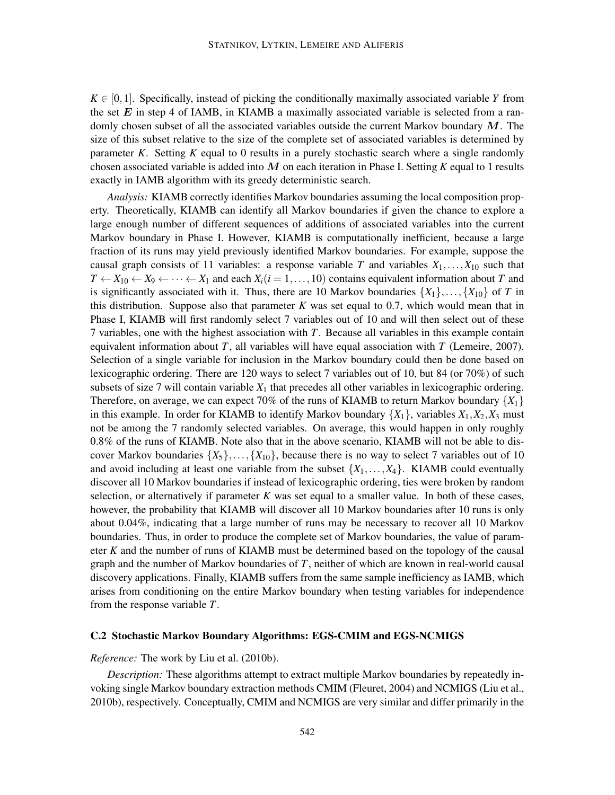$K \in [0,1]$ . Specifically, instead of picking the conditionally maximally associated variable *Y* from the set  $E$  in step 4 of IAMB, in KIAMB a maximally associated variable is selected from a randomly chosen subset of all the associated variables outside the current Markov boundary  $M$ . The size of this subset relative to the size of the complete set of associated variables is determined by parameter *K*. Setting *K* equal to 0 results in a purely stochastic search where a single randomly chosen associated variable is added into M on each iteration in Phase I. Setting *K* equal to 1 results exactly in IAMB algorithm with its greedy deterministic search.

*Analysis:* KIAMB correctly identifies Markov boundaries assuming the local composition property. Theoretically, KIAMB can identify all Markov boundaries if given the chance to explore a large enough number of different sequences of additions of associated variables into the current Markov boundary in Phase I. However, KIAMB is computationally inefficient, because a large fraction of its runs may yield previously identified Markov boundaries. For example, suppose the causal graph consists of 11 variables: a response variable *T* and variables  $X_1, \ldots, X_{10}$  such that  $T \leftarrow X_{10} \leftarrow X_9 \leftarrow \cdots \leftarrow X_1$  and each  $X_i (i = 1, \ldots, 10)$  contains equivalent information about *T* and is significantly associated with it. Thus, there are 10 Markov boundaries  $\{X_1\}, \ldots, \{X_{10}\}$  of *T* in this distribution. Suppose also that parameter  $K$  was set equal to 0.7, which would mean that in Phase I, KIAMB will first randomly select 7 variables out of 10 and will then select out of these 7 variables, one with the highest association with *T*. Because all variables in this example contain equivalent information about *T*, all variables will have equal association with *T* (Lemeire, 2007). Selection of a single variable for inclusion in the Markov boundary could then be done based on lexicographic ordering. There are 120 ways to select 7 variables out of 10, but 84 (or 70%) of such subsets of size 7 will contain variable  $X_1$  that precedes all other variables in lexicographic ordering. Therefore, on average, we can expect 70% of the runs of KIAMB to return Markov boundary  $\{X_1\}$ in this example. In order for KIAMB to identify Markov boundary  $\{X_1\}$ , variables  $X_1, X_2, X_3$  must not be among the 7 randomly selected variables. On average, this would happen in only roughly 0.8% of the runs of KIAMB. Note also that in the above scenario, KIAMB will not be able to discover Markov boundaries  $\{X_5\}, \ldots, \{X_{10}\}\$ , because there is no way to select 7 variables out of 10 and avoid including at least one variable from the subset  $\{X_1, \ldots, X_4\}$ . KIAMB could eventually discover all 10 Markov boundaries if instead of lexicographic ordering, ties were broken by random selection, or alternatively if parameter *K* was set equal to a smaller value. In both of these cases, however, the probability that KIAMB will discover all 10 Markov boundaries after 10 runs is only about 0.04%, indicating that a large number of runs may be necessary to recover all 10 Markov boundaries. Thus, in order to produce the complete set of Markov boundaries, the value of parameter *K* and the number of runs of KIAMB must be determined based on the topology of the causal graph and the number of Markov boundaries of *T*, neither of which are known in real-world causal discovery applications. Finally, KIAMB suffers from the same sample inefficiency as IAMB, which arises from conditioning on the entire Markov boundary when testing variables for independence from the response variable *T*.

#### C.2 Stochastic Markov Boundary Algorithms: EGS-CMIM and EGS-NCMIGS

#### *Reference:* The work by Liu et al. (2010b).

*Description:* These algorithms attempt to extract multiple Markov boundaries by repeatedly invoking single Markov boundary extraction methods CMIM (Fleuret, 2004) and NCMIGS (Liu et al., 2010b), respectively. Conceptually, CMIM and NCMIGS are very similar and differ primarily in the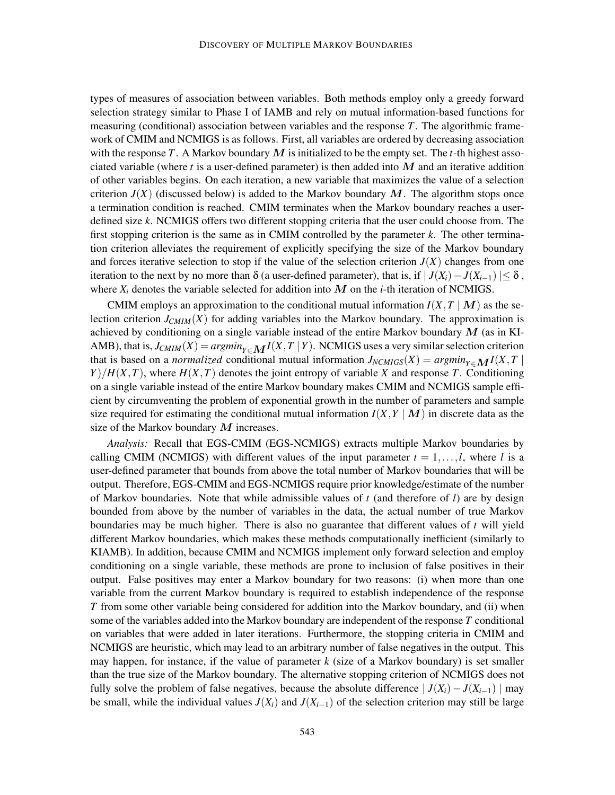types of measures of association between variables. Both methods employ only a greedy forward selection strategy similar to Phase I of IAMB and rely on mutual information-based functions for measuring (conditional) association between variables and the response *T*. The algorithmic framework of CMIM and NCMIGS is as follows. First, all variables are ordered by decreasing association with the response T. A Markov boundary M is initialized to be the empty set. The  $t$ -th highest associated variable (where *t* is a user-defined parameter) is then added into M and an iterative addition of other variables begins. On each iteration, a new variable that maximizes the value of a selection criterion  $J(X)$  (discussed below) is added to the Markov boundary  $M$ . The algorithm stops once a termination condition is reached. CMIM terminates when the Markov boundary reaches a userdefined size *k*. NCMIGS offers two different stopping criteria that the user could choose from. The first stopping criterion is the same as in CMIM controlled by the parameter *k*. The other termination criterion alleviates the requirement of explicitly specifying the size of the Markov boundary and forces iterative selection to stop if the value of the selection criterion  $J(X)$  changes from one iteration to the next by no more than  $\delta$  (a user-defined parameter), that is, if  $|J(X_i) - J(X_{i-1})| \leq \delta$ , where  $X_i$  denotes the variable selected for addition into  $M$  on the *i*-th iteration of NCMIGS.

CMIM employs an approximation to the conditional mutual information  $I(X, T | M)$  as the selection criterion  $J_{CMIM}(X)$  for adding variables into the Markov boundary. The approximation is achieved by conditioning on a single variable instead of the entire Markov boundary  $M$  (as in KI-AMB), that is,  $J_{CMIM}(X) = argmin_{Y \in \mathbf{M}} I(X, T | Y)$ . NCMIGS uses a very similar selection criterion that is based on a *normalized* conditional mutual information  $J_{NCMIGS}(X) = argmin_{Y \in \mathbf{M}} I(X, T)$  $Y$ / $H(X, T)$ , where  $H(X, T)$  denotes the joint entropy of variable *X* and response *T*. Conditioning on a single variable instead of the entire Markov boundary makes CMIM and NCMIGS sample efficient by circumventing the problem of exponential growth in the number of parameters and sample size required for estimating the conditional mutual information  $I(X, Y | M)$  in discrete data as the size of the Markov boundary  $M$  increases.

*Analysis:* Recall that EGS-CMIM (EGS-NCMIGS) extracts multiple Markov boundaries by calling CMIM (NCMIGS) with different values of the input parameter  $t = 1, \ldots, l$ , where *l* is a user-defined parameter that bounds from above the total number of Markov boundaries that will be output. Therefore, EGS-CMIM and EGS-NCMIGS require prior knowledge/estimate of the number of Markov boundaries. Note that while admissible values of *t* (and therefore of *l*) are by design bounded from above by the number of variables in the data, the actual number of true Markov boundaries may be much higher. There is also no guarantee that different values of *t* will yield different Markov boundaries, which makes these methods computationally inefficient (similarly to KIAMB). In addition, because CMIM and NCMIGS implement only forward selection and employ conditioning on a single variable, these methods are prone to inclusion of false positives in their output. False positives may enter a Markov boundary for two reasons: (i) when more than one variable from the current Markov boundary is required to establish independence of the response *T* from some other variable being considered for addition into the Markov boundary, and (ii) when some of the variables added into the Markov boundary are independent of the response *T* conditional on variables that were added in later iterations. Furthermore, the stopping criteria in CMIM and NCMIGS are heuristic, which may lead to an arbitrary number of false negatives in the output. This may happen, for instance, if the value of parameter *k* (size of a Markov boundary) is set smaller than the true size of the Markov boundary. The alternative stopping criterion of NCMIGS does not fully solve the problem of false negatives, because the absolute difference  $|J(X_i) - J(X_{i-1})|$  may be small, while the individual values  $J(X_i)$  and  $J(X_{i-1})$  of the selection criterion may still be large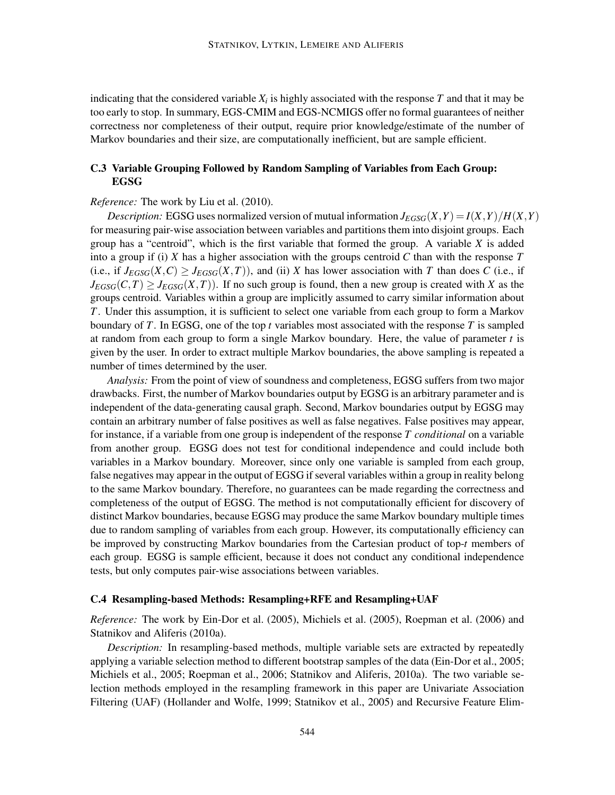indicating that the considered variable  $X_i$  is highly associated with the response  $T$  and that it may be too early to stop. In summary, EGS-CMIM and EGS-NCMIGS offer no formal guarantees of neither correctness nor completeness of their output, require prior knowledge/estimate of the number of Markov boundaries and their size, are computationally inefficient, but are sample efficient.

# C.3 Variable Grouping Followed by Random Sampling of Variables from Each Group: EGSG

#### *Reference:* The work by Liu et al. (2010).

*Description:* EGSG uses normalized version of mutual information  $J_{EGSG}(X, Y) = I(X, Y)/H(X, Y)$ for measuring pair-wise association between variables and partitions them into disjoint groups. Each group has a "centroid", which is the first variable that formed the group. A variable *X* is added into a group if (i) *X* has a higher association with the groups centroid *C* than with the response *T* (i.e., if  $J_{EGSG}(X, C) \geq J_{EGSG}(X, T)$ ), and (ii) *X* has lower association with *T* than does *C* (i.e., if  $J_{EGSG}(C,T) \geq J_{EGSG}(X,T)$ ). If no such group is found, then a new group is created with *X* as the groups centroid. Variables within a group are implicitly assumed to carry similar information about *T*. Under this assumption, it is sufficient to select one variable from each group to form a Markov boundary of *T*. In EGSG, one of the top *t* variables most associated with the response *T* is sampled at random from each group to form a single Markov boundary. Here, the value of parameter *t* is given by the user. In order to extract multiple Markov boundaries, the above sampling is repeated a number of times determined by the user.

*Analysis:* From the point of view of soundness and completeness, EGSG suffers from two major drawbacks. First, the number of Markov boundaries output by EGSG is an arbitrary parameter and is independent of the data-generating causal graph. Second, Markov boundaries output by EGSG may contain an arbitrary number of false positives as well as false negatives. False positives may appear, for instance, if a variable from one group is independent of the response *T conditional* on a variable from another group. EGSG does not test for conditional independence and could include both variables in a Markov boundary. Moreover, since only one variable is sampled from each group, false negatives may appear in the output of EGSG if several variables within a group in reality belong to the same Markov boundary. Therefore, no guarantees can be made regarding the correctness and completeness of the output of EGSG. The method is not computationally efficient for discovery of distinct Markov boundaries, because EGSG may produce the same Markov boundary multiple times due to random sampling of variables from each group. However, its computationally efficiency can be improved by constructing Markov boundaries from the Cartesian product of top-*t* members of each group. EGSG is sample efficient, because it does not conduct any conditional independence tests, but only computes pair-wise associations between variables.

#### C.4 Resampling-based Methods: Resampling+RFE and Resampling+UAF

*Reference:* The work by Ein-Dor et al. (2005), Michiels et al. (2005), Roepman et al. (2006) and Statnikov and Aliferis (2010a).

*Description:* In resampling-based methods, multiple variable sets are extracted by repeatedly applying a variable selection method to different bootstrap samples of the data (Ein-Dor et al., 2005; Michiels et al., 2005; Roepman et al., 2006; Statnikov and Aliferis, 2010a). The two variable selection methods employed in the resampling framework in this paper are Univariate Association Filtering (UAF) (Hollander and Wolfe, 1999; Statnikov et al., 2005) and Recursive Feature Elim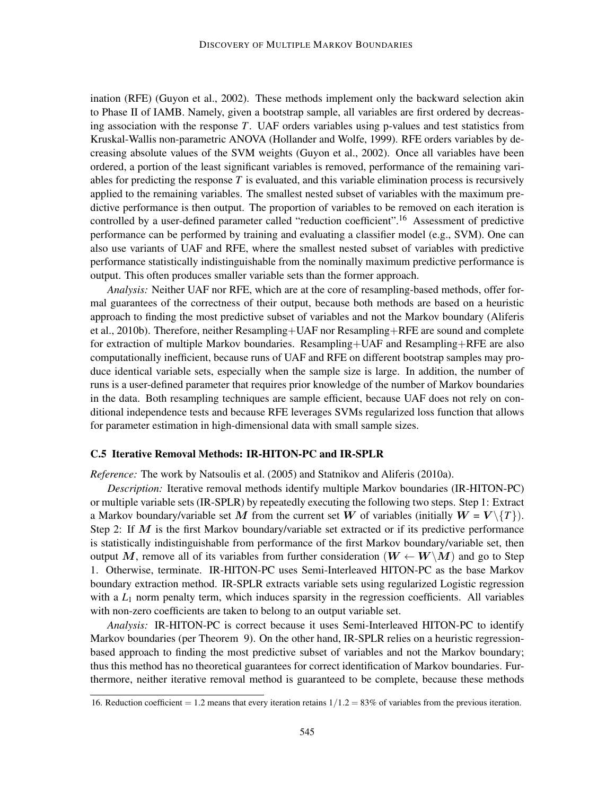ination (RFE) (Guyon et al., 2002). These methods implement only the backward selection akin to Phase II of IAMB. Namely, given a bootstrap sample, all variables are first ordered by decreasing association with the response *T*. UAF orders variables using p-values and test statistics from Kruskal-Wallis non-parametric ANOVA (Hollander and Wolfe, 1999). RFE orders variables by decreasing absolute values of the SVM weights (Guyon et al., 2002). Once all variables have been ordered, a portion of the least significant variables is removed, performance of the remaining variables for predicting the response *T* is evaluated, and this variable elimination process is recursively applied to the remaining variables. The smallest nested subset of variables with the maximum predictive performance is then output. The proportion of variables to be removed on each iteration is controlled by a user-defined parameter called "reduction coefficient".<sup>16</sup> Assessment of predictive performance can be performed by training and evaluating a classifier model (e.g., SVM). One can also use variants of UAF and RFE, where the smallest nested subset of variables with predictive performance statistically indistinguishable from the nominally maximum predictive performance is output. This often produces smaller variable sets than the former approach.

*Analysis:* Neither UAF nor RFE, which are at the core of resampling-based methods, offer formal guarantees of the correctness of their output, because both methods are based on a heuristic approach to finding the most predictive subset of variables and not the Markov boundary (Aliferis et al., 2010b). Therefore, neither Resampling+UAF nor Resampling+RFE are sound and complete for extraction of multiple Markov boundaries. Resampling+UAF and Resampling+RFE are also computationally inefficient, because runs of UAF and RFE on different bootstrap samples may produce identical variable sets, especially when the sample size is large. In addition, the number of runs is a user-defined parameter that requires prior knowledge of the number of Markov boundaries in the data. Both resampling techniques are sample efficient, because UAF does not rely on conditional independence tests and because RFE leverages SVMs regularized loss function that allows for parameter estimation in high-dimensional data with small sample sizes.

#### C.5 Iterative Removal Methods: IR-HITON-PC and IR-SPLR

*Reference:* The work by Natsoulis et al. (2005) and Statnikov and Aliferis (2010a).

*Description:* Iterative removal methods identify multiple Markov boundaries (IR-HITON-PC) or multiple variable sets (IR-SPLR) by repeatedly executing the following two steps. Step 1: Extract a Markov boundary/variable set M from the current set W of variables (initially  $W = V \{T\}$ ). Step 2: If  $M$  is the first Markov boundary/variable set extracted or if its predictive performance is statistically indistinguishable from performance of the first Markov boundary/variable set, then output M, remove all of its variables from further consideration ( $W \leftarrow W \backslash M$ ) and go to Step 1. Otherwise, terminate. IR-HITON-PC uses Semi-Interleaved HITON-PC as the base Markov boundary extraction method. IR-SPLR extracts variable sets using regularized Logistic regression with a  $L_1$  norm penalty term, which induces sparsity in the regression coefficients. All variables with non-zero coefficients are taken to belong to an output variable set.

*Analysis:* IR-HITON-PC is correct because it uses Semi-Interleaved HITON-PC to identify Markov boundaries (per Theorem 9). On the other hand, IR-SPLR relies on a heuristic regressionbased approach to finding the most predictive subset of variables and not the Markov boundary; thus this method has no theoretical guarantees for correct identification of Markov boundaries. Furthermore, neither iterative removal method is guaranteed to be complete, because these methods

<sup>16.</sup> Reduction coefficient = 1.2 means that every iteration retains  $1/1.2 = 83\%$  of variables from the previous iteration.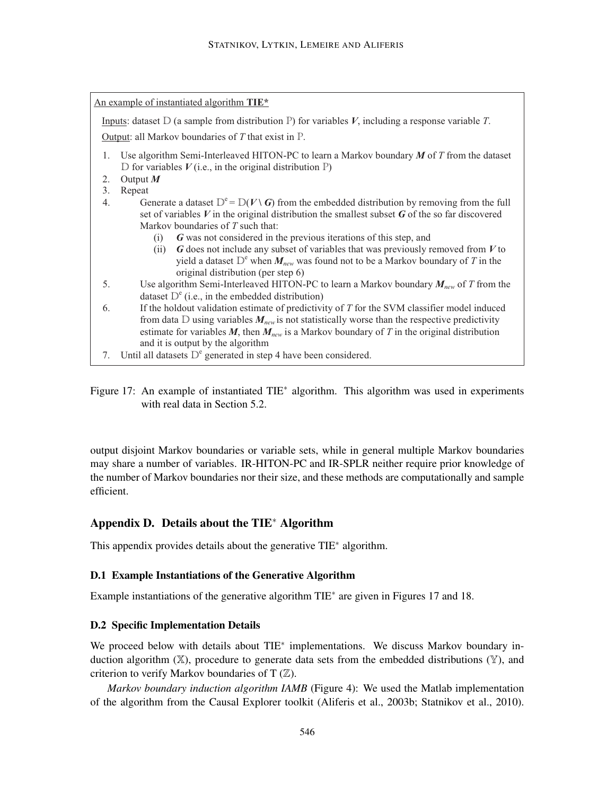| An example of instantiated algorithm TIE <sup>*</sup>    |                                                                                                      |  |  |  |  |  |
|----------------------------------------------------------|------------------------------------------------------------------------------------------------------|--|--|--|--|--|
|                                                          | Inputs: dataset $D$ (a sample from distribution P) for variables V, including a response variable T. |  |  |  |  |  |
| Output: all Markov boundaries of $T$ that exist in $P$ . |                                                                                                      |  |  |  |  |  |
| 1.                                                       | Use algorithm Semi-Interleaved HITON-PC to learn a Markov boundary $M$ of $T$ from the dataset       |  |  |  |  |  |
|                                                          | D for variables $V$ (i.e., in the original distribution P)                                           |  |  |  |  |  |
| 2.                                                       | Output $M$                                                                                           |  |  |  |  |  |
| 3.                                                       | Repeat                                                                                               |  |  |  |  |  |
| 4.                                                       | Generate a dataset $D^e = D(V \setminus G)$ from the embedded distribution by removing from the full |  |  |  |  |  |
|                                                          | set of variables $V$ in the original distribution the smallest subset $G$ of the so far discovered   |  |  |  |  |  |
|                                                          | Markov boundaries of T such that:                                                                    |  |  |  |  |  |
|                                                          | G was not considered in the previous iterations of this step, and<br>(i)                             |  |  |  |  |  |
|                                                          | $G$ does not include any subset of variables that was previously removed from $V$ to<br>(i)          |  |  |  |  |  |
|                                                          | yield a dataset $D^e$ when $M_{new}$ was found not to be a Markov boundary of T in the               |  |  |  |  |  |
|                                                          | original distribution (per step 6)                                                                   |  |  |  |  |  |
| 5.                                                       | Use algorithm Semi-Interleaved HITON-PC to learn a Markov boundary $M_{new}$ of T from the           |  |  |  |  |  |
|                                                          | dataset $D^e$ (i.e., in the embedded distribution)                                                   |  |  |  |  |  |
| 6.                                                       | If the holdout validation estimate of predictivity of T for the SVM classifier model induced         |  |  |  |  |  |
|                                                          | from data D using variables $M_{new}$ is not statistically worse than the respective predictivity    |  |  |  |  |  |
|                                                          | estimate for variables M, then $M_{new}$ is a Markov boundary of T in the original distribution      |  |  |  |  |  |
|                                                          | and it is output by the algorithm                                                                    |  |  |  |  |  |
| 7.                                                       | Until all datasets $D^e$ generated in step 4 have been considered.                                   |  |  |  |  |  |

Figure 17: An example of instantiated TIE<sup>∗</sup> algorithm. This algorithm was used in experiments with real data in Section 5.2.

output disjoint Markov boundaries or variable sets, while in general multiple Markov boundaries may share a number of variables. IR-HITON-PC and IR-SPLR neither require prior knowledge of the number of Markov boundaries nor their size, and these methods are computationally and sample efficient.

# Appendix D. Details about the TIE<sup>∗</sup> Algorithm

This appendix provides details about the generative TIE<sup>∗</sup> algorithm.

#### D.1 Example Instantiations of the Generative Algorithm

Example instantiations of the generative algorithm TIE<sup>∗</sup> are given in Figures 17 and 18.

#### D.2 Specific Implementation Details

We proceed below with details about TIE<sup>\*</sup> implementations. We discuss Markov boundary induction algorithm  $(X)$ , procedure to generate data sets from the embedded distributions  $(Y)$ , and criterion to verify Markov boundaries of T  $(\mathbb{Z})$ .

*Markov boundary induction algorithm IAMB* (Figure 4): We used the Matlab implementation of the algorithm from the Causal Explorer toolkit (Aliferis et al., 2003b; Statnikov et al., 2010).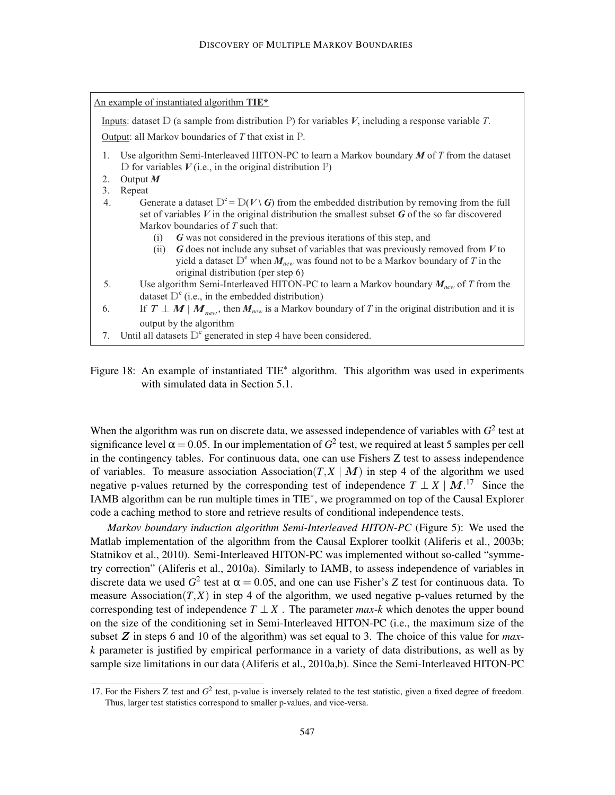| An example of instantiated algorithm TIE*                                                                           |  |  |  |  |  |
|---------------------------------------------------------------------------------------------------------------------|--|--|--|--|--|
| Inputs: dataset D (a sample from distribution P) for variables V, including a response variable T.                  |  |  |  |  |  |
| Output: all Markov boundaries of $T$ that exist in $P$ .                                                            |  |  |  |  |  |
| Use algorithm Semi-Interleaved HITON-PC to learn a Markov boundary $M$ of $T$ from the dataset<br>1.                |  |  |  |  |  |
| D for variables $V$ (i.e., in the original distribution P)                                                          |  |  |  |  |  |
| Output $M$<br>2.                                                                                                    |  |  |  |  |  |
| 3.<br>Repeat                                                                                                        |  |  |  |  |  |
| Generate a dataset $D^e = D(V \setminus G)$ from the embedded distribution by removing from the full<br>4.          |  |  |  |  |  |
| set of variables $V$ in the original distribution the smallest subset $G$ of the so far discovered                  |  |  |  |  |  |
| Markov boundaries of $T$ such that:                                                                                 |  |  |  |  |  |
| G was not considered in the previous iterations of this step, and<br>(i)                                            |  |  |  |  |  |
| $G$ does not include any subset of variables that was previously removed from $V$ to<br>(i)                         |  |  |  |  |  |
| yield a dataset $D^e$ when $M_{new}$ was found not to be a Markov boundary of T in the                              |  |  |  |  |  |
| original distribution (per step 6)                                                                                  |  |  |  |  |  |
| 5.<br>Use algorithm Semi-Interleaved HITON-PC to learn a Markov boundary $M_{new}$ of T from the                    |  |  |  |  |  |
| dataset $D^e$ (i.e., in the embedded distribution)                                                                  |  |  |  |  |  |
|                                                                                                                     |  |  |  |  |  |
| If $T \perp M \mid M_{new}$ , then $M_{new}$ is a Markov boundary of T in the original distribution and it is<br>6. |  |  |  |  |  |
| output by the algorithm                                                                                             |  |  |  |  |  |
| Until all datasets $D^e$ generated in step 4 have been considered.<br>7.                                            |  |  |  |  |  |

Figure 18: An example of instantiated TIE<sup>∗</sup> algorithm. This algorithm was used in experiments with simulated data in Section 5.1.

When the algorithm was run on discrete data, we assessed independence of variables with  $G^2$  test at significance level  $\alpha = 0.05$ . In our implementation of  $G^2$  test, we required at least 5 samples per cell in the contingency tables. For continuous data, one can use Fishers Z test to assess independence of variables. To measure association Association( $T$ , $X \mid M$ ) in step 4 of the algorithm we used negative p-values returned by the corresponding test of independence  $T \perp X \mid M$ .<sup>17</sup> Since the IAMB algorithm can be run multiple times in TIE<sup>∗</sup> , we programmed on top of the Causal Explorer code a caching method to store and retrieve results of conditional independence tests.

*Markov boundary induction algorithm Semi-Interleaved HITON-PC* (Figure 5): We used the Matlab implementation of the algorithm from the Causal Explorer toolkit (Aliferis et al., 2003b; Statnikov et al., 2010). Semi-Interleaved HITON-PC was implemented without so-called "symmetry correction" (Aliferis et al., 2010a). Similarly to IAMB, to assess independence of variables in discrete data we used  $G^2$  test at  $\alpha = 0.05$ , and one can use Fisher's *Z* test for continuous data. To measure Association( $T$ , $X$ ) in step 4 of the algorithm, we used negative p-values returned by the corresponding test of independence  $T \perp X$ . The parameter *max-k* which denotes the upper bound on the size of the conditioning set in Semi-Interleaved HITON-PC (i.e., the maximum size of the subset Z in steps 6 and 10 of the algorithm) was set equal to 3. The choice of this value for *maxk* parameter is justified by empirical performance in a variety of data distributions, as well as by sample size limitations in our data (Aliferis et al., 2010a,b). Since the Semi-Interleaved HITON-PC

<sup>17.</sup> For the Fishers Z test and  $G^2$  test, p-value is inversely related to the test statistic, given a fixed degree of freedom. Thus, larger test statistics correspond to smaller p-values, and vice-versa.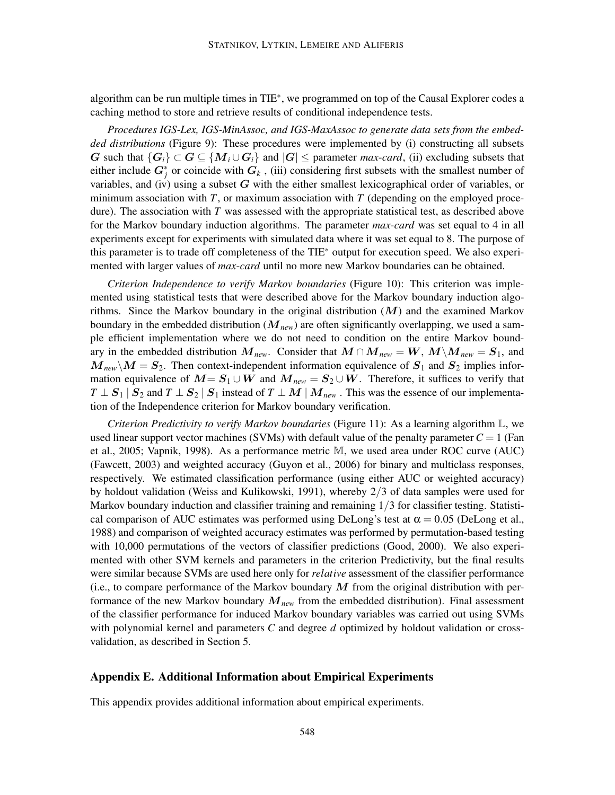algorithm can be run multiple times in TIE<sup>\*</sup>, we programmed on top of the Causal Explorer codes a caching method to store and retrieve results of conditional independence tests.

*Procedures IGS-Lex, IGS-MinAssoc, and IGS-MaxAssoc to generate data sets from the embedded distributions* (Figure 9): These procedures were implemented by (i) constructing all subsets G such that  $\{G_i\} \subset G \subseteq \{M_i \cup G_i\}$  and  $|G| \leq$  parameter *max-card*, (ii) excluding subsets that either include  $G_j^*$  or coincide with  $G_k$ , (iii) considering first subsets with the smallest number of variables, and (iv) using a subset  $G$  with the either smallest lexicographical order of variables, or minimum association with *T*, or maximum association with *T* (depending on the employed procedure). The association with *T* was assessed with the appropriate statistical test, as described above for the Markov boundary induction algorithms. The parameter *max*-*card* was set equal to 4 in all experiments except for experiments with simulated data where it was set equal to 8. The purpose of this parameter is to trade off completeness of the TIE<sup>∗</sup> output for execution speed. We also experimented with larger values of *max*-*card* until no more new Markov boundaries can be obtained.

*Criterion Independence to verify Markov boundaries* (Figure 10): This criterion was implemented using statistical tests that were described above for the Markov boundary induction algorithms. Since the Markov boundary in the original distribution  $(M)$  and the examined Markov boundary in the embedded distribution (M*new*) are often significantly overlapping, we used a sample efficient implementation where we do not need to condition on the entire Markov boundary in the embedded distribution  $M_{new}$ . Consider that  $M \cap M_{new} = W$ ,  $M \setminus M_{new} = S_1$ , and  $M_{\text{new}}\backslash M = S_2$ . Then context-independent information equivalence of  $S_1$  and  $S_2$  implies information equivalence of  $M = S_1 \cup W$  and  $M_{new} = S_2 \cup W$ . Therefore, it suffices to verify that  $T \perp S_1 | S_2$  and  $T \perp S_2 | S_1$  instead of  $T \perp M | M_{new}$ . This was the essence of our implementation of the Independence criterion for Markov boundary verification.

*Criterion Predictivity to verify Markov boundaries* (Figure 11): As a learning algorithm L, we used linear support vector machines (SVMs) with default value of the penalty parameter  $C = 1$  (Fan et al., 2005; Vapnik, 1998). As a performance metric M, we used area under ROC curve (AUC) (Fawcett, 2003) and weighted accuracy (Guyon et al., 2006) for binary and multiclass responses, respectively. We estimated classification performance (using either AUC or weighted accuracy) by holdout validation (Weiss and Kulikowski, 1991), whereby 2/3 of data samples were used for Markov boundary induction and classifier training and remaining 1/3 for classifier testing. Statistical comparison of AUC estimates was performed using DeLong's test at  $\alpha = 0.05$  (DeLong et al., 1988) and comparison of weighted accuracy estimates was performed by permutation-based testing with 10,000 permutations of the vectors of classifier predictions (Good, 2000). We also experimented with other SVM kernels and parameters in the criterion Predictivity, but the final results were similar because SVMs are used here only for *relative* assessment of the classifier performance (i.e., to compare performance of the Markov boundary  $M$  from the original distribution with performance of the new Markov boundary M*new* from the embedded distribution). Final assessment of the classifier performance for induced Markov boundary variables was carried out using SVMs with polynomial kernel and parameters *C* and degree *d* optimized by holdout validation or crossvalidation, as described in Section 5.

#### Appendix E. Additional Information about Empirical Experiments

This appendix provides additional information about empirical experiments.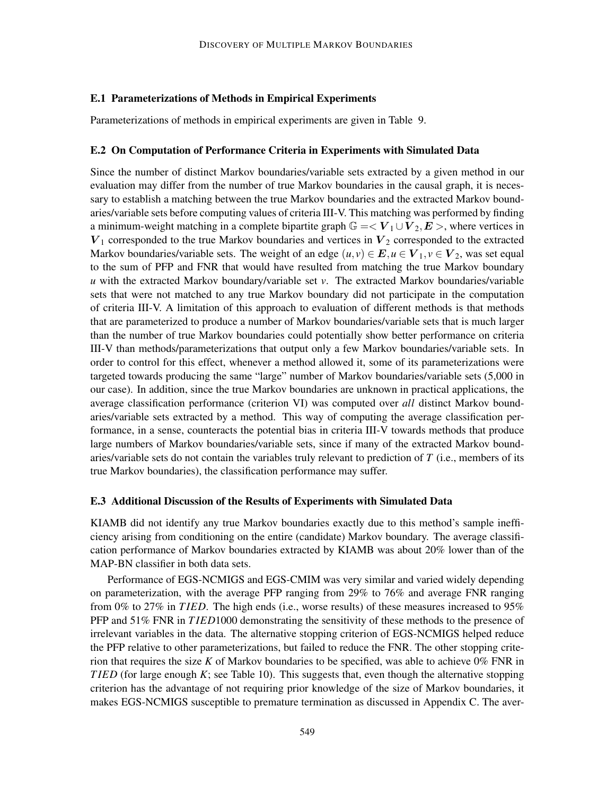#### E.1 Parameterizations of Methods in Empirical Experiments

Parameterizations of methods in empirical experiments are given in Table 9.

#### E.2 On Computation of Performance Criteria in Experiments with Simulated Data

Since the number of distinct Markov boundaries/variable sets extracted by a given method in our evaluation may differ from the number of true Markov boundaries in the causal graph, it is necessary to establish a matching between the true Markov boundaries and the extracted Markov boundaries/variable sets before computing values of criteria III-V. This matching was performed by finding a minimum-weight matching in a complete bipartite graph  $\mathbb{G} = \langle V_1 \cup V_2, E \rangle$ , where vertices in  $V_1$  corresponded to the true Markov boundaries and vertices in  $V_2$  corresponded to the extracted Markov boundaries/variable sets. The weight of an edge  $(u, v) \in E, u \in V_1, v \in V_2$ , was set equal to the sum of PFP and FNR that would have resulted from matching the true Markov boundary *u* with the extracted Markov boundary/variable set *v*. The extracted Markov boundaries/variable sets that were not matched to any true Markov boundary did not participate in the computation of criteria III-V. A limitation of this approach to evaluation of different methods is that methods that are parameterized to produce a number of Markov boundaries/variable sets that is much larger than the number of true Markov boundaries could potentially show better performance on criteria III-V than methods/parameterizations that output only a few Markov boundaries/variable sets. In order to control for this effect, whenever a method allowed it, some of its parameterizations were targeted towards producing the same "large" number of Markov boundaries/variable sets (5,000 in our case). In addition, since the true Markov boundaries are unknown in practical applications, the average classification performance (criterion VI) was computed over *all* distinct Markov boundaries/variable sets extracted by a method. This way of computing the average classification performance, in a sense, counteracts the potential bias in criteria III-V towards methods that produce large numbers of Markov boundaries/variable sets, since if many of the extracted Markov boundaries/variable sets do not contain the variables truly relevant to prediction of *T* (i.e., members of its true Markov boundaries), the classification performance may suffer.

#### E.3 Additional Discussion of the Results of Experiments with Simulated Data

KIAMB did not identify any true Markov boundaries exactly due to this method's sample inefficiency arising from conditioning on the entire (candidate) Markov boundary. The average classification performance of Markov boundaries extracted by KIAMB was about 20% lower than of the MAP-BN classifier in both data sets.

Performance of EGS-NCMIGS and EGS-CMIM was very similar and varied widely depending on parameterization, with the average PFP ranging from 29% to 76% and average FNR ranging from 0% to 27% in *T IED*. The high ends (i.e., worse results) of these measures increased to 95% PFP and 51% FNR in *T IED*1000 demonstrating the sensitivity of these methods to the presence of irrelevant variables in the data. The alternative stopping criterion of EGS-NCMIGS helped reduce the PFP relative to other parameterizations, but failed to reduce the FNR. The other stopping criterion that requires the size  $K$  of Markov boundaries to be specified, was able to achieve  $0\%$  FNR in *T IED* (for large enough *K*; see Table 10). This suggests that, even though the alternative stopping criterion has the advantage of not requiring prior knowledge of the size of Markov boundaries, it makes EGS-NCMIGS susceptible to premature termination as discussed in Appendix C. The aver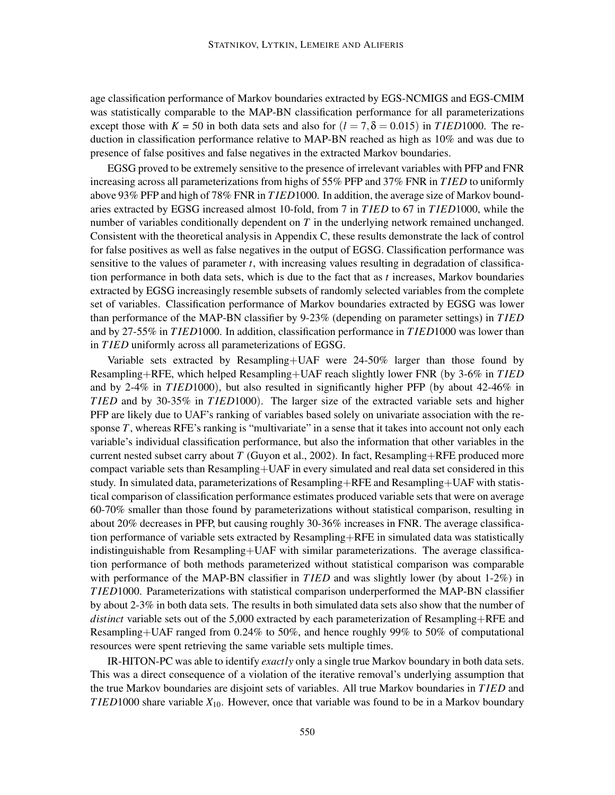age classification performance of Markov boundaries extracted by EGS-NCMIGS and EGS-CMIM was statistically comparable to the MAP-BN classification performance for all parameterizations except those with  $K = 50$  in both data sets and also for  $(l = 7, \delta = 0.015)$  in *TIED*1000. The reduction in classification performance relative to MAP-BN reached as high as 10% and was due to presence of false positives and false negatives in the extracted Markov boundaries.

EGSG proved to be extremely sensitive to the presence of irrelevant variables with PFP and FNR increasing across all parameterizations from highs of 55% PFP and 37% FNR in *T IED* to uniformly above 93% PFP and high of 78% FNR in *T IED*1000. In addition, the average size of Markov boundaries extracted by EGSG increased almost 10-fold, from 7 in *T IED* to 67 in *T IED*1000, while the number of variables conditionally dependent on *T* in the underlying network remained unchanged. Consistent with the theoretical analysis in Appendix C, these results demonstrate the lack of control for false positives as well as false negatives in the output of EGSG. Classification performance was sensitive to the values of parameter *t*, with increasing values resulting in degradation of classification performance in both data sets, which is due to the fact that as *t* increases, Markov boundaries extracted by EGSG increasingly resemble subsets of randomly selected variables from the complete set of variables. Classification performance of Markov boundaries extracted by EGSG was lower than performance of the MAP-BN classifier by 9-23% (depending on parameter settings) in *T IED* and by 27-55% in *T IED*1000. In addition, classification performance in *T IED*1000 was lower than in *T IED* uniformly across all parameterizations of EGSG.

Variable sets extracted by Resampling+UAF were 24-50% larger than those found by Resampling+RFE, which helped Resampling+UAF reach slightly lower FNR (by 3-6% in *T IED* and by 2-4% in *TIED*1000), but also resulted in significantly higher PFP (by about 42-46% in *T IED* and by 30-35% in *T IED*1000). The larger size of the extracted variable sets and higher PFP are likely due to UAF's ranking of variables based solely on univariate association with the response *T*, whereas RFE's ranking is "multivariate" in a sense that it takes into account not only each variable's individual classification performance, but also the information that other variables in the current nested subset carry about *T* (Guyon et al., 2002). In fact, Resampling+RFE produced more compact variable sets than Resampling+UAF in every simulated and real data set considered in this study. In simulated data, parameterizations of Resampling+RFE and Resampling+UAF with statistical comparison of classification performance estimates produced variable sets that were on average 60-70% smaller than those found by parameterizations without statistical comparison, resulting in about 20% decreases in PFP, but causing roughly 30-36% increases in FNR. The average classification performance of variable sets extracted by Resampling+RFE in simulated data was statistically indistinguishable from Resampling+UAF with similar parameterizations. The average classification performance of both methods parameterized without statistical comparison was comparable with performance of the MAP-BN classifier in *TIED* and was slightly lower (by about 1-2%) in *T IED*1000. Parameterizations with statistical comparison underperformed the MAP-BN classifier by about 2-3% in both data sets. The results in both simulated data sets also show that the number of *distinct* variable sets out of the 5,000 extracted by each parameterization of Resampling+RFE and Resampling+UAF ranged from 0.24% to 50%, and hence roughly 99% to 50% of computational resources were spent retrieving the same variable sets multiple times.

IR-HITON-PC was able to identify *exactly* only a single true Markov boundary in both data sets. This was a direct consequence of a violation of the iterative removal's underlying assumption that the true Markov boundaries are disjoint sets of variables. All true Markov boundaries in *T IED* and *T IED*1000 share variable *X*10. However, once that variable was found to be in a Markov boundary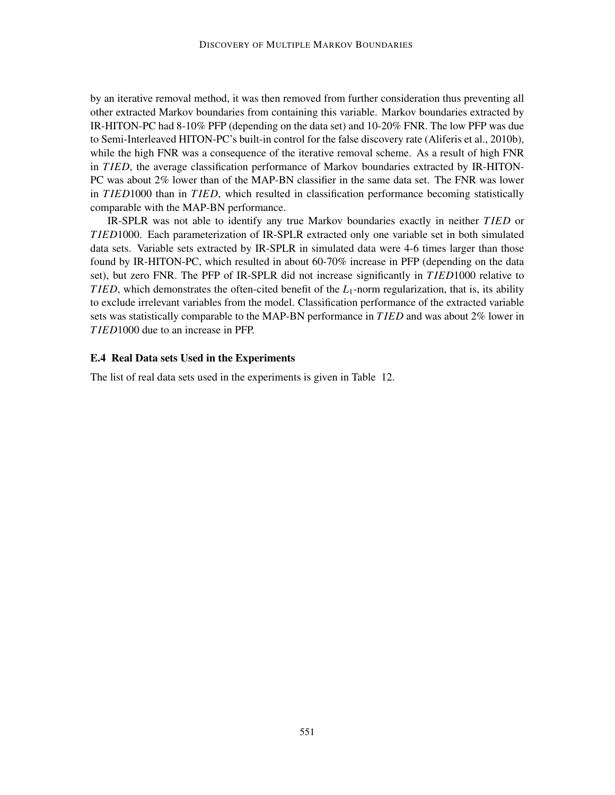by an iterative removal method, it was then removed from further consideration thus preventing all other extracted Markov boundaries from containing this variable. Markov boundaries extracted by IR-HITON-PC had 8-10% PFP (depending on the data set) and 10-20% FNR. The low PFP was due to Semi-Interleaved HITON-PC's built-in control for the false discovery rate (Aliferis et al., 2010b), while the high FNR was a consequence of the iterative removal scheme. As a result of high FNR in *T IED*, the average classification performance of Markov boundaries extracted by IR-HITON-PC was about 2% lower than of the MAP-BN classifier in the same data set. The FNR was lower in *T IED*1000 than in *T IED*, which resulted in classification performance becoming statistically comparable with the MAP-BN performance.

IR-SPLR was not able to identify any true Markov boundaries exactly in neither *T IED* or *T IED*1000. Each parameterization of IR-SPLR extracted only one variable set in both simulated data sets. Variable sets extracted by IR-SPLR in simulated data were 4-6 times larger than those found by IR-HITON-PC, which resulted in about 60-70% increase in PFP (depending on the data set), but zero FNR. The PFP of IR-SPLR did not increase significantly in *T IED*1000 relative to *TIED*, which demonstrates the often-cited benefit of the *L*<sub>1</sub>-norm regularization, that is, its ability to exclude irrelevant variables from the model. Classification performance of the extracted variable sets was statistically comparable to the MAP-BN performance in *T IED* and was about 2% lower in *T IED*1000 due to an increase in PFP.

#### E.4 Real Data sets Used in the Experiments

The list of real data sets used in the experiments is given in Table 12.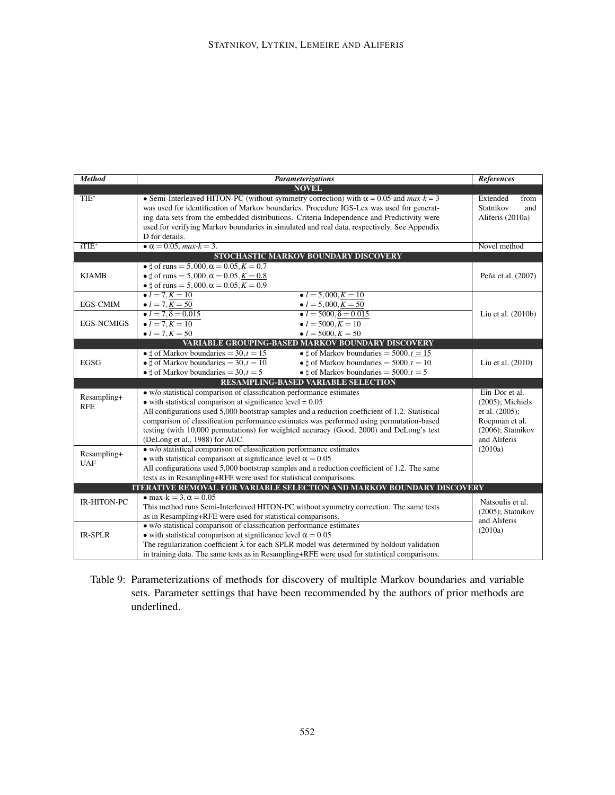| <b>Method</b>             | <b>Parameterizations</b>                                                                                | References           |
|---------------------------|---------------------------------------------------------------------------------------------------------|----------------------|
|                           | <b>NOVEL</b>                                                                                            |                      |
| $TIE^*$                   | • Semi-Interleaved HITON-PC (without symmetry correction) with $\alpha = 0.05$ and $max-k = 3$          | Extended<br>from     |
|                           | was used for identification of Markov boundaries. Procedure IGS-Lex was used for generat-               | Statnikov<br>and     |
|                           | ing data sets from the embedded distributions. Criteria Independence and Predictivity were              | Aliferis (2010a)     |
|                           | used for verifying Markov boundaries in simulated and real data, respectively. See Appendix             |                      |
|                           | D for details.                                                                                          |                      |
| $i$ TIE $*$               | • $\alpha = 0.05$ , max- $k = 3$ .                                                                      | Novel method         |
|                           | STOCHASTIC MARKOV BOUNDARY DISCOVERY                                                                    |                      |
|                           | • $\sharp$ of runs = 5,000, $\alpha = 0.05, K = 0.7$                                                    |                      |
| <b>KIAMB</b>              | • $\sharp$ of runs = 5,000, $\alpha$ = 0.05, $K = 0.8$                                                  | Peña et al. (2007)   |
|                           | • $\sharp$ of runs = 5,000, $\alpha$ = 0.05, $K = 0.9$                                                  |                      |
|                           | • $l = 7, K = 10$<br>• $l = 5,000, K = 10$                                                              |                      |
| <b>EGS-CMIM</b>           | • $l = 7, K = 50$<br>• $l = 5,000, K = 50$                                                              |                      |
|                           | • $l = 7, \delta = 0.015$<br>$l = 5000, \delta = 0.015$                                                 | Liu et al. (2010b)   |
| <b>EGS-NCMIGS</b>         | • $l = 7, K = 10$<br>• $l = 5000, K = 10$                                                               |                      |
|                           | • $l = 5000, K = 50$<br>• $l = 7, K = 50$                                                               |                      |
|                           | <b>VARIABLE GROUPING-BASED MARKOV BOUNDARY DISCOVERY</b>                                                |                      |
|                           | • $\sharp$ of Markov boundaries = 5000, $t = 15$<br>• $\sharp$ of Markov boundaries = 30, $t = 15$      |                      |
| EGSG                      | • $\frac{1}{4}$ of Markov boundaries = 30, $t = 10$<br>• $\sharp$ of Markov boundaries = 5000, $t = 10$ | Liu et al. (2010)    |
|                           | • $\sharp$ of Markov boundaries = 30, $t = 5$<br>• $\sharp$ of Markov boundaries = 5000, $t = 5$        |                      |
|                           | <b>RESAMPLING-BASED VARIABLE SELECTION</b>                                                              |                      |
|                           | • w/o statistical comparison of classification performance estimates                                    | Ein-Dor et al.       |
| Resampling+<br><b>RFE</b> | $\bullet$ with statistical comparison at significance level = 0.05                                      | $(2005)$ ; Michiels  |
|                           | All configurations used 5,000 bootstrap samples and a reduction coefficient of 1.2. Statistical         | et al. (2005);       |
|                           | comparison of classification performance estimates was performed using permutation-based                | Roepman et al.       |
|                           | testing (with 10,000 permutations) for weighted accuracy (Good, 2000) and DeLong's test                 | (2006); Statnikov    |
|                           | (DeLong et al., 1988) for AUC.                                                                          | and Aliferis         |
| Resampling+               | • w/o statistical comparison of classification performance estimates                                    | (2010a)              |
| <b>UAF</b>                | • with statistical comparison at significance level $\alpha = 0.05$                                     |                      |
|                           | All configurations used 5,000 bootstrap samples and a reduction coefficient of 1.2. The same            |                      |
|                           | tests as in Resampling+RFE were used for statistical comparisons.                                       |                      |
|                           | <b>ITERATIVE REMOVAL FOR VARIABLE SELECTION AND MARKOV BOUNDARY DISCOVERY</b>                           |                      |
| <b>IR-HITON-PC</b>        | $\bullet$ max-k = 3, $\alpha$ = 0.05                                                                    | Natsoulis et al.     |
|                           | This method runs Semi-Interleaved HITON-PC without symmetry correction. The same tests                  | $(2005)$ ; Statnikov |
|                           | as in Resampling+RFE were used for statistical comparisons.                                             | and Aliferis         |
|                           | • w/o statistical comparison of classification performance estimates                                    | (2010a)              |
| <b>IR-SPLR</b>            | • with statistical comparison at significance level $\alpha = 0.05$                                     |                      |
|                           | The regularization coefficient $\lambda$ for each SPLR model was determined by holdout validation       |                      |
|                           | in training data. The same tests as in Resampling+RFE were used for statistical comparisons.            |                      |

Table 9: Parameterizations of methods for discovery of multiple Markov boundaries and variable sets. Parameter settings that have been recommended by the authors of prior methods are underlined.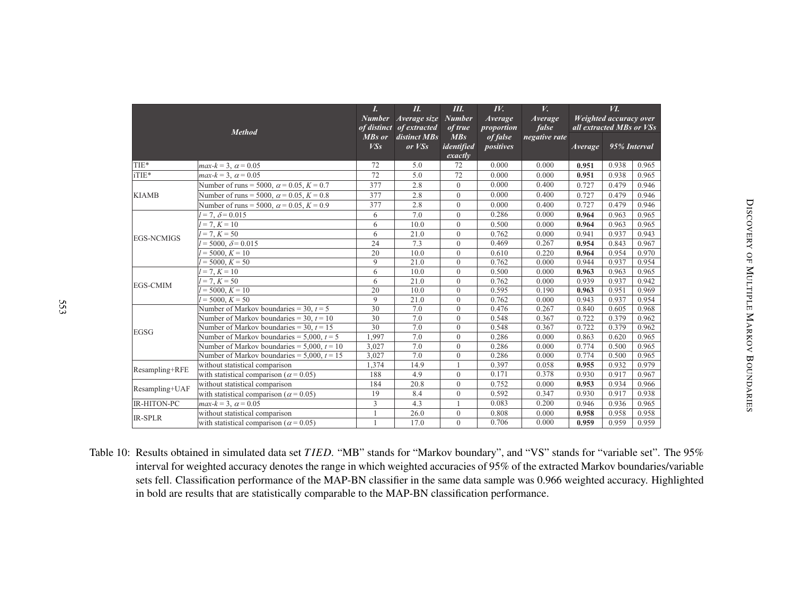|                   | Method                                            | L<br><b>Number</b><br>of distinct | II.<br>Average size<br>of extracted | Ш.<br><b>Number</b><br>of true            | $I\!V$ .<br><b>Average</b><br>proportion | V.<br><b>Average</b><br>false | all extracted MBs or VSs | <i>VI</i> .<br>Weighted accuracy over |       |
|-------------------|---------------------------------------------------|-----------------------------------|-------------------------------------|-------------------------------------------|------------------------------------------|-------------------------------|--------------------------|---------------------------------------|-------|
|                   |                                                   | MBs or<br>VSs                     | distinct MBs<br>or <i>VSS</i>       | MBs<br>identified<br>$\overline{exactly}$ | of false<br>positives                    | negative rate                 | <b>Average</b>           | 95% Interval                          |       |
| TIE*              | $max-k = 3$ , $\alpha = 0.05$                     | 72                                | 5.0                                 | 72                                        | 0.000                                    | 0.000                         | 0.951                    | 0.938                                 | 0.965 |
| iTIE*             | $max-k = 3$ , $\alpha = 0.05$                     | 72                                | 5.0                                 | 72                                        | 0.000                                    | 0.000                         | 0.951                    | 0.938                                 | 0.965 |
|                   | Number of runs = 5000, $\alpha$ = 0.05, K = 0.7   | 377                               | 2.8                                 | $\overline{0}$                            | 0.000                                    | 0.400                         | 0.727                    | 0.479                                 | 0.946 |
| <b>KIAMB</b>      | Number of runs = 5000, $\alpha$ = 0.05, $K$ = 0.8 | 377                               | 2.8                                 | $\overline{0}$                            | 0.000                                    | 0.400                         | 0.727                    | 0.479                                 | 0.946 |
|                   | Number of runs = 5000, $\alpha$ = 0.05, K = 0.9   | 377                               | 2.8                                 | $\overline{0}$                            | 0.000                                    | 0.400                         | 0.727                    | 0.479                                 | 0.946 |
|                   | $l = 7, \delta = 0.015$                           | 6                                 | 7.0                                 | $\overline{0}$                            | 0.286                                    | 0.000                         | 0.964                    | 0.963                                 | 0.965 |
|                   | $l = 7, K = 10$                                   | 6                                 | 10.0                                | $\boldsymbol{0}$                          | 0.500                                    | 0.000                         | 0.964                    | 0.963                                 | 0.965 |
| <b>EGS-NCMIGS</b> | $l = 7, K = 50$                                   | 6                                 | 21.0                                | $\overline{0}$                            | 0.762                                    | 0.000                         | 0.941                    | 0.937                                 | 0.943 |
|                   | $l = 5000, \delta = 0.015$                        | 24                                | 7.3                                 | $\overline{0}$                            | 0.469                                    | 0.267                         | 0.954                    | 0.843                                 | 0.967 |
|                   | $l = 5000, K = 10$                                | 20                                | 10.0                                | $\overline{0}$                            | 0.610                                    | 0.220                         | 0.964                    | 0.954                                 | 0.970 |
|                   | $l = 5000, K = 50$                                | $\mathbf{Q}$                      | 21.0                                | $\overline{0}$                            | 0.762                                    | 0.000                         | 0.944                    | 0.937                                 | 0.954 |
|                   | $\overline{l} = 7, K = 10$                        | 6                                 | 10.0                                | $\overline{0}$                            | 0.500                                    | 0.000                         | 0.963                    | 0.963                                 | 0.965 |
| <b>EGS-CMIM</b>   | $l = 7, K = 50$                                   | 6                                 | 21.0                                | $\overline{0}$                            | 0.762                                    | 0.000                         | 0.939                    | 0.937                                 | 0.942 |
|                   | $I = 5000, K = 10$                                | 20                                | 10.0                                | $\overline{0}$                            | 0.595                                    | 0.190                         | 0.963                    | 0.951                                 | 0.969 |
|                   | $l = 5000, K = 50$                                | 9                                 | 21.0                                | $\overline{0}$                            | 0.762                                    | 0.000                         | 0.943                    | 0.937                                 | 0.954 |
|                   | Number of Markov boundaries = 30, $t = 5$         | 30                                | 7.0                                 | $\overline{0}$                            | 0.476                                    | 0.267                         | 0.840                    | 0.605                                 | 0.968 |
|                   | Number of Markov boundaries = 30, $t = 10$        | 30                                | 7.0                                 | $\overline{0}$                            | 0.548                                    | 0.367                         | 0.722                    | 0.379                                 | 0.962 |
| <b>EGSG</b>       | Number of Markov boundaries = 30, $t = 15$        | 30                                | 7.0                                 | $\overline{0}$                            | 0.548                                    | 0.367                         | 0.722                    | 0.379                                 | 0.962 |
|                   | Number of Markov boundaries = $5,000$ , $t = 5$   | 1,997                             | 7.0                                 | $\overline{0}$                            | 0.286                                    | 0.000                         | 0.863                    | 0.620                                 | 0.965 |
|                   | Number of Markov boundaries = $5,000$ , $t = 10$  | 3.027                             | 7.0                                 | $\overline{0}$                            | 0.286                                    | 0.000                         | 0.774                    | 0.500                                 | 0.965 |
|                   | Number of Markov boundaries = $5,000$ , $t = 15$  | 3,027                             | 7.0                                 | $\overline{0}$                            | 0.286                                    | 0.000                         | 0.774                    | 0.500                                 | 0.965 |
| Resampling+RFE    | without statistical comparison                    | 1,374                             | 14.9                                |                                           | 0.397                                    | 0.058                         | 0.955                    | 0.932                                 | 0.979 |
|                   | with statistical comparison ( $\alpha$ = 0.05)    | 188                               | 4.9                                 | $\overline{0}$                            | 0.171                                    | 0.378                         | 0.930                    | 0.917                                 | 0.967 |
| Resampling+UAF    | without statistical comparison                    | 184                               | 20.8                                | $\overline{0}$                            | 0.752                                    | 0.000                         | 0.953                    | 0.934                                 | 0.966 |
|                   | with statistical comparison ( $\alpha$ = 0.05)    | 19                                | 8.4                                 | $\overline{0}$                            | 0.592                                    | 0.347                         | 0.930                    | 0.917                                 | 0.938 |
| IR-HITON-PC       | $max-k = 3$ , $\alpha = 0.05$                     | 3                                 | 4.3                                 |                                           | 0.083                                    | 0.200                         | 0.946                    | 0.936                                 | 0.965 |
|                   | without statistical comparison                    |                                   | 26.0                                | $\boldsymbol{0}$                          | 0.808                                    | 0.000                         | 0.958                    | 0.958                                 | 0.958 |
| <b>IR-SPLR</b>    | with statistical comparison ( $\alpha$ = 0.05)    |                                   | 17.0                                | $\overline{0}$                            | 0.706                                    | 0.000                         | 0.959                    | 0.959                                 | 0.959 |

Table 10: Results obtained in simulated data set *TIED*. "MB" stands for "Markov boundary", and "VS" stands for "variable set". The 95% interval for weighted accuracy denotes the range in which weighted accuracies of 95% of the extracted Markov boundaries/variable sets fell. Classification performance of the MAP-BN classifier in the same data sample was 0.966 weighted accuracy. Highlightedin bold are results that are statistically comparable to the MAP-BN classification performance.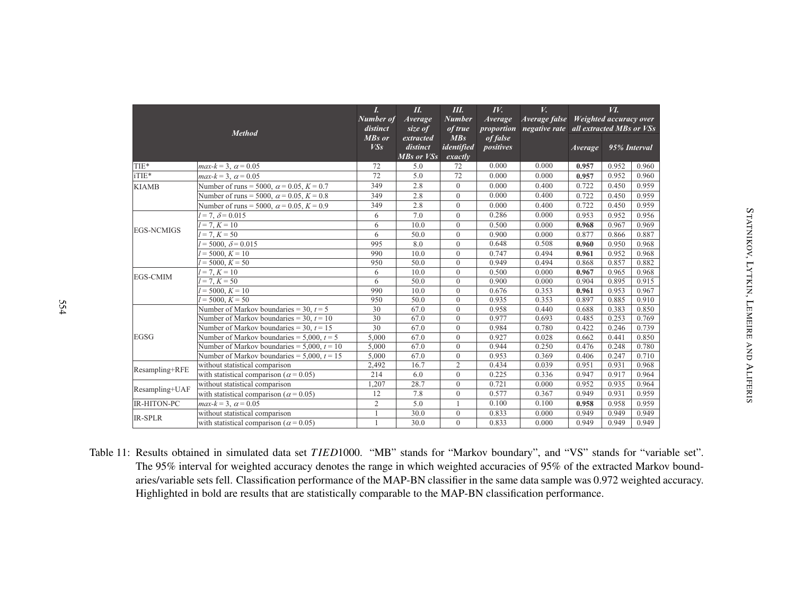|                    | <b>Method</b>                                     | I.<br>Number of<br>distinct | П.<br><b>Average</b><br>size of     | Ш.<br><b>Number</b><br>of true            | IV.<br><b>Average</b><br><i>proportion</i> | $V_{\bullet}$<br><b>Average false</b><br>negative rate all extracted MBs or VSs | Weighted accuracy over | И.           |       |
|--------------------|---------------------------------------------------|-----------------------------|-------------------------------------|-------------------------------------------|--------------------------------------------|---------------------------------------------------------------------------------|------------------------|--------------|-------|
|                    |                                                   | MBs or<br>VS <sub>S</sub>   | extracted<br>distinct<br>MBs or VSs | MBs<br>identified<br>$\overline{exactly}$ | of false<br>positives                      |                                                                                 | <i>Average</i>         | 95% Interval |       |
| TIE*               | $max-k = 3$ , $\alpha = 0.05$                     | 72                          | 5.0                                 | 72                                        | 0.000                                      | 0.000                                                                           | 0.957                  | 0.952        | 0.960 |
| iTIE*              | $max-k = 3$ , $\alpha = 0.05$                     | 72                          | 5.0                                 | 72                                        | 0.000                                      | 0.000                                                                           | 0.957                  | 0.952        | 0.960 |
| <b>KIAMB</b>       | Number of runs = 5000, $\alpha$ = 0.05, K = 0.7   | 349                         | 2.8                                 | $\theta$                                  | 0.000                                      | 0.400                                                                           | 0.722                  | 0.450        | 0.959 |
|                    | Number of runs = 5000, $\alpha$ = 0.05, $K$ = 0.8 | 349                         | 2.8                                 | $\overline{0}$                            | 0.000                                      | 0.400                                                                           | 0.722                  | 0.450        | 0.959 |
|                    | Number of runs = 5000, $\alpha$ = 0.05, K = 0.9   | 349                         | 2.8                                 | $\theta$                                  | 0.000                                      | 0.400                                                                           | 0.722                  | 0.450        | 0.959 |
|                    | $= 7, \delta = 0.015$                             | 6                           | 7.0                                 | $\overline{0}$                            | 0.286                                      | 0.000                                                                           | 0.953                  | 0.952        | 0.956 |
|                    | $l = 7, K = 10$                                   | 6                           | 10.0                                | $\mathbf{0}$                              | 0.500                                      | 0.000                                                                           | 0.968                  | 0.967        | 0.969 |
| <b>EGS-NCMIGS</b>  | $= 7, K = 50$                                     | 6                           | 50.0                                | $\mathbf{0}$                              | 0.900                                      | 0.000                                                                           | 0.877                  | 0.866        | 0.887 |
|                    | $= 5000, \delta = 0.015$                          | 995                         | 8.0                                 | $\overline{0}$                            | 0.648                                      | 0.508                                                                           | 0.960                  | 0.950        | 0.968 |
|                    | $= 5000, K = 10$                                  | 990                         | 10.0                                | $\overline{0}$                            | 0.747                                      | 0.494                                                                           | 0.961                  | 0.952        | 0.968 |
|                    | $V = 5000, K = 50$                                | 950                         | 50.0                                | $\overline{0}$                            | 0.949                                      | 0.494                                                                           | 0.868                  | 0.857        | 0.882 |
| <b>EGS-CMIM</b>    | $= 7, K = 10$                                     | 6                           | 10.0                                | $\mathbf{0}$                              | 0.500                                      | 0.000                                                                           | 0.967                  | 0.965        | 0.968 |
|                    | $= 7, K = 50$                                     | 6                           | 50.0                                | $\mathbf{0}$                              | 0.900                                      | 0.000                                                                           | 0.904                  | 0.895        | 0.915 |
|                    | $= 5000, K = 10$                                  | 990                         | 10.0                                | $\overline{0}$                            | 0.676                                      | 0.353                                                                           | 0.961                  | 0.953        | 0.967 |
|                    | $= 5000, K = 50$                                  | 950                         | 50.0                                | $\overline{0}$                            | 0.935                                      | 0.353                                                                           | 0.897                  | 0.885        | 0.910 |
|                    | Number of Markov boundaries = 30, $t = 5$         | 30                          | 67.0                                | $\mathbf{0}$                              | 0.958                                      | 0.440                                                                           | 0.688                  | 0.383        | 0.850 |
|                    | Number of Markov boundaries = 30, $t = 10$        | 30                          | 67.0                                | $\overline{0}$                            | 0.977                                      | 0.693                                                                           | 0.485                  | 0.253        | 0.769 |
|                    | Number of Markov boundaries = 30, $t = 15$        | 30                          | 67.0                                | $\overline{0}$                            | 0.984                                      | 0.780                                                                           | 0.422                  | 0.246        | 0.739 |
| <b>EGSG</b>        | Number of Markov boundaries = $5,000$ , $t = 5$   | 5,000                       | 67.0                                | $\theta$                                  | 0.927                                      | 0.028                                                                           | 0.662                  | 0.441        | 0.850 |
|                    | Number of Markov boundaries = $5,000$ , $t = 10$  | 5,000                       | 67.0                                | $\overline{0}$                            | 0.944                                      | 0.250                                                                           | 0.476                  | 0.248        | 0.780 |
|                    | Number of Markov boundaries = $5,000$ , $t = 15$  | 5,000                       | 67.0                                | $\theta$                                  | 0.953                                      | 0.369                                                                           | 0.406                  | 0.247        | 0.710 |
| Resampling+RFE     | without statistical comparison                    | 2,492                       | 16.7                                | $\mathfrak{2}$                            | 0.434                                      | 0.039                                                                           | 0.951                  | 0.931        | 0.968 |
|                    | with statistical comparison ( $\alpha$ = 0.05)    | 214                         | 6.0                                 | $\mathbf{0}$                              | 0.225                                      | 0.336                                                                           | 0.947                  | 0.917        | 0.964 |
| Resampling+UAF     | without statistical comparison                    | 1,207                       | 28.7                                | $\mathbf{0}$                              | 0.721                                      | 0.000                                                                           | 0.952                  | 0.935        | 0.964 |
|                    | with statistical comparison ( $\alpha$ = 0.05)    | 12                          | 7.8                                 | $\overline{0}$                            | 0.577                                      | 0.367                                                                           | 0.949                  | 0.931        | 0.959 |
| <b>IR-HITON-PC</b> | $max-k = 3$ , $\alpha = 0.05$                     | $\overline{2}$              | 5.0                                 |                                           | 0.100                                      | 0.100                                                                           | 0.958                  | 0.958        | 0.959 |
| <b>IR-SPLR</b>     | without statistical comparison                    | $\mathbf{1}$                | 30.0                                | $\overline{0}$                            | 0.833                                      | 0.000                                                                           | 0.949                  | 0.949        | 0.949 |
|                    | with statistical comparison ( $\alpha$ = 0.05)    | $\mathbf{1}$                | 30.0                                | $\theta$                                  | 0.833                                      | 0.000                                                                           | 0.949                  | 0.949        | 0.949 |

Table 11: Results obtained in simulated data set *<sup>T</sup> IED*1000. "MB" stands for "Markov boundary", and "VS" stands for "variable set". The 95% interval for weighted accuracy denotes the range in which weighted accuracies of 95% of the extracted Markov boundaries/variable sets fell. Classification performance of the MAP-BN classifier in the same data sample was 0.972 weighted accuracy. Highlighted in bold are results that are statistically comparable to the MAP-BN classification performance.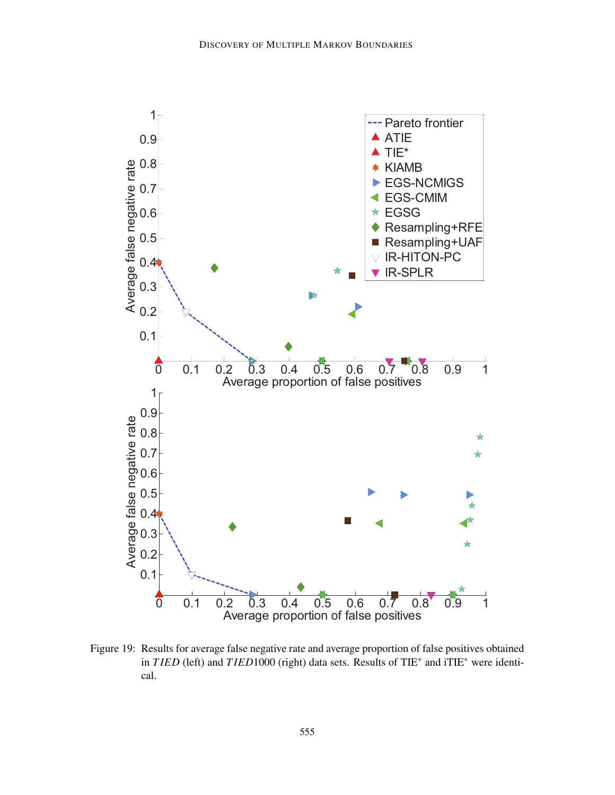

Figure 19: Results for average false negative rate and average proportion of false positives obtained in *T IED* (left) and *T IED*1000 (right) data sets. Results of TIE<sup>∗</sup> and iTIE<sup>∗</sup> were identical.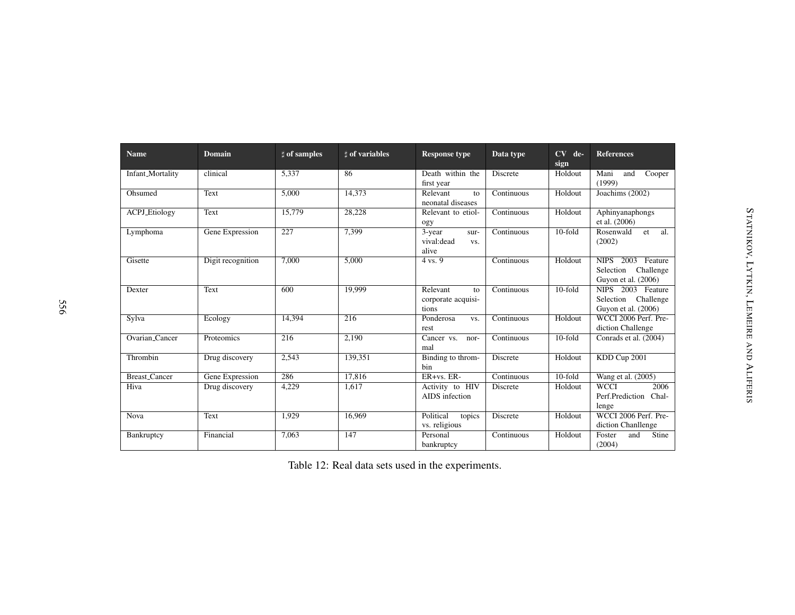| <b>Name</b>          | <b>Domain</b>     | $\sharp$ of samples | <b>d</b> of variables | <b>Response type</b>                          | Data type       | $CV$ de-<br>sign | <b>References</b>                                                  |
|----------------------|-------------------|---------------------|-----------------------|-----------------------------------------------|-----------------|------------------|--------------------------------------------------------------------|
| Infant_Mortality     | clinical          | 5,337               | 86                    | Death within the<br>first year                | Discrete        | Holdout          | Mani<br>$\overline{C}$ ooper<br>and<br>(1999)                      |
| Ohsumed              | Text              | 5,000               | 14.373                | Relevant<br>to<br>neonatal diseases           | Continuous      | Holdout          | Joachims (2002)                                                    |
| ACPJ_Etiology        | Text              | 15,779              | 28,228                | Relevant to etiol-<br>ogy                     | Continuous      | Holdout          | Aphinyanaphongs<br>et al. (2006)                                   |
| Lymphoma             | Gene Expression   | 227                 | 7,399                 | 3-year<br>sur-<br>vival: dead<br>VS.<br>alive | Continuous      | $10$ -fold       | Rosenwald<br>al.<br>et<br>(2002)                                   |
| Gisette              | Digit recognition | 7.000               | 5.000                 | 4 vs. 9                                       | Continuous      | Holdout          | NIPS 2003<br>Feature<br>Selection Challenge<br>Guyon et al. (2006) |
| Dexter               | Text              | 600                 | 19.999                | Relevant<br>to<br>corporate acquisi-<br>tions | Continuous      | $10$ -fold       | NIPS 2003 Feature<br>Selection Challenge<br>Guyon et al. (2006)    |
| Sylva                | Ecology           | 14.394              | 216                   | Ponderosa<br>VS.<br>rest                      | Continuous      | Holdout          | WCCI 2006 Perf. Pre-<br>diction Challenge                          |
| Ovarian_Cancer       | Proteomics        | 216                 | 2.190                 | Cancer vs.<br>nor-<br>mal                     | Continuous      | 10-fold          | Conrads et al. (2004)                                              |
| Thrombin             | Drug discovery    | 2,543               | 139,351               | Binding to throm-<br>bin                      | <b>Discrete</b> | Holdout          | KDD Cup 2001                                                       |
| <b>Breast_Cancer</b> | Gene Expression   | 286                 | 17,816                | $ER+vs. ER-$                                  | Continuous      | $10$ -fold       | Wang et al. (2005)                                                 |
| Hiva                 | Drug discovery    | 4,229               | 1,617                 | Activity to HIV<br>AIDS infection             | Discrete        | Holdout          | <b>WCCI</b><br>2006<br>Perf.Prediction<br>Chal-<br>lenge           |
| Nova                 | Text              | 1,929               | 16.969                | Political<br>topics<br>vs. religious          | <b>Discrete</b> | Holdout          | WCCI 2006 Perf. Pre-<br>diction Chanllenge                         |
| Bankruptcy           | Financial         | 7,063               | 147                   | Personal<br>bankruptcy                        | Continuous      | Holdout          | Foster<br>Stine<br>and<br>(2004)                                   |

|  |  | Table 12: Real data sets used in the experiments. |
|--|--|---------------------------------------------------|
|--|--|---------------------------------------------------|

 $\sigma$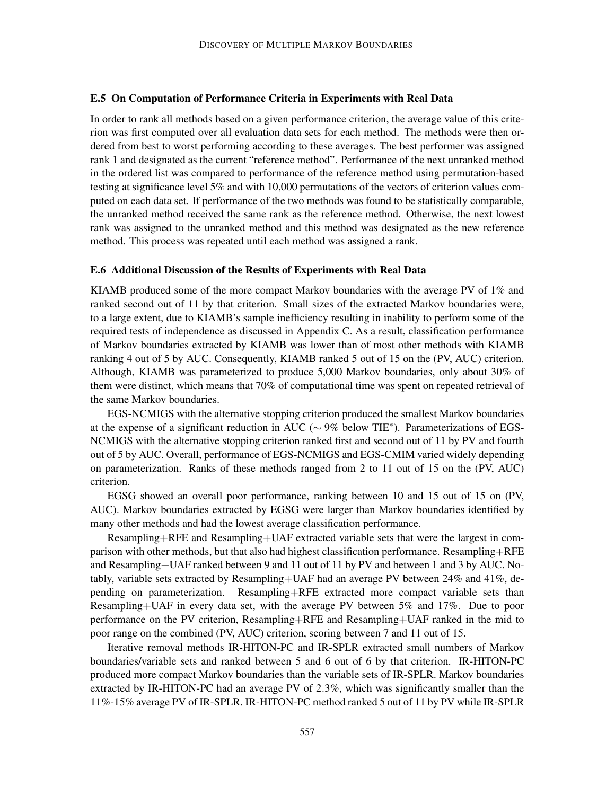#### E.5 On Computation of Performance Criteria in Experiments with Real Data

In order to rank all methods based on a given performance criterion, the average value of this criterion was first computed over all evaluation data sets for each method. The methods were then ordered from best to worst performing according to these averages. The best performer was assigned rank 1 and designated as the current "reference method". Performance of the next unranked method in the ordered list was compared to performance of the reference method using permutation-based testing at significance level 5% and with 10,000 permutations of the vectors of criterion values computed on each data set. If performance of the two methods was found to be statistically comparable, the unranked method received the same rank as the reference method. Otherwise, the next lowest rank was assigned to the unranked method and this method was designated as the new reference method. This process was repeated until each method was assigned a rank.

#### E.6 Additional Discussion of the Results of Experiments with Real Data

KIAMB produced some of the more compact Markov boundaries with the average PV of 1% and ranked second out of 11 by that criterion. Small sizes of the extracted Markov boundaries were, to a large extent, due to KIAMB's sample inefficiency resulting in inability to perform some of the required tests of independence as discussed in Appendix C. As a result, classification performance of Markov boundaries extracted by KIAMB was lower than of most other methods with KIAMB ranking 4 out of 5 by AUC. Consequently, KIAMB ranked 5 out of 15 on the (PV, AUC) criterion. Although, KIAMB was parameterized to produce 5,000 Markov boundaries, only about 30% of them were distinct, which means that 70% of computational time was spent on repeated retrieval of the same Markov boundaries.

EGS-NCMIGS with the alternative stopping criterion produced the smallest Markov boundaries at the expense of a significant reduction in AUC ( $\sim$  9% below TIE<sup>\*</sup>). Parameterizations of EGS-NCMIGS with the alternative stopping criterion ranked first and second out of 11 by PV and fourth out of 5 by AUC. Overall, performance of EGS-NCMIGS and EGS-CMIM varied widely depending on parameterization. Ranks of these methods ranged from 2 to 11 out of 15 on the (PV, AUC) criterion.

EGSG showed an overall poor performance, ranking between 10 and 15 out of 15 on (PV, AUC). Markov boundaries extracted by EGSG were larger than Markov boundaries identified by many other methods and had the lowest average classification performance.

Resampling+RFE and Resampling+UAF extracted variable sets that were the largest in comparison with other methods, but that also had highest classification performance. Resampling+RFE and Resampling+UAF ranked between 9 and 11 out of 11 by PV and between 1 and 3 by AUC. Notably, variable sets extracted by Resampling+UAF had an average PV between 24% and 41%, depending on parameterization. Resampling+RFE extracted more compact variable sets than Resampling+UAF in every data set, with the average PV between 5% and 17%. Due to poor performance on the PV criterion, Resampling+RFE and Resampling+UAF ranked in the mid to poor range on the combined (PV, AUC) criterion, scoring between 7 and 11 out of 15.

Iterative removal methods IR-HITON-PC and IR-SPLR extracted small numbers of Markov boundaries/variable sets and ranked between 5 and 6 out of 6 by that criterion. IR-HITON-PC produced more compact Markov boundaries than the variable sets of IR-SPLR. Markov boundaries extracted by IR-HITON-PC had an average PV of 2.3%, which was significantly smaller than the 11%-15% average PV of IR-SPLR. IR-HITON-PC method ranked 5 out of 11 by PV while IR-SPLR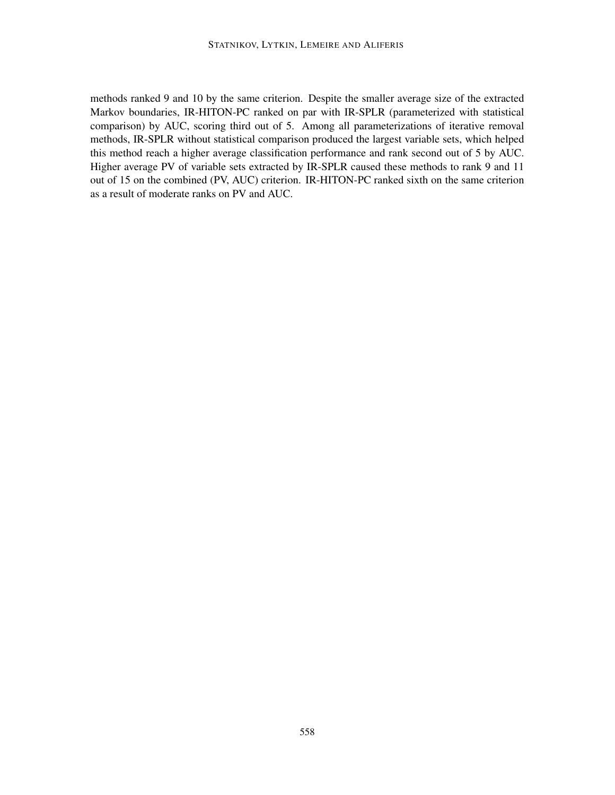methods ranked 9 and 10 by the same criterion. Despite the smaller average size of the extracted Markov boundaries, IR-HITON-PC ranked on par with IR-SPLR (parameterized with statistical comparison) by AUC, scoring third out of 5. Among all parameterizations of iterative removal methods, IR-SPLR without statistical comparison produced the largest variable sets, which helped this method reach a higher average classification performance and rank second out of 5 by AUC. Higher average PV of variable sets extracted by IR-SPLR caused these methods to rank 9 and 11 out of 15 on the combined (PV, AUC) criterion. IR-HITON-PC ranked sixth on the same criterion as a result of moderate ranks on PV and AUC.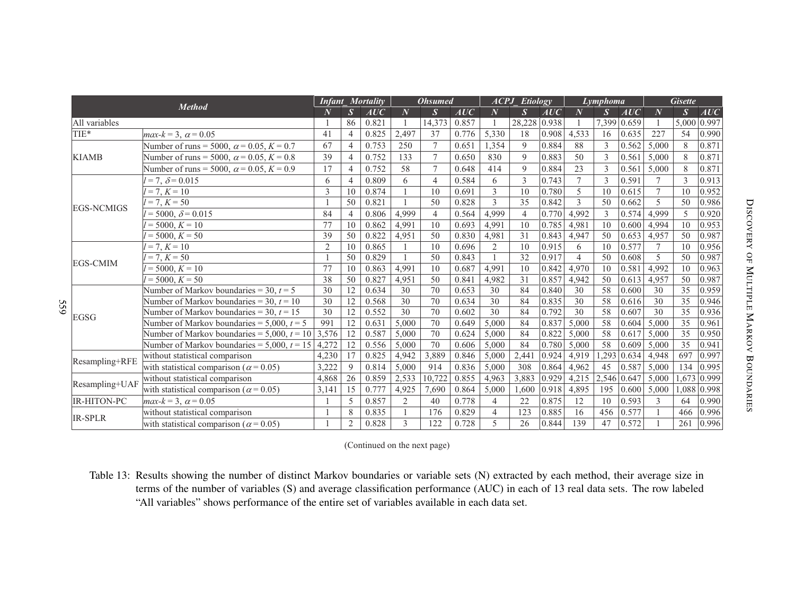|     | <b>Method</b>      |                                                   | <b>Infant Mortality</b> |                          | <b>Ohsumed</b> |                |                  | ACPI<br>Etiology |                  |                 | Lymphoma |                |                  | <b>Gisette</b> |                |               |             |
|-----|--------------------|---------------------------------------------------|-------------------------|--------------------------|----------------|----------------|------------------|------------------|------------------|-----------------|----------|----------------|------------------|----------------|----------------|---------------|-------------|
|     |                    |                                                   | $\overline{N}$          | $\boldsymbol{S}$         | AUC            | $\overline{N}$ | $\boldsymbol{S}$ | AUC              | $\boldsymbol{N}$ | $S_{\parallel}$ | AUC      | $\overline{N}$ | $\boldsymbol{S}$ | AUC            | $\overline{N}$ | $\mathcal{S}$ | AUC         |
|     | All variables      |                                                   |                         | 86                       | 0.821          |                | 14.373           | 0.857            |                  | 28,228          | 0.938    |                | 7,399            | 0.659          |                | 5,000         | 0.997       |
|     | TIE*               | $max-k = 3$ , $\alpha = 0.05$                     | 41                      | $\overline{4}$           | 0.825          | 2.497          | 37               | 0.776            | 5,330            | 18              | 0.908    | 4,533          | 16               | 0.635          | 227            | 54            | 0.990       |
|     |                    | Number of runs = 5000, $\alpha$ = 0.05, K = 0.7   | 67                      | $\overline{\mathcal{L}}$ | 0.753          | 250            | $\tau$           | 0.651            | 1,354            | 9               | 0.884    | 88             | 3                | 0.562          | 5,000          | 8             | 0.871       |
|     | <b>KIAMB</b>       | Number of runs = 5000, $\alpha$ = 0.05, $K$ = 0.8 | 39                      | $\overline{4}$           | 0.752          | 133            | $\overline{7}$   | 0.650            | 830              | $\mathbf{Q}$    | 0.883    | 50             | $\mathcal{E}$    | 0.561          | 5,000          | 8             | 0.871       |
|     |                    | Number of runs = 5000, $\alpha$ = 0.05, K = 0.9   | 17                      | $\overline{4}$           | 0.752          | 58             | $\overline{7}$   | 0.648            | 414              | 9               | 0.884    | 23             | 3                | 0.561          | 5,000          | 8             | 0.871       |
|     |                    | $= 7, \delta = 0.015$                             | 6                       | $\overline{4}$           | 0.809          | 6              | $\overline{4}$   | 0.584            | 6                | 3               | 0.743    | $\overline{7}$ | 3                | 0.591          | $\tau$         | 3             | 0.913       |
|     |                    | $= 7, K = 10$                                     | 3                       | 10                       | 0.874          |                | 10               | 0.691            | 3                | 10              | 0.780    | 5              | 10               | 0.615          | $\tau$         | 10            | 0.952       |
|     | <b>EGS-NCMIGS</b>  | $= 7, K = 50$                                     |                         | 50                       | 0.821          |                | 50               | 0.828            | 3                | 35              | 0.842    | 3              | 50               | 0.662          | 5              | 50            | 0.986       |
|     |                    | $= 5000, \delta = 0.015$                          | 84                      | $\overline{4}$           | 0.806          | 4.999          | $\overline{4}$   | 0.564            | 4,999            | $\overline{4}$  | 0.770    | 4,992          | $\mathfrak{Z}$   | 0.574          | 4.999          | 5             | 0.920       |
|     |                    | $= 5000, K = 10$                                  | 77                      | 10                       | 0.862          | 4.991          | 10               | 0.693            | 4,991            | 10              | 0.785    | 4,981          | 10               | 0.600          | 4,994          | 10            | 0.953       |
|     |                    | $= 5000, K = 50$                                  | 39                      | 50                       | 0.822          | 4,951          | 50               | 0.830            | 4,981            | 31              | 0.843    | 4,947          | 50               | 0.653          | 4,957          | 50            | 0.987       |
|     | <b>EGS-CMIM</b>    | $= 7, K = 10$                                     | $\overline{2}$          | 10                       | 0.865          |                | 10               | 0.696            | 2                | 10              | 0.915    | 6              | 10               | 0.577          | $\tau$         | 10            | 0.956       |
|     |                    | $= 7, K = 50$                                     |                         | 50                       | 0.829          |                | 50               | 0.843            |                  | 32              | 0.917    | $\overline{4}$ | 50               | 0.608          | 5              | 50            | 0.987       |
|     |                    | $= 5000, K = 10$                                  | 77                      | 10                       | 0.863          | 4.991          | 10               | 0.687            | 4,991            | 10              | 0.842    | 4,970          | 10               | 0.581          | 4.992          | 10            | 0.963       |
|     |                    | $= 5000, K = 50$                                  | 38                      | 50                       | 0.827          | 4,951          | 50               | 0.841            | 4,982            | 31              | 0.857    | 4,942          | 50               | 0.613          | 4,957          | 50            | 0.987       |
|     |                    | Number of Markov boundaries = 30, $t = 5$         | 30                      | 12                       | 0.634          | 30             | 70               | 0.653            | 30               | 84              | 0.840    | 30             | 58               | 0.600          | 30             | 35            | 0.959       |
| 559 |                    | Number of Markov boundaries = 30, $t = 10$        | 30                      | 12                       | 0.568          | 30             | 70               | 0.634            | 30               | 84              | 0.835    | 30             | 58               | 0.616          | 30             | 35            | 0.946       |
|     | <b>EGSG</b>        | Number of Markov boundaries = 30, $t = 15$        | 30                      | 12                       | 0.552          | 30             | 70               | 0.602            | 30               | 84              | 0.792    | 30             | 58               | 0.607          | 30             | 35            | 0.936       |
|     |                    | Number of Markov boundaries = 5,000, $t = 5$      | 991                     | 12                       | 0.631          | 5,000          | 70               | 0.649            | 5,000            | 84              | 0.837    | 5,000          | 58               | 0.604          | 5,000          | 35            | 0.961       |
|     |                    | Number of Markov boundaries = 5,000, $t = 10$     | 3,576                   | 12                       | 0.587          | 5,000          | 70               | 0.624            | 5,000            | 84              | 0.822    | 5,000          | 58               | 0.617          | 5,000          | 35            | 0.950       |
|     |                    | Number of Markov boundaries = $5,000$ , $t = 15$  | 4,272                   | 12                       | 0.556          | 5,000          | 70               | 0.606            | 5,000            | 84              | 0.780    | 5,000          | 58               | 0.609          | 5,000          | 35            | 0.941       |
|     | Resampling+RFE     | without statistical comparison                    | 4,230                   | 17                       | 0.825          | 4,942          | 3,889            | 0.846            | 5,000            | 2,441           | 0.924    | 4,919          | 1,293            | 0.634          | 4,948          | 697           | 0.997       |
|     |                    | with statistical comparison ( $\alpha$ = 0.05)    | 3,222                   | $\mathbf Q$              | 0.814          | 5,000          | 914              | 0.836            | 5,000            | 308             | 0.864    | 4,962          | 45               | 0.587          | 5,000          | 134           | 0.995       |
|     | Resampling+UAF     | without statistical comparison                    | 4,868                   | 26                       | 0.859          | 2,533          | 10,722           | 0.855            | 4,963            | 3,883           | 0.929    | 4,215          | 2,546 0.647      |                | 5,000          |               | 1,673 0.999 |
|     |                    | with statistical comparison ( $\alpha$ = 0.05)    | 3,141                   | 15                       | 0.777          | 4,925          | 7,690            | 0.864            | 5,000            | 1,600           | 0.918    | 4,895          | 195              | 0.600          | 5,000          |               | 1,088 0.998 |
|     | <b>IR-HITON-PC</b> | $max-k = 3, \ \alpha = 0.05$                      |                         | 5                        | 0.857          | 2              | 40               | 0.778            | 4                | 22              | 0.875    | 12             | 10               | 0.593          | 3              | 64            | 0.990       |
|     | <b>IR-SPLR</b>     | without statistical comparison                    |                         | 8                        | 0.835          |                | 176              | 0.829            | 4                | 123             | 0.885    | 16             | 456              | 0.577          |                | 466           | 0.996       |
|     |                    | with statistical comparison ( $\alpha$ = 0.05)    |                         | $\overline{2}$           | 0.828          | $\mathcal{E}$  | 122              | 0.728            | 5                | 26              | 0.844    | 139            | 47               | 0.572          |                | 261           | 0.996       |

(Continued on the next page)

Table 13: Results showing the number of distinct Markov boundaries or variable sets (N) extracted by each method, their average size in terms of the number of variables (S) and average classification performance (AUC) in each of 13 real data sets. The row labeled"All variables" shows performance of the entire set of variables available in each data set.

 $\overline{\mathbf{C}}$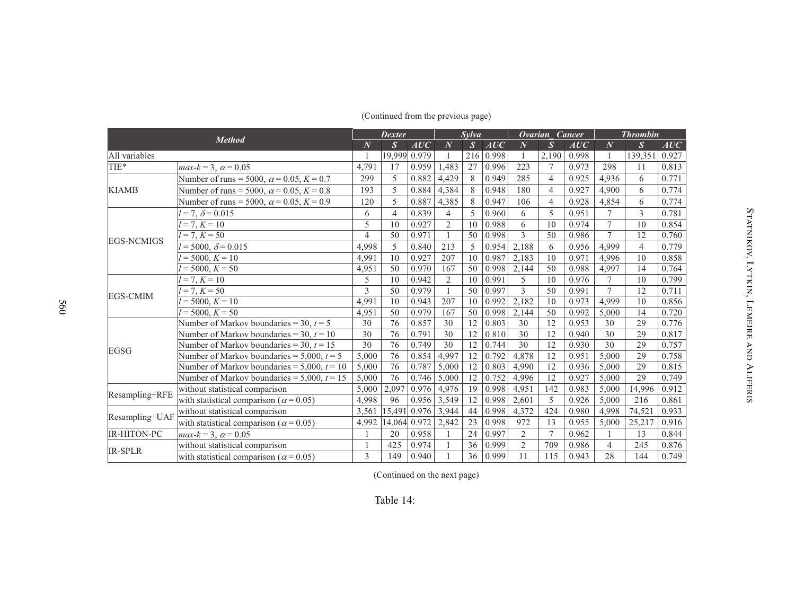| <b>Method</b>      |                                                  | <b>Dexter</b> |              |              | Sylva            |               |           | Ovarian Cancer   |                         |       | <b>Thrombin</b> |                  |       |
|--------------------|--------------------------------------------------|---------------|--------------|--------------|------------------|---------------|-----------|------------------|-------------------------|-------|-----------------|------------------|-------|
|                    |                                                  | $\bm{N}$      | $\bm{S}$     | AUC          | $\boldsymbol{N}$ | $\mathcal{S}$ | AUC       | $\boldsymbol{N}$ | $\overline{\mathbf{S}}$ | AUC   | $\overline{N}$  | $\boldsymbol{S}$ | AUC   |
| All variables      |                                                  |               | 19,999 0.979 |              |                  |               | 216 0.998 |                  | 2,190                   | 0.998 |                 | 139,351          | 0.927 |
| TIE*               | $max-k = 3$ , $\alpha = 0.05$                    | 4,791         | 17           | 0.959        | 1,483            | 27            | 0.996     | 223              | 7                       | 0.973 | 298             | 11               | 0.813 |
|                    | Number of runs = 5000, $\alpha$ = 0.05, K = 0.7  | 299           | 5            | 0.882        | 4,429            | 8             | 0.949     | 285              | $\overline{4}$          | 0.925 | 4,936           | 6                | 0.771 |
| <b>KIAMB</b>       | Number of runs = 5000, $\alpha$ = 0.05, K = 0.8  | 193           | 5            | 0.884        | 4,384            | 8             | 0.948     | 180              | $\overline{4}$          | 0.927 | 4,900           | 6                | 0.774 |
|                    | Number of runs = 5000, $\alpha$ = 0.05, K = 0.9  | 120           | 5            | 0.887        | 4,385            | 8             | 0.947     | 106              | 4                       | 0.928 | 4,854           | 6                | 0.774 |
|                    | $l = 7, \delta = 0.015$                          | 6             | 4            | 0.839        | 4                | 5             | 0.960     | 6                | 5                       | 0.951 | 7               | 3                | 0.781 |
|                    | $l = 7, K = 10$                                  | 5             | 10           | 0.927        | $\overline{2}$   | 10            | 0.988     | 6                | 10                      | 0.974 | $\overline{7}$  | 10               | 0.854 |
| <b>EGS-NCMIGS</b>  | $l = 7, K = 50$                                  | 4             | 50           | 0.971        |                  | 50            | 0.998     | 3                | 50                      | 0.986 | $\overline{7}$  | 12               | 0.760 |
|                    | $= 5000, \delta = 0.015$                         | 4.998         | 5            | 0.840        | 213              | 5             | 0.954     | 2,188            | 6                       | 0.956 | 4,999           | $\overline{4}$   | 0.779 |
|                    | $l = 5000, K = 10$                               | 4,991         | 10           | 0.927        | 207              | 10            | 0.987     | 2,183            | 10                      | 0.971 | 4.996           | 10               | 0.858 |
|                    | $l = 5000, K = 50$                               | 4,951         | 50           | 0.970        | 167              | 50            | 0.998     | 2,144            | 50                      | 0.988 | 4,997           | 14               | 0.764 |
|                    | $l = 7, K = 10$                                  | 5             | 10           | 0.942        | 2                | 10            | 0.991     | 5                | 10                      | 0.976 | 7               | 10               | 0.799 |
| <b>EGS-CMIM</b>    | $\overline{I} = 7, K = 50$                       | 3             | 50           | 0.979        |                  | 50            | 0.997     | $\overline{3}$   | 50                      | 0.991 | $\overline{7}$  | 12               | 0.711 |
|                    | $= 5000, K = 10$                                 | 4,991         | 10           | 0.943        | 207              | 10            | 0.992     | 2,182            | 10                      | 0.973 | 4,999           | 10               | 0.856 |
|                    | $l = 5000, K = 50$                               | 4,951         | 50           | 0.979        | 167              | 50            | 0.998     | 2,144            | 50                      | 0.992 | 5,000           | 14               | 0.720 |
|                    | Number of Markov boundaries = 30, $t = 5$        | 30            | 76           | 0.857        | 30               | 12            | 0.803     | 30               | 12                      | 0.953 | 30              | 29               | 0.776 |
|                    | Number of Markov boundaries = 30, $t = 10$       | 30            | 76           | 0.791        | 30               | 12            | 0.810     | 30               | 12                      | 0.940 | 30              | 29               | 0.817 |
| <b>EGSG</b>        | Number of Markov boundaries = 30, $t = 15$       | 30            | 76           | 0.749        | 30               | 12            | 0.744     | 30               | 12                      | 0.930 | 30              | 29               | 0.757 |
|                    | Number of Markov boundaries = $5,000$ , $t = 5$  | 5,000         | 76           | 0.854        | 4,997            | 12            | 0.792     | 4,878            | 12                      | 0.951 | 5,000           | 29               | 0.758 |
|                    | Number of Markov boundaries = $5.000, t = 10$    | 5,000         | 76           | 0.787        | 5,000            | 12            | 0.803     | 4,990            | 12                      | 0.936 | 5,000           | 29               | 0.815 |
|                    | Number of Markov boundaries = $5,000$ , $t = 15$ | 5,000         | 76           | 0.746        | 5,000            | 12            | 0.752     | 4,996            | 12                      | 0.927 | 5,000           | 29               | 0.749 |
| Resampling+RFE     | without statistical comparison                   | 5,000         | 2,097        | 0.976        | 4,976            | 19            | 0.998     | 4,951            | 142                     | 0.983 | 5,000           | 14.996           | 0.912 |
|                    | with statistical comparison ( $\alpha$ = 0.05)   | 4,998         | 96           | 0.956        | 3,549            | 12            | 0.998     | 2,601            | 5                       | 0.926 | 5,000           | 216              | 0.861 |
|                    | without statistical comparison                   | 3,561         | 15,491       | 0.976        | 3,944            | 44            | 0.998     | 4,372            | 424                     | 0.980 | 4,998           | 74,521           | 0.933 |
| Resampling+UAF     | with statistical comparison ( $\alpha$ = 0.05)   | 4,992         |              | 14,064 0.972 | 2,842            | 23            | 0.998     | 972              | 13                      | 0.955 | 5,000           | 25,217           | 0.916 |
| <b>IR-HITON-PC</b> | $max-k = 3$ , $\alpha = 0.05$                    |               | 20           | 0.958        |                  | 24            | 0.997     | $\overline{2}$   | $\overline{7}$          | 0.962 |                 | 13               | 0.844 |
| <b>IR-SPLR</b>     | without statistical comparison                   |               | 425          | 0.974        |                  | 36            | 0.999     | $\overline{2}$   | 709                     | 0.986 | 4               | 245              | 0.876 |
|                    | with statistical comparison ( $\alpha$ = 0.05)   | 3             | 149          | 0.940        |                  | 36            | 0.999     | 11               | 115                     | 0.943 | 28              | 144              | 0.749 |

# (Continued from the previous page)

(Continued on the next page)

 $\sigma$ 

TATNIKOV, LYTKIN

.<br>ד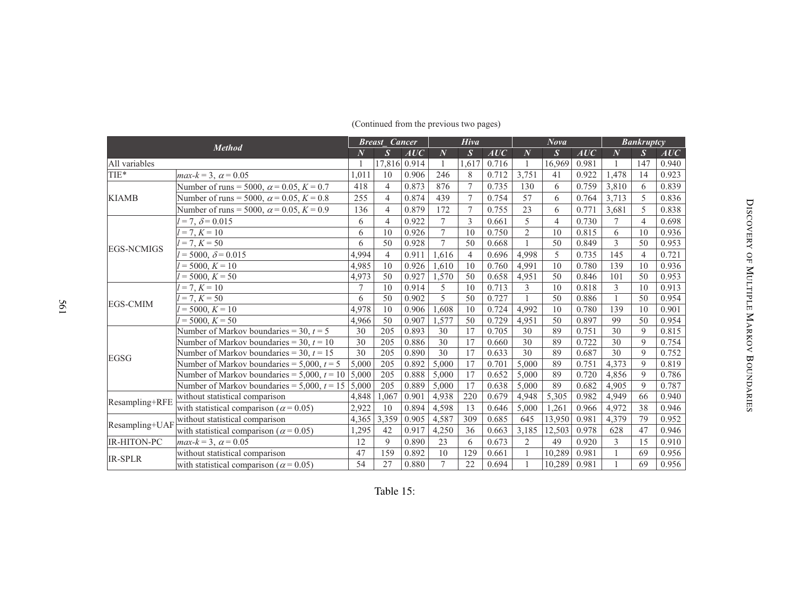| <b>Method</b>      |                                                       | <b>Breast</b> Cancer |                |       | <b>Hiva</b>    |                  |       | <b>Nova</b>    |                |       | <b>Bankruptcy</b> |                |       |
|--------------------|-------------------------------------------------------|----------------------|----------------|-------|----------------|------------------|-------|----------------|----------------|-------|-------------------|----------------|-------|
|                    |                                                       | $\overline{N}$       | $\overline{S}$ | AUC   | $\overline{N}$ | $\boldsymbol{S}$ | AUC   | $\overline{N}$ | S              | AUC   | $\overline{N}$    | $\mathcal{S}$  | AUC   |
| All variables      |                                                       |                      | 17,816 0.914   |       |                | 1.617            | 0.716 |                | 16,969         | 0.981 |                   | 147            | 0.940 |
| TIE*               | $max-k = 3$ , $\alpha = 0.05$                         | 1.011                | 10             | 0.906 | 246            | 8                | 0.712 | 3.751          | 41             | 0.922 | 1.478             | 14             | 0.923 |
|                    | Number of runs = 5000, $\alpha$ = 0.05, K = 0.7       | 418                  | $\overline{4}$ | 0.873 | 876            | $\tau$           | 0.735 | 130            | 6              | 0.759 | 3,810             | 6              | 0.839 |
| <b>KIAMB</b>       | Number of runs = 5000, $\alpha$ = 0.05, K = 0.8       | 255                  | $\overline{4}$ | 0.874 | 439            | $\overline{7}$   | 0.754 | 57             | 6              | 0.764 | 3,713             | 5              | 0.836 |
|                    | Number of runs = 5000, $\alpha$ = 0.05, K = 0.9       | 136                  | $\overline{4}$ | 0.879 | 172            | 7                | 0.755 | 23             | 6              | 0.771 | 3,681             | 5              | 0.838 |
|                    | $l = 7, \delta = 0.015$                               | 6                    | $\overline{4}$ | 0.922 | $\tau$         | $\mathcal{E}$    | 0.661 | 5              | $\overline{4}$ | 0.730 | $\tau$            | $\overline{4}$ | 0.698 |
|                    | $= 7, K = 10$                                         | 6                    | 10             | 0.926 | $\tau$         | 10               | 0.750 | $\overline{2}$ | 10             | 0.815 | 6                 | 10             | 0.936 |
| <b>EGS-NCMIGS</b>  | $l = 7, K = 50$                                       | 6                    | 50             | 0.928 | $\overline{7}$ | 50               | 0.668 |                | 50             | 0.849 | 3                 | 50             | 0.953 |
|                    | $= 5000, \delta = 0.015$                              | 4.994                | 4              | 0.911 | 1,616          | $\overline{4}$   | 0.696 | 4,998          | 5              | 0.735 | 145               | $\overline{4}$ | 0.721 |
|                    | $l = 5000, K = 10$                                    | 4,985                | 10             | 0.926 | 1,610          | 10               | 0.760 | 4,991          | 10             | 0.780 | 139               | 10             | 0.936 |
|                    | $= 5000, K = 50$                                      | 4,973                | 50             | 0.927 | 1.570          | 50               | 0.658 | 4,951          | 50             | 0.846 | 101               | 50             | 0.953 |
|                    | $l = 7, K = 10$                                       | 7                    | 10             | 0.914 | 5              | 10               | 0.713 | 3              | 10             | 0.818 | 3                 | 10             | 0.913 |
| <b>EGS-CMIM</b>    | $= 7, K = 50$                                         | 6                    | 50             | 0.902 | 5              | 50               | 0.727 |                | 50             | 0.886 |                   | 50             | 0.954 |
|                    | $= 5000, K = 10$                                      | 4.978                | 10             | 0.906 | 1,608          | 10               | 0.724 | 4,992          | 10             | 0.780 | 139               | 10             | 0.901 |
|                    | $= 5000, K = 50$                                      | 4,966                | 50             | 0.907 | 1,577          | 50               | 0.729 | 4,951          | 50             | 0.897 | 99                | 50             | 0.954 |
|                    | Number of Markov boundaries = 30, $t = 5$             | 30                   | 205            | 0.893 | 30             | 17               | 0.705 | 30             | 89             | 0.751 | 30                | 9              | 0.815 |
|                    | Number of Markov boundaries = 30, $t = 10$            | 30                   | 205            | 0.886 | 30             | 17               | 0.660 | 30             | 89             | 0.722 | 30                | $\mathbf Q$    | 0.754 |
| EGSG               | Number of Markov boundaries = 30, $t = 15$            | 30                   | 205            | 0.890 | 30             | 17               | 0.633 | 30             | 89             | 0.687 | 30                | 9              | 0.752 |
|                    | Number of Markov boundaries = $5,000$ , $t = 5$       | 5.000                | 205            | 0.892 | 5,000          | 17               | 0.701 | 5.000          | 89             | 0.751 | 4.373             | 9              | 0.819 |
|                    | Number of Markov boundaries = 5,000, $t = 10$   5,000 |                      | 205            | 0.888 | 5,000          | 17               | 0.652 | 5,000          | 89             | 0.720 | 4,856             | $\mathbf Q$    | 0.786 |
|                    | Number of Markov boundaries = 5,000, $t = 15$ 5,000   |                      | 205            | 0.889 | 5,000          | 17               | 0.638 | 5,000          | 89             | 0.682 | 4,905             | $\mathbf Q$    | 0.787 |
| Resampling+RFE     | without statistical comparison                        | 4,848                | 1,067          | 0.901 | 4,938          | 220              | 0.679 | 4,948          | 5,305          | 0.982 | 4,949             | 66             | 0.940 |
|                    | with statistical comparison ( $\alpha$ = 0.05)        | 2,922                | 10             | 0.894 | 4,598          | 13               | 0.646 | 5,000          | 1,261          | 0.966 | 4,972             | 38             | 0.946 |
| Resampling+UAF     | without statistical comparison                        | 4,365                | 3,359          | 0.905 | 4,587          | 309              | 0.685 | 645            | 13.950         | 0.981 | 4,379             | 79             | 0.952 |
|                    | with statistical comparison ( $\alpha$ = 0.05)        | 1,295                | 42             | 0.917 | 4,250          | 36               | 0.663 | 3,185          | 12,503         | 0.978 | 628               | 47             | 0.946 |
| <b>IR-HITON-PC</b> | $max-k = 3$ , $\alpha = 0.05$                         | 12                   | $\mathbf{Q}$   | 0.890 | 23             | 6                | 0.673 | $\overline{2}$ | 49             | 0.920 | 3                 | 15             | 0.910 |
| <b>IR-SPLR</b>     | without statistical comparison                        | 47                   | 159            | 0.892 | 10             | 129              | 0.661 |                | 10,289         | 0.981 |                   | 69             | 0.956 |
|                    | with statistical comparison ( $\alpha$ = 0.05)        | 54                   | 27             | 0.880 | $\tau$         | 22               | 0.694 |                | 10,289         | 0.981 |                   | 69             | 0.956 |

#### (Continued from the previous two pages)

561

# Table 15:

 $\overline{\mathbf{C}}$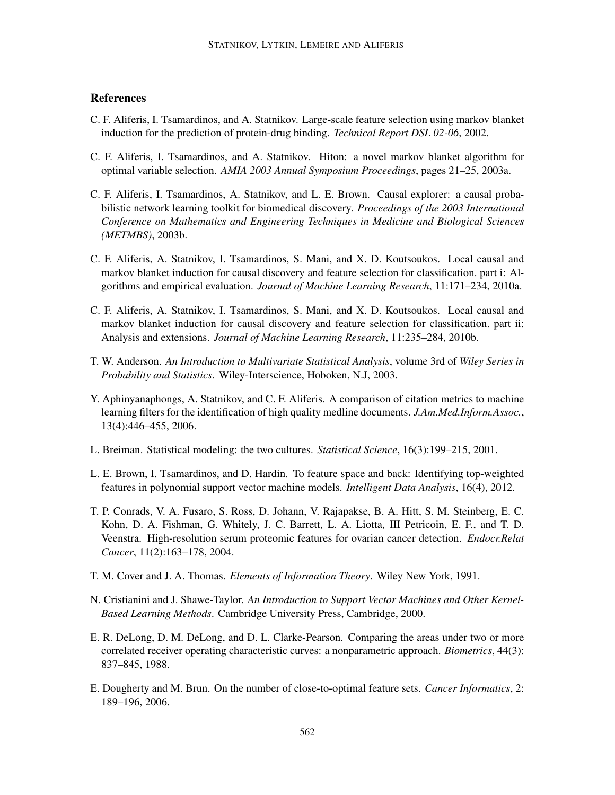# **References**

- C. F. Aliferis, I. Tsamardinos, and A. Statnikov. Large-scale feature selection using markov blanket induction for the prediction of protein-drug binding. *Technical Report DSL 02-06*, 2002.
- C. F. Aliferis, I. Tsamardinos, and A. Statnikov. Hiton: a novel markov blanket algorithm for optimal variable selection. *AMIA 2003 Annual Symposium Proceedings*, pages 21–25, 2003a.
- C. F. Aliferis, I. Tsamardinos, A. Statnikov, and L. E. Brown. Causal explorer: a causal probabilistic network learning toolkit for biomedical discovery. *Proceedings of the 2003 International Conference on Mathematics and Engineering Techniques in Medicine and Biological Sciences (METMBS)*, 2003b.
- C. F. Aliferis, A. Statnikov, I. Tsamardinos, S. Mani, and X. D. Koutsoukos. Local causal and markov blanket induction for causal discovery and feature selection for classification. part i: Algorithms and empirical evaluation. *Journal of Machine Learning Research*, 11:171–234, 2010a.
- C. F. Aliferis, A. Statnikov, I. Tsamardinos, S. Mani, and X. D. Koutsoukos. Local causal and markov blanket induction for causal discovery and feature selection for classification. part ii: Analysis and extensions. *Journal of Machine Learning Research*, 11:235–284, 2010b.
- T. W. Anderson. *An Introduction to Multivariate Statistical Analysis*, volume 3rd of *Wiley Series in Probability and Statistics*. Wiley-Interscience, Hoboken, N.J, 2003.
- Y. Aphinyanaphongs, A. Statnikov, and C. F. Aliferis. A comparison of citation metrics to machine learning filters for the identification of high quality medline documents. *J.Am.Med.Inform.Assoc.*, 13(4):446–455, 2006.
- L. Breiman. Statistical modeling: the two cultures. *Statistical Science*, 16(3):199–215, 2001.
- L. E. Brown, I. Tsamardinos, and D. Hardin. To feature space and back: Identifying top-weighted features in polynomial support vector machine models. *Intelligent Data Analysis*, 16(4), 2012.
- T. P. Conrads, V. A. Fusaro, S. Ross, D. Johann, V. Rajapakse, B. A. Hitt, S. M. Steinberg, E. C. Kohn, D. A. Fishman, G. Whitely, J. C. Barrett, L. A. Liotta, III Petricoin, E. F., and T. D. Veenstra. High-resolution serum proteomic features for ovarian cancer detection. *Endocr.Relat Cancer*, 11(2):163–178, 2004.
- T. M. Cover and J. A. Thomas. *Elements of Information Theory*. Wiley New York, 1991.
- N. Cristianini and J. Shawe-Taylor. *An Introduction to Support Vector Machines and Other Kernel-Based Learning Methods*. Cambridge University Press, Cambridge, 2000.
- E. R. DeLong, D. M. DeLong, and D. L. Clarke-Pearson. Comparing the areas under two or more correlated receiver operating characteristic curves: a nonparametric approach. *Biometrics*, 44(3): 837–845, 1988.
- E. Dougherty and M. Brun. On the number of close-to-optimal feature sets. *Cancer Informatics*, 2: 189–196, 2006.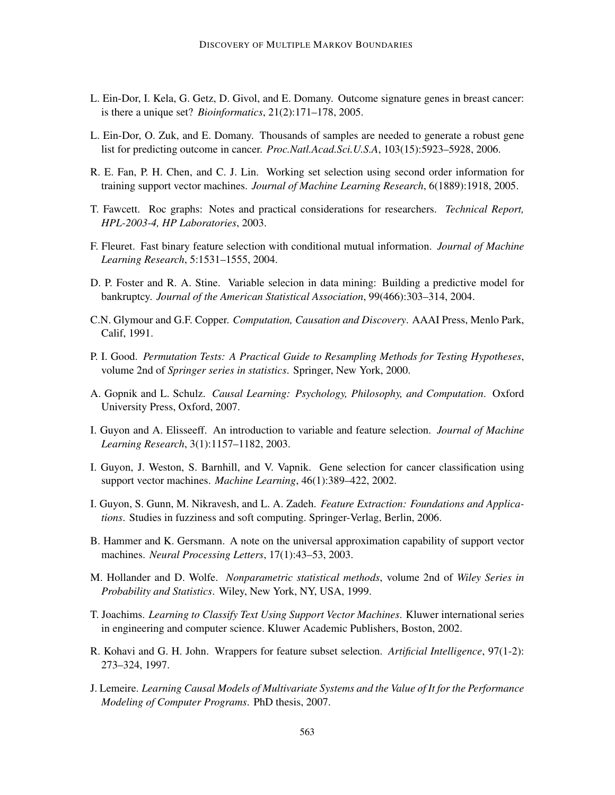- L. Ein-Dor, I. Kela, G. Getz, D. Givol, and E. Domany. Outcome signature genes in breast cancer: is there a unique set? *Bioinformatics*, 21(2):171–178, 2005.
- L. Ein-Dor, O. Zuk, and E. Domany. Thousands of samples are needed to generate a robust gene list for predicting outcome in cancer. *Proc.Natl.Acad.Sci.U.S.A*, 103(15):5923–5928, 2006.
- R. E. Fan, P. H. Chen, and C. J. Lin. Working set selection using second order information for training support vector machines. *Journal of Machine Learning Research*, 6(1889):1918, 2005.
- T. Fawcett. Roc graphs: Notes and practical considerations for researchers. *Technical Report, HPL-2003-4, HP Laboratories*, 2003.
- F. Fleuret. Fast binary feature selection with conditional mutual information. *Journal of Machine Learning Research*, 5:1531–1555, 2004.
- D. P. Foster and R. A. Stine. Variable selecion in data mining: Building a predictive model for bankruptcy. *Journal of the American Statistical Association*, 99(466):303–314, 2004.
- C.N. Glymour and G.F. Copper. *Computation, Causation and Discovery*. AAAI Press, Menlo Park, Calif, 1991.
- P. I. Good. *Permutation Tests: A Practical Guide to Resampling Methods for Testing Hypotheses*, volume 2nd of *Springer series in statistics*. Springer, New York, 2000.
- A. Gopnik and L. Schulz. *Causal Learning: Psychology, Philosophy, and Computation*. Oxford University Press, Oxford, 2007.
- I. Guyon and A. Elisseeff. An introduction to variable and feature selection. *Journal of Machine Learning Research*, 3(1):1157–1182, 2003.
- I. Guyon, J. Weston, S. Barnhill, and V. Vapnik. Gene selection for cancer classification using support vector machines. *Machine Learning*, 46(1):389–422, 2002.
- I. Guyon, S. Gunn, M. Nikravesh, and L. A. Zadeh. *Feature Extraction: Foundations and Applications*. Studies in fuzziness and soft computing. Springer-Verlag, Berlin, 2006.
- B. Hammer and K. Gersmann. A note on the universal approximation capability of support vector machines. *Neural Processing Letters*, 17(1):43–53, 2003.
- M. Hollander and D. Wolfe. *Nonparametric statistical methods*, volume 2nd of *Wiley Series in Probability and Statistics*. Wiley, New York, NY, USA, 1999.
- T. Joachims. *Learning to Classify Text Using Support Vector Machines*. Kluwer international series in engineering and computer science. Kluwer Academic Publishers, Boston, 2002.
- R. Kohavi and G. H. John. Wrappers for feature subset selection. *Artificial Intelligence*, 97(1-2): 273–324, 1997.
- J. Lemeire. *Learning Causal Models of Multivariate Systems and the Value of It for the Performance Modeling of Computer Programs*. PhD thesis, 2007.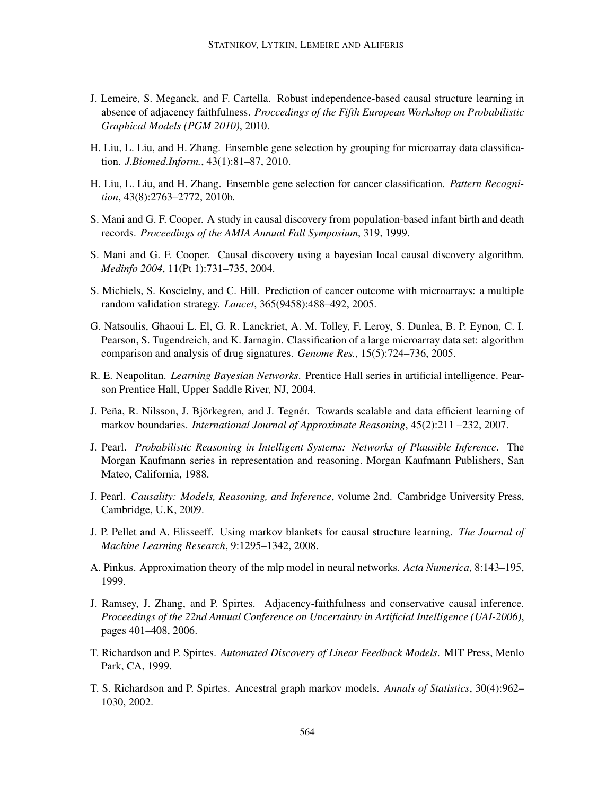- J. Lemeire, S. Meganck, and F. Cartella. Robust independence-based causal structure learning in absence of adjacency faithfulness. *Proccedings of the Fifth European Workshop on Probabilistic Graphical Models (PGM 2010)*, 2010.
- H. Liu, L. Liu, and H. Zhang. Ensemble gene selection by grouping for microarray data classification. *J.Biomed.Inform.*, 43(1):81–87, 2010.
- H. Liu, L. Liu, and H. Zhang. Ensemble gene selection for cancer classification. *Pattern Recognition*, 43(8):2763–2772, 2010b.
- S. Mani and G. F. Cooper. A study in causal discovery from population-based infant birth and death records. *Proceedings of the AMIA Annual Fall Symposium*, 319, 1999.
- S. Mani and G. F. Cooper. Causal discovery using a bayesian local causal discovery algorithm. *Medinfo 2004*, 11(Pt 1):731–735, 2004.
- S. Michiels, S. Koscielny, and C. Hill. Prediction of cancer outcome with microarrays: a multiple random validation strategy. *Lancet*, 365(9458):488–492, 2005.
- G. Natsoulis, Ghaoui L. El, G. R. Lanckriet, A. M. Tolley, F. Leroy, S. Dunlea, B. P. Eynon, C. I. Pearson, S. Tugendreich, and K. Jarnagin. Classification of a large microarray data set: algorithm comparison and analysis of drug signatures. *Genome Res.*, 15(5):724–736, 2005.
- R. E. Neapolitan. *Learning Bayesian Networks*. Prentice Hall series in artificial intelligence. Pearson Prentice Hall, Upper Saddle River, NJ, 2004.
- J. Peña, R. Nilsson, J. Björkegren, and J. Tegnér. Towards scalable and data efficient learning of markov boundaries. *International Journal of Approximate Reasoning*, 45(2):211 –232, 2007.
- J. Pearl. *Probabilistic Reasoning in Intelligent Systems: Networks of Plausible Inference*. The Morgan Kaufmann series in representation and reasoning. Morgan Kaufmann Publishers, San Mateo, California, 1988.
- J. Pearl. *Causality: Models, Reasoning, and Inference*, volume 2nd. Cambridge University Press, Cambridge, U.K, 2009.
- J. P. Pellet and A. Elisseeff. Using markov blankets for causal structure learning. *The Journal of Machine Learning Research*, 9:1295–1342, 2008.
- A. Pinkus. Approximation theory of the mlp model in neural networks. *Acta Numerica*, 8:143–195, 1999.
- J. Ramsey, J. Zhang, and P. Spirtes. Adjacency-faithfulness and conservative causal inference. *Proceedings of the 22nd Annual Conference on Uncertainty in Artificial Intelligence (UAI-2006)*, pages 401–408, 2006.
- T. Richardson and P. Spirtes. *Automated Discovery of Linear Feedback Models*. MIT Press, Menlo Park, CA, 1999.
- T. S. Richardson and P. Spirtes. Ancestral graph markov models. *Annals of Statistics*, 30(4):962– 1030, 2002.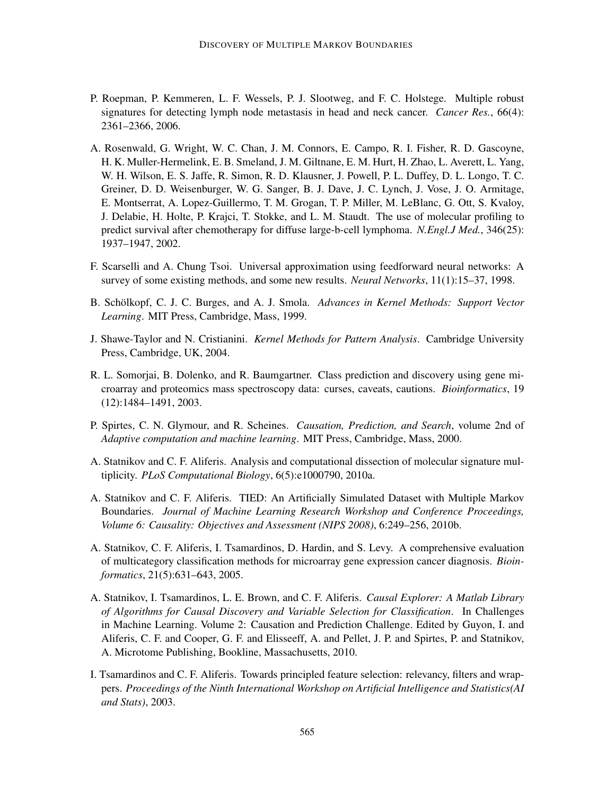- P. Roepman, P. Kemmeren, L. F. Wessels, P. J. Slootweg, and F. C. Holstege. Multiple robust signatures for detecting lymph node metastasis in head and neck cancer. *Cancer Res.*, 66(4): 2361–2366, 2006.
- A. Rosenwald, G. Wright, W. C. Chan, J. M. Connors, E. Campo, R. I. Fisher, R. D. Gascoyne, H. K. Muller-Hermelink, E. B. Smeland, J. M. Giltnane, E. M. Hurt, H. Zhao, L. Averett, L. Yang, W. H. Wilson, E. S. Jaffe, R. Simon, R. D. Klausner, J. Powell, P. L. Duffey, D. L. Longo, T. C. Greiner, D. D. Weisenburger, W. G. Sanger, B. J. Dave, J. C. Lynch, J. Vose, J. O. Armitage, E. Montserrat, A. Lopez-Guillermo, T. M. Grogan, T. P. Miller, M. LeBlanc, G. Ott, S. Kvaloy, J. Delabie, H. Holte, P. Krajci, T. Stokke, and L. M. Staudt. The use of molecular profiling to predict survival after chemotherapy for diffuse large-b-cell lymphoma. *N.Engl.J Med.*, 346(25): 1937–1947, 2002.
- F. Scarselli and A. Chung Tsoi. Universal approximation using feedforward neural networks: A survey of some existing methods, and some new results. *Neural Networks*, 11(1):15–37, 1998.
- B. Schölkopf, C. J. C. Burges, and A. J. Smola. Advances in Kernel Methods: Support Vector *Learning*. MIT Press, Cambridge, Mass, 1999.
- J. Shawe-Taylor and N. Cristianini. *Kernel Methods for Pattern Analysis*. Cambridge University Press, Cambridge, UK, 2004.
- R. L. Somorjai, B. Dolenko, and R. Baumgartner. Class prediction and discovery using gene microarray and proteomics mass spectroscopy data: curses, caveats, cautions. *Bioinformatics*, 19 (12):1484–1491, 2003.
- P. Spirtes, C. N. Glymour, and R. Scheines. *Causation, Prediction, and Search*, volume 2nd of *Adaptive computation and machine learning*. MIT Press, Cambridge, Mass, 2000.
- A. Statnikov and C. F. Aliferis. Analysis and computational dissection of molecular signature multiplicity. *PLoS Computational Biology*, 6(5):e1000790, 2010a.
- A. Statnikov and C. F. Aliferis. TIED: An Artificially Simulated Dataset with Multiple Markov Boundaries. *Journal of Machine Learning Research Workshop and Conference Proceedings, Volume 6: Causality: Objectives and Assessment (NIPS 2008)*, 6:249–256, 2010b.
- A. Statnikov, C. F. Aliferis, I. Tsamardinos, D. Hardin, and S. Levy. A comprehensive evaluation of multicategory classification methods for microarray gene expression cancer diagnosis. *Bioinformatics*, 21(5):631–643, 2005.
- A. Statnikov, I. Tsamardinos, L. E. Brown, and C. F. Aliferis. *Causal Explorer: A Matlab Library of Algorithms for Causal Discovery and Variable Selection for Classification*. In Challenges in Machine Learning. Volume 2: Causation and Prediction Challenge. Edited by Guyon, I. and Aliferis, C. F. and Cooper, G. F. and Elisseeff, A. and Pellet, J. P. and Spirtes, P. and Statnikov, A. Microtome Publishing, Bookline, Massachusetts, 2010.
- I. Tsamardinos and C. F. Aliferis. Towards principled feature selection: relevancy, filters and wrappers. *Proceedings of the Ninth International Workshop on Artificial Intelligence and Statistics(AI and Stats)*, 2003.